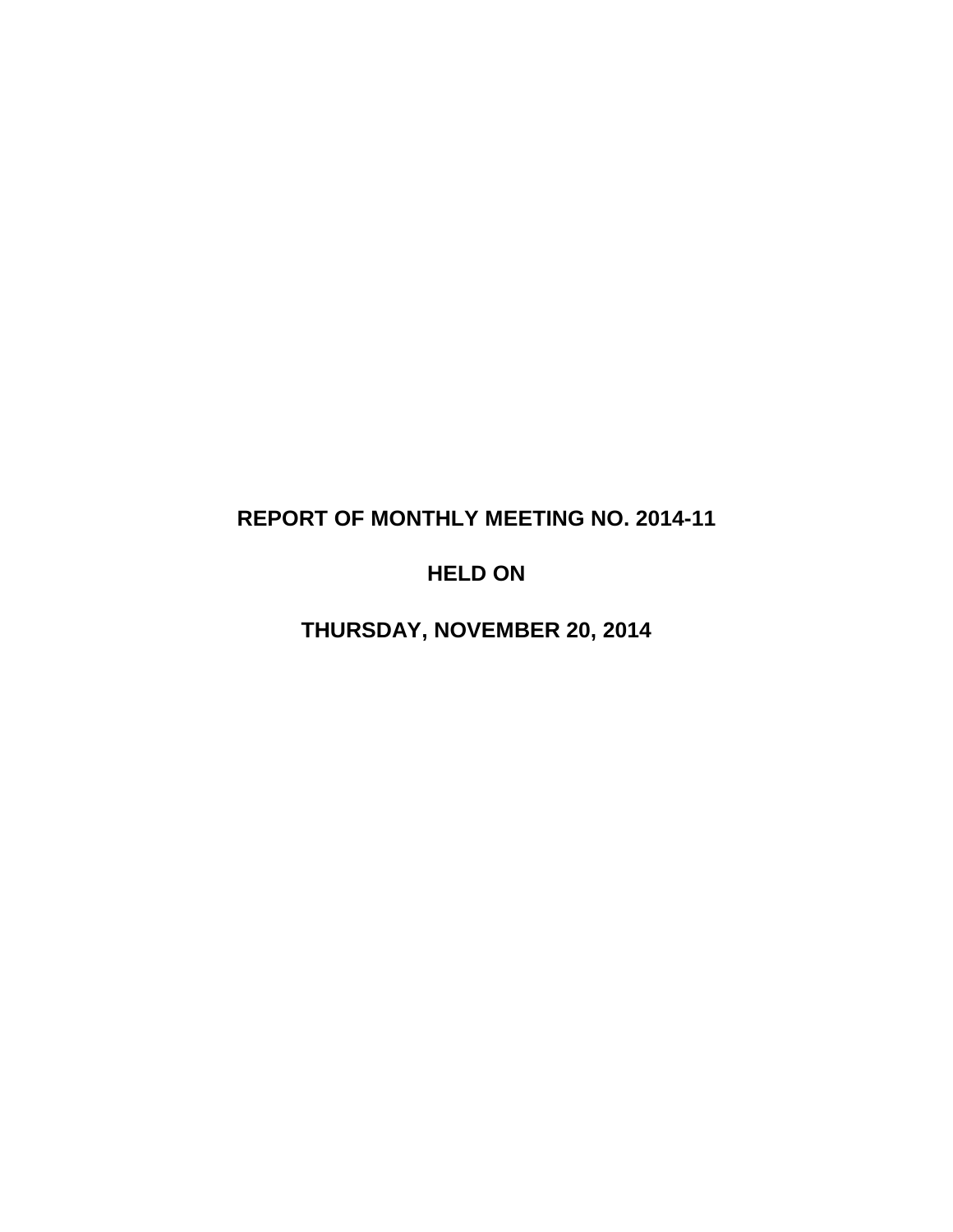# **REPORT OF MONTHLY MEETING NO. 2014-11**

# **HELD ON**

**THURSDAY, NOVEMBER 20, 2014**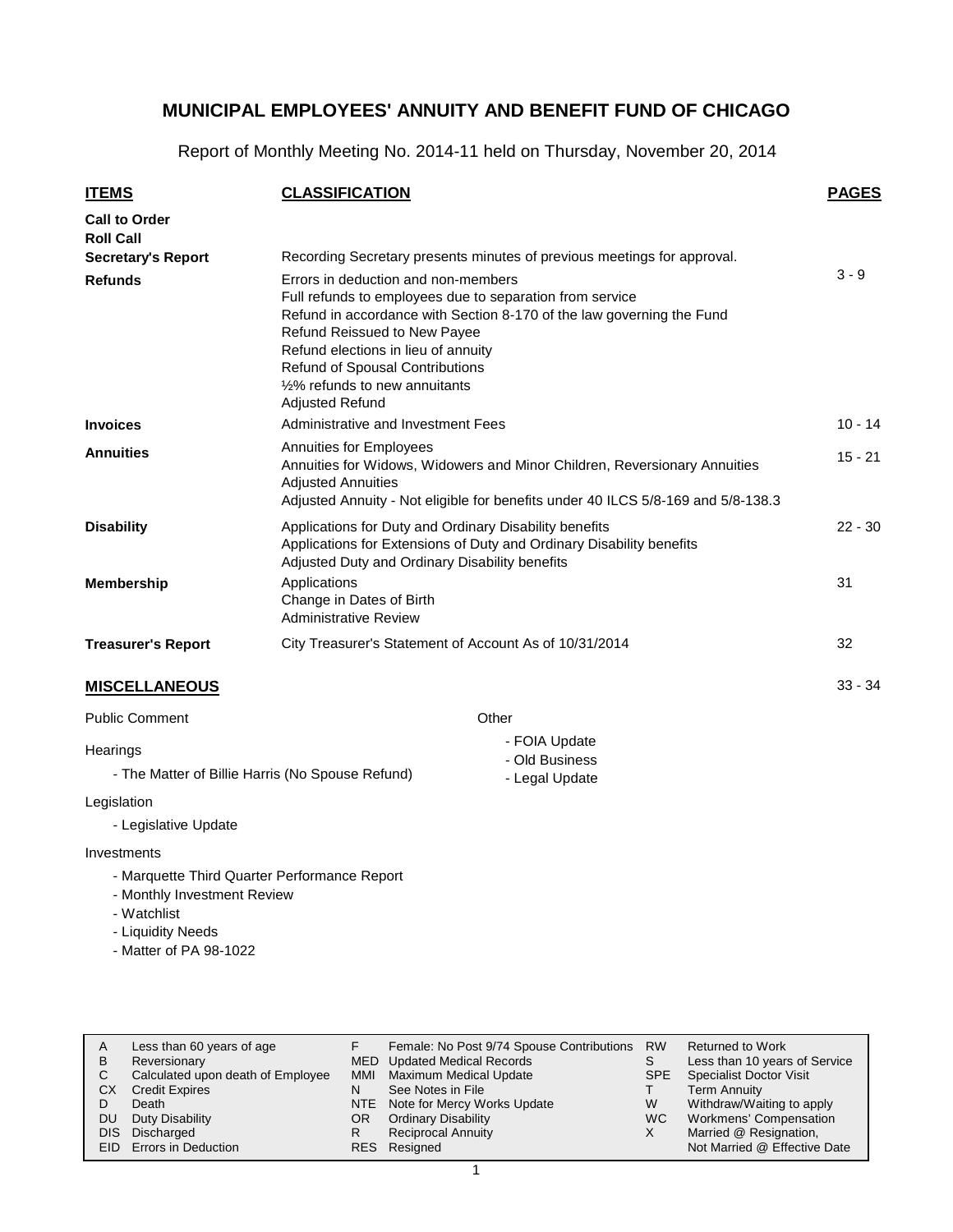Report of Monthly Meeting No. 2014-11 held on Thursday, November 20, 2014

| <b>ITEMS</b>                             | <b>CLASSIFICATION</b>                                                                                                                                                                                                                                                                                                                                              | <b>PAGES</b> |
|------------------------------------------|--------------------------------------------------------------------------------------------------------------------------------------------------------------------------------------------------------------------------------------------------------------------------------------------------------------------------------------------------------------------|--------------|
| <b>Call to Order</b><br><b>Roll Call</b> |                                                                                                                                                                                                                                                                                                                                                                    |              |
| <b>Secretary's Report</b>                | Recording Secretary presents minutes of previous meetings for approval.                                                                                                                                                                                                                                                                                            |              |
| <b>Refunds</b>                           | Errors in deduction and non-members<br>Full refunds to employees due to separation from service<br>Refund in accordance with Section 8-170 of the law governing the Fund<br>Refund Reissued to New Payee<br>Refund elections in lieu of annuity<br><b>Refund of Spousal Contributions</b><br>1/ <sub>2</sub> % refunds to new annuitants<br><b>Adjusted Refund</b> | $3 - 9$      |
| <b>Invoices</b>                          | Administrative and Investment Fees                                                                                                                                                                                                                                                                                                                                 | $10 - 14$    |
| <b>Annuities</b>                         | Annuities for Employees<br>Annuities for Widows, Widowers and Minor Children, Reversionary Annuities<br><b>Adjusted Annuities</b><br>Adjusted Annuity - Not eligible for benefits under 40 ILCS 5/8-169 and 5/8-138.3                                                                                                                                              | $15 - 21$    |
| <b>Disability</b>                        | Applications for Duty and Ordinary Disability benefits<br>Applications for Extensions of Duty and Ordinary Disability benefits<br>Adjusted Duty and Ordinary Disability benefits                                                                                                                                                                                   | $22 - 30$    |
| <b>Membership</b>                        | Applications<br>Change in Dates of Birth<br><b>Administrative Review</b>                                                                                                                                                                                                                                                                                           | 31           |
| <b>Treasurer's Report</b>                | City Treasurer's Statement of Account As of 10/31/2014                                                                                                                                                                                                                                                                                                             | 32           |
| <b>MISCELLANEOUS</b>                     |                                                                                                                                                                                                                                                                                                                                                                    | $33 - 34$    |

Public Comment

**Other** 

**Hearings** - The Matter of Billie Harris (No Spouse Refund) - FOIA Update - Old Business - Legal Update

Legislation

- Legislative Update

#### Investments

- Marquette Third Quarter Performance Report
- Monthly Investment Review
- Watchlist
- Liquidity Needs
- Matter of PA 98-1022

| A<br>В     | Less than 60 years of age<br>Reversionary<br>Calculated upon death of Employee | F<br>MMI. | Female: No Post 9/74 Spouse Contributions<br><b>MED</b> Updated Medical Records<br><b>Maximum Medical Update</b> | <b>RW</b><br>S<br>SPE | <b>Returned to Work</b><br>Less than 10 years of Service<br><b>Specialist Doctor Visit</b> |
|------------|--------------------------------------------------------------------------------|-----------|------------------------------------------------------------------------------------------------------------------|-----------------------|--------------------------------------------------------------------------------------------|
| СX         | <b>Credit Expires</b><br>Death                                                 | N         | See Notes in File<br>NTE Note for Mercy Works Update                                                             | W                     | <b>Term Annuity</b><br>Withdraw/Waiting to apply                                           |
| DU<br>DIS. | Duty Disability<br>Discharged<br>EID Errors in Deduction                       | OR.<br>R  | <b>Ordinary Disability</b><br><b>Reciprocal Annuity</b><br>RES Resigned                                          | WC.                   | Workmens' Compensation<br>Married @ Resignation,<br>Not Married @ Effective Date           |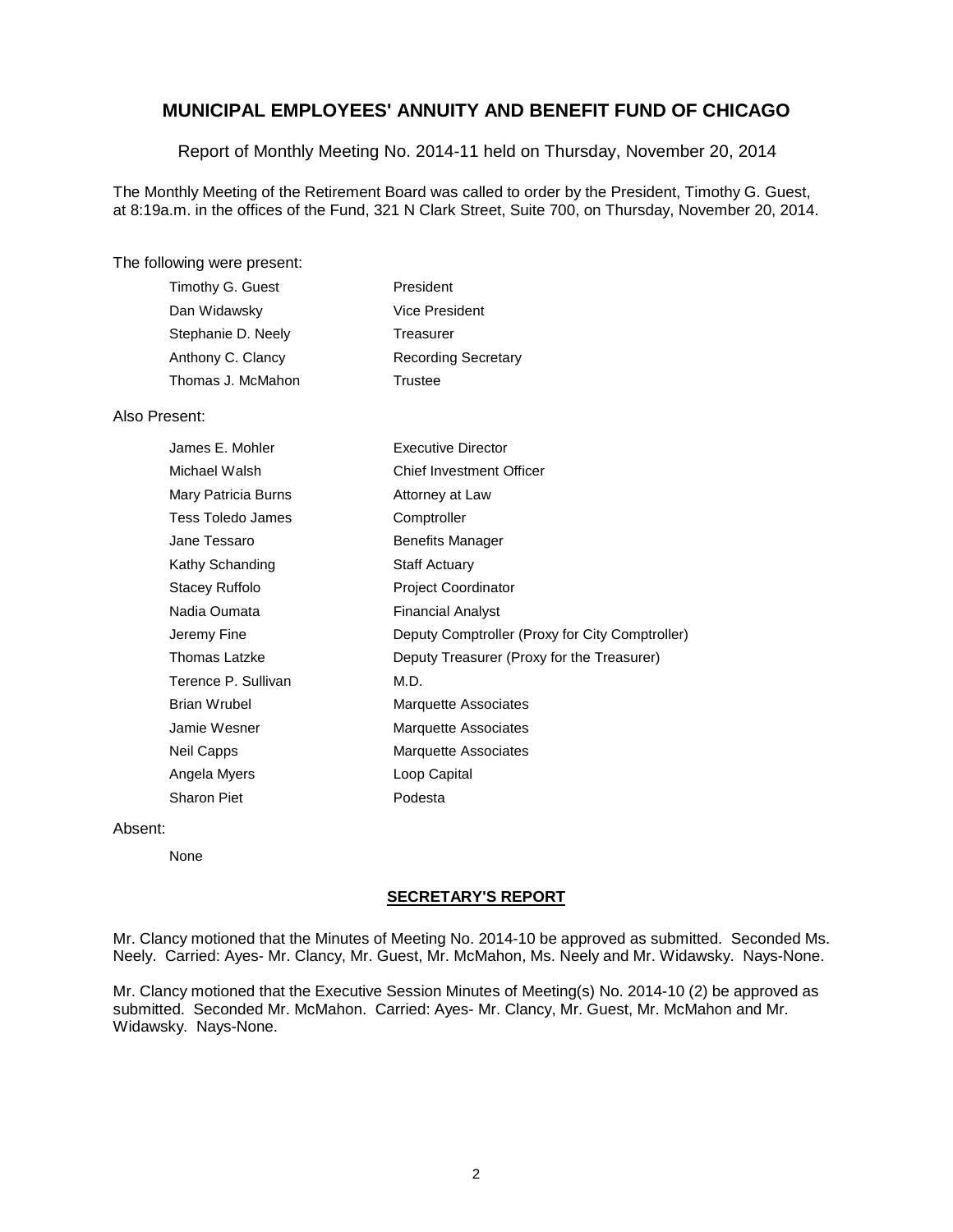Report of Monthly Meeting No. 2014-11 held on Thursday, November 20, 2014

The Monthly Meeting of the Retirement Board was called to order by the President, Timothy G. Guest, at 8:19a.m. in the offices of the Fund, 321 N Clark Street, Suite 700, on Thursday, November 20, 2014.

#### The following were present:

| President                  |
|----------------------------|
| Vice President             |
| Treasurer                  |
| <b>Recording Secretary</b> |
| Trustee                    |
|                            |

#### Also Present:

| James E. Mohler     | <b>Executive Director</b>                       |
|---------------------|-------------------------------------------------|
| Michael Walsh       | <b>Chief Investment Officer</b>                 |
| Mary Patricia Burns | Attorney at Law                                 |
| Tess Toledo James   | Comptroller                                     |
| Jane Tessaro        | <b>Benefits Manager</b>                         |
| Kathy Schanding     | <b>Staff Actuary</b>                            |
| Stacey Ruffolo      | <b>Project Coordinator</b>                      |
| Nadia Oumata        | <b>Financial Analyst</b>                        |
| Jeremy Fine         | Deputy Comptroller (Proxy for City Comptroller) |
| Thomas Latzke       | Deputy Treasurer (Proxy for the Treasurer)      |
| Terence P. Sullivan | M.D.                                            |
| Brian Wrubel        | Marquette Associates                            |
| Jamie Wesner        | Marquette Associates                            |
| Neil Capps          | <b>Marquette Associates</b>                     |
| Angela Myers        | Loop Capital                                    |
| Sharon Piet         | Podesta                                         |

#### Absent:

None

#### **SECRETARY'S REPORT**

Mr. Clancy motioned that the Minutes of Meeting No. 2014-10 be approved as submitted. Seconded Ms. Neely. Carried: Ayes- Mr. Clancy, Mr. Guest, Mr. McMahon, Ms. Neely and Mr. Widawsky. Nays-None.

Mr. Clancy motioned that the Executive Session Minutes of Meeting(s) No. 2014-10 (2) be approved as submitted. Seconded Mr. McMahon. Carried: Ayes- Mr. Clancy, Mr. Guest, Mr. McMahon and Mr. Widawsky. Nays-None.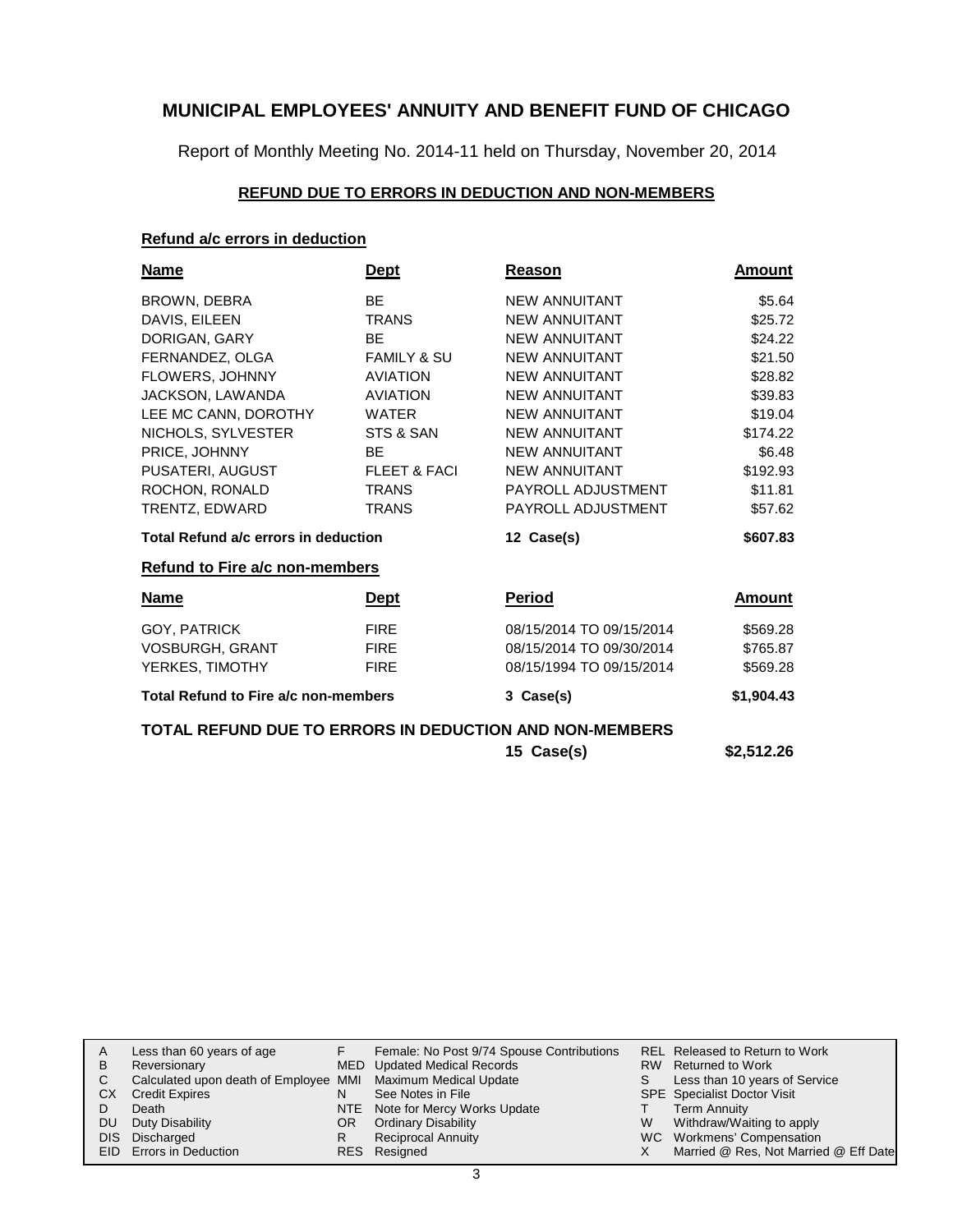Report of Monthly Meeting No. 2014-11 held on Thursday, November 20, 2014

### **REFUND DUE TO ERRORS IN DEDUCTION AND NON-MEMBERS**

#### **Refund a/c errors in deduction**

| <b>Name</b>                                             | <b>Dept</b>             | Reason                   | Amount        |
|---------------------------------------------------------|-------------------------|--------------------------|---------------|
| BROWN, DEBRA                                            | <b>BE</b>               | <b>NEW ANNUITANT</b>     | \$5.64        |
| DAVIS, EILEEN                                           | <b>TRANS</b>            | <b>NEW ANNUITANT</b>     | \$25.72       |
| DORIGAN, GARY                                           | <b>BE</b>               | <b>NEW ANNUITANT</b>     | \$24.22       |
| FERNANDEZ, OLGA                                         | <b>FAMILY &amp; SU</b>  | <b>NEW ANNUITANT</b>     | \$21.50       |
| FLOWERS, JOHNNY                                         | <b>AVIATION</b>         | <b>NEW ANNUITANT</b>     | \$28.82       |
| JACKSON, LAWANDA                                        | <b>AVIATION</b>         | <b>NEW ANNUITANT</b>     | \$39.83       |
| LEE MC CANN, DOROTHY                                    | <b>WATER</b>            | <b>NEW ANNUITANT</b>     | \$19.04       |
| NICHOLS, SYLVESTER                                      | STS & SAN               | <b>NEW ANNUITANT</b>     | \$174.22      |
| PRICE, JOHNNY                                           | BE                      | <b>NEW ANNUITANT</b>     | \$6.48        |
| PUSATERI, AUGUST                                        | <b>FLEET &amp; FACI</b> | <b>NEW ANNUITANT</b>     | \$192.93      |
| ROCHON, RONALD                                          | <b>TRANS</b>            | PAYROLL ADJUSTMENT       | \$11.81       |
| TRENTZ, EDWARD                                          | <b>TRANS</b>            | PAYROLL ADJUSTMENT       | \$57.62       |
| Total Refund a/c errors in deduction                    |                         | 12 Case(s)               | \$607.83      |
| <b>Refund to Fire a/c non-members</b>                   |                         |                          |               |
| <u>Name</u>                                             | <u>Dept</u>             | <b>Period</b>            | <u>Amount</u> |
| GOY, PATRICK                                            | <b>FIRE</b>             | 08/15/2014 TO 09/15/2014 | \$569.28      |
| <b>VOSBURGH, GRANT</b>                                  | <b>FIRE</b>             | 08/15/2014 TO 09/30/2014 | \$765.87      |
| YERKES, TIMOTHY                                         | <b>FIRE</b>             | 08/15/1994 TO 09/15/2014 | \$569.28      |
| Total Refund to Fire a/c non-members                    |                         | 3 Case(s)                | \$1,904.43    |
| TOTAL REFUND DUE TO ERRORS IN DEDUCTION AND NON-MEMBERS |                         |                          |               |
|                                                         |                         | 15 Case(s)               | \$2.512.26    |

| See Notes in File<br><b>CX</b><br><b>Credit Expires</b><br>N<br>NTE Note for Mercy Works Update<br>Death<br>Duty Disability<br><b>Ordinary Disability</b><br>DU<br>OR.<br>Reciprocal Annuity<br>DIS Discharged<br>R | S.<br>W | RW Returned to Work<br>Less than 10 years of Service<br><b>SPE</b> Specialist Doctor Visit<br>Term Annuity<br>Withdraw/Waiting to apply<br>WC Workmens' Compensation |
|---------------------------------------------------------------------------------------------------------------------------------------------------------------------------------------------------------------------|---------|----------------------------------------------------------------------------------------------------------------------------------------------------------------------|
| EID Errors in Deduction<br>RES Resigned                                                                                                                                                                             |         | Married @ Res, Not Married @ Eff Date                                                                                                                                |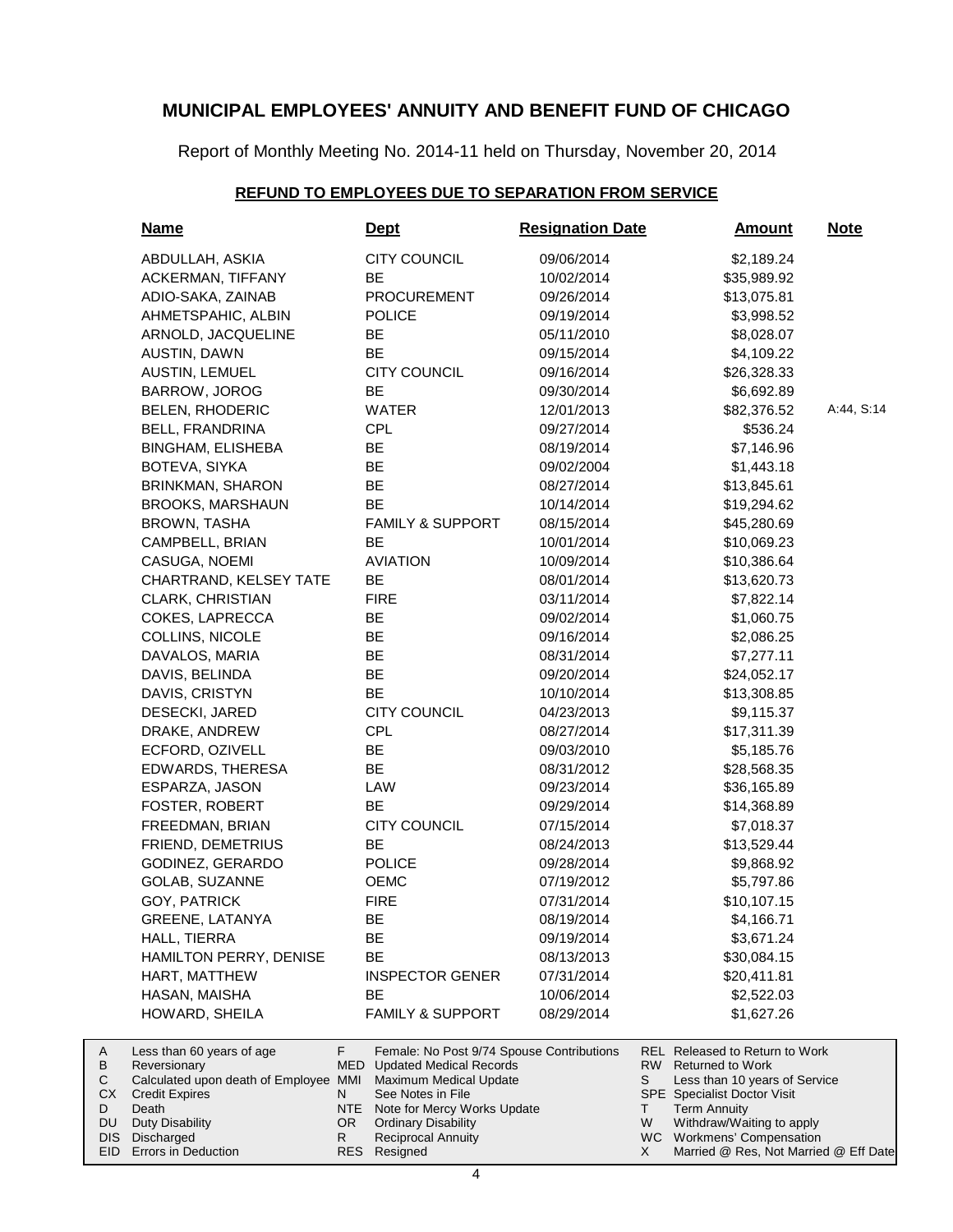Report of Monthly Meeting No. 2014-11 held on Thursday, November 20, 2014

### **REFUND TO EMPLOYEES DUE TO SEPARATION FROM SERVICE**

|                                     | <u>Name</u>                                                                                                                                           |                            | <b>Dept</b>                                                                                                                                                                                                              | <b>Resignation Date</b> |                    | <u>Amount</u>                                                                                                                                                                                                     | <b>Note</b> |
|-------------------------------------|-------------------------------------------------------------------------------------------------------------------------------------------------------|----------------------------|--------------------------------------------------------------------------------------------------------------------------------------------------------------------------------------------------------------------------|-------------------------|--------------------|-------------------------------------------------------------------------------------------------------------------------------------------------------------------------------------------------------------------|-------------|
|                                     | ABDULLAH, ASKIA                                                                                                                                       |                            | <b>CITY COUNCIL</b>                                                                                                                                                                                                      | 09/06/2014              |                    | \$2,189.24                                                                                                                                                                                                        |             |
|                                     | <b>ACKERMAN, TIFFANY</b>                                                                                                                              |                            | <b>BE</b>                                                                                                                                                                                                                | 10/02/2014              |                    | \$35,989.92                                                                                                                                                                                                       |             |
|                                     | ADIO-SAKA, ZAINAB                                                                                                                                     |                            | <b>PROCUREMENT</b>                                                                                                                                                                                                       | 09/26/2014              |                    | \$13,075.81                                                                                                                                                                                                       |             |
|                                     | AHMETSPAHIC, ALBIN                                                                                                                                    |                            | <b>POLICE</b>                                                                                                                                                                                                            | 09/19/2014              |                    | \$3,998.52                                                                                                                                                                                                        |             |
|                                     | ARNOLD, JACQUELINE                                                                                                                                    |                            | BE                                                                                                                                                                                                                       | 05/11/2010              |                    | \$8,028.07                                                                                                                                                                                                        |             |
|                                     | AUSTIN, DAWN                                                                                                                                          |                            | <b>BE</b>                                                                                                                                                                                                                | 09/15/2014              |                    | \$4,109.22                                                                                                                                                                                                        |             |
|                                     | AUSTIN, LEMUEL                                                                                                                                        |                            | <b>CITY COUNCIL</b>                                                                                                                                                                                                      | 09/16/2014              |                    | \$26,328.33                                                                                                                                                                                                       |             |
|                                     | BARROW, JOROG                                                                                                                                         |                            | BE                                                                                                                                                                                                                       | 09/30/2014              |                    | \$6,692.89                                                                                                                                                                                                        |             |
|                                     | <b>BELEN, RHODERIC</b>                                                                                                                                |                            | <b>WATER</b>                                                                                                                                                                                                             | 12/01/2013              |                    | \$82,376.52                                                                                                                                                                                                       | A:44, S:14  |
|                                     | <b>BELL, FRANDRINA</b>                                                                                                                                |                            | <b>CPL</b>                                                                                                                                                                                                               | 09/27/2014              |                    | \$536.24                                                                                                                                                                                                          |             |
|                                     | BINGHAM, ELISHEBA                                                                                                                                     |                            | BE                                                                                                                                                                                                                       | 08/19/2014              |                    | \$7,146.96                                                                                                                                                                                                        |             |
|                                     | BOTEVA, SIYKA                                                                                                                                         |                            | <b>BE</b>                                                                                                                                                                                                                | 09/02/2004              |                    | \$1,443.18                                                                                                                                                                                                        |             |
|                                     | BRINKMAN, SHARON                                                                                                                                      |                            | <b>BE</b>                                                                                                                                                                                                                | 08/27/2014              |                    | \$13,845.61                                                                                                                                                                                                       |             |
|                                     | <b>BROOKS, MARSHAUN</b>                                                                                                                               |                            | BE                                                                                                                                                                                                                       | 10/14/2014              |                    | \$19,294.62                                                                                                                                                                                                       |             |
|                                     | <b>BROWN, TASHA</b>                                                                                                                                   |                            | <b>FAMILY &amp; SUPPORT</b>                                                                                                                                                                                              | 08/15/2014              |                    | \$45,280.69                                                                                                                                                                                                       |             |
|                                     | CAMPBELL, BRIAN                                                                                                                                       |                            | BE                                                                                                                                                                                                                       | 10/01/2014              |                    | \$10,069.23                                                                                                                                                                                                       |             |
|                                     | CASUGA, NOEMI                                                                                                                                         |                            | <b>AVIATION</b>                                                                                                                                                                                                          | 10/09/2014              |                    | \$10,386.64                                                                                                                                                                                                       |             |
|                                     | CHARTRAND, KELSEY TATE                                                                                                                                |                            | BE                                                                                                                                                                                                                       | 08/01/2014              |                    | \$13,620.73                                                                                                                                                                                                       |             |
|                                     | CLARK, CHRISTIAN                                                                                                                                      |                            | <b>FIRE</b>                                                                                                                                                                                                              | 03/11/2014              |                    | \$7,822.14                                                                                                                                                                                                        |             |
|                                     | COKES, LAPRECCA                                                                                                                                       |                            | BE                                                                                                                                                                                                                       | 09/02/2014              |                    | \$1,060.75                                                                                                                                                                                                        |             |
|                                     | COLLINS, NICOLE                                                                                                                                       |                            | BE                                                                                                                                                                                                                       | 09/16/2014              |                    | \$2,086.25                                                                                                                                                                                                        |             |
|                                     | DAVALOS, MARIA                                                                                                                                        |                            | BE                                                                                                                                                                                                                       | 08/31/2014              |                    | \$7,277.11                                                                                                                                                                                                        |             |
|                                     | DAVIS, BELINDA                                                                                                                                        |                            | BE                                                                                                                                                                                                                       | 09/20/2014              |                    | \$24,052.17                                                                                                                                                                                                       |             |
|                                     | DAVIS, CRISTYN                                                                                                                                        |                            | <b>BE</b>                                                                                                                                                                                                                | 10/10/2014              |                    | \$13,308.85                                                                                                                                                                                                       |             |
|                                     | DESECKI, JARED                                                                                                                                        |                            | <b>CITY COUNCIL</b>                                                                                                                                                                                                      | 04/23/2013              |                    | \$9,115.37                                                                                                                                                                                                        |             |
|                                     | DRAKE, ANDREW                                                                                                                                         |                            | <b>CPL</b>                                                                                                                                                                                                               | 08/27/2014              |                    | \$17,311.39                                                                                                                                                                                                       |             |
|                                     | ECFORD, OZIVELL                                                                                                                                       |                            | BE                                                                                                                                                                                                                       | 09/03/2010              |                    | \$5,185.76                                                                                                                                                                                                        |             |
|                                     | EDWARDS, THERESA                                                                                                                                      |                            | <b>BE</b>                                                                                                                                                                                                                | 08/31/2012              |                    | \$28,568.35                                                                                                                                                                                                       |             |
|                                     | ESPARZA, JASON                                                                                                                                        |                            | LAW                                                                                                                                                                                                                      | 09/23/2014              |                    | \$36,165.89                                                                                                                                                                                                       |             |
|                                     | FOSTER, ROBERT                                                                                                                                        |                            | BE                                                                                                                                                                                                                       | 09/29/2014              |                    | \$14,368.89                                                                                                                                                                                                       |             |
|                                     | FREEDMAN, BRIAN                                                                                                                                       |                            | <b>CITY COUNCIL</b>                                                                                                                                                                                                      | 07/15/2014              |                    | \$7,018.37                                                                                                                                                                                                        |             |
|                                     | FRIEND, DEMETRIUS                                                                                                                                     |                            | BE                                                                                                                                                                                                                       | 08/24/2013              |                    | \$13,529.44                                                                                                                                                                                                       |             |
|                                     | GODINEZ, GERARDO                                                                                                                                      |                            | <b>POLICE</b>                                                                                                                                                                                                            | 09/28/2014              |                    | \$9,868.92                                                                                                                                                                                                        |             |
|                                     | GOLAB, SUZANNE                                                                                                                                        |                            | <b>OEMC</b>                                                                                                                                                                                                              | 07/19/2012              |                    | \$5,797.86                                                                                                                                                                                                        |             |
|                                     | GOY, PATRICK                                                                                                                                          |                            | <b>FIRE</b>                                                                                                                                                                                                              | 07/31/2014              |                    | \$10,107.15                                                                                                                                                                                                       |             |
|                                     | <b>GREENE, LATANYA</b>                                                                                                                                |                            | ᄟ                                                                                                                                                                                                                        | 08/19/2014              |                    | \$4,166.71                                                                                                                                                                                                        |             |
|                                     | HALL, TIERRA                                                                                                                                          |                            | BE                                                                                                                                                                                                                       | 09/19/2014              |                    | \$3,671.24                                                                                                                                                                                                        |             |
|                                     | HAMILTON PERRY, DENISE                                                                                                                                |                            | BE                                                                                                                                                                                                                       | 08/13/2013              |                    | \$30,084.15                                                                                                                                                                                                       |             |
|                                     | <b>HART, MATTHEW</b>                                                                                                                                  |                            | <b>INSPECTOR GENER</b>                                                                                                                                                                                                   | 07/31/2014              |                    | \$20,411.81                                                                                                                                                                                                       |             |
|                                     | HASAN, MAISHA                                                                                                                                         |                            | BE                                                                                                                                                                                                                       | 10/06/2014              |                    | \$2,522.03                                                                                                                                                                                                        |             |
|                                     | HOWARD, SHEILA                                                                                                                                        |                            | <b>FAMILY &amp; SUPPORT</b>                                                                                                                                                                                              | 08/29/2014              |                    | \$1,627.26                                                                                                                                                                                                        |             |
| A<br>В<br>С<br>CХ<br>D<br>DU<br>DIS | Less than 60 years of age<br>Reversionary<br>Calculated upon death of Employee MMI<br><b>Credit Expires</b><br>Death<br>Duty Disability<br>Discharged | F.<br>N<br>NTE<br>OR.<br>R | Female: No Post 9/74 Spouse Contributions<br><b>MED</b> Updated Medical Records<br>Maximum Medical Update<br>See Notes in File<br>Note for Mercy Works Update<br><b>Ordinary Disability</b><br><b>Reciprocal Annuity</b> |                         | RW<br>S<br>T.<br>W | REL Released to Return to Work<br><b>Returned to Work</b><br>Less than 10 years of Service<br><b>SPE</b> Specialist Doctor Visit<br><b>Term Annuity</b><br>Withdraw/Waiting to apply<br>WC Workmens' Compensation |             |
| EID                                 | Errors in Deduction                                                                                                                                   | <b>RES</b>                 | Resigned                                                                                                                                                                                                                 |                         | X.                 | Married @ Res, Not Married @ Eff Date                                                                                                                                                                             |             |

A B C CX D DU DIS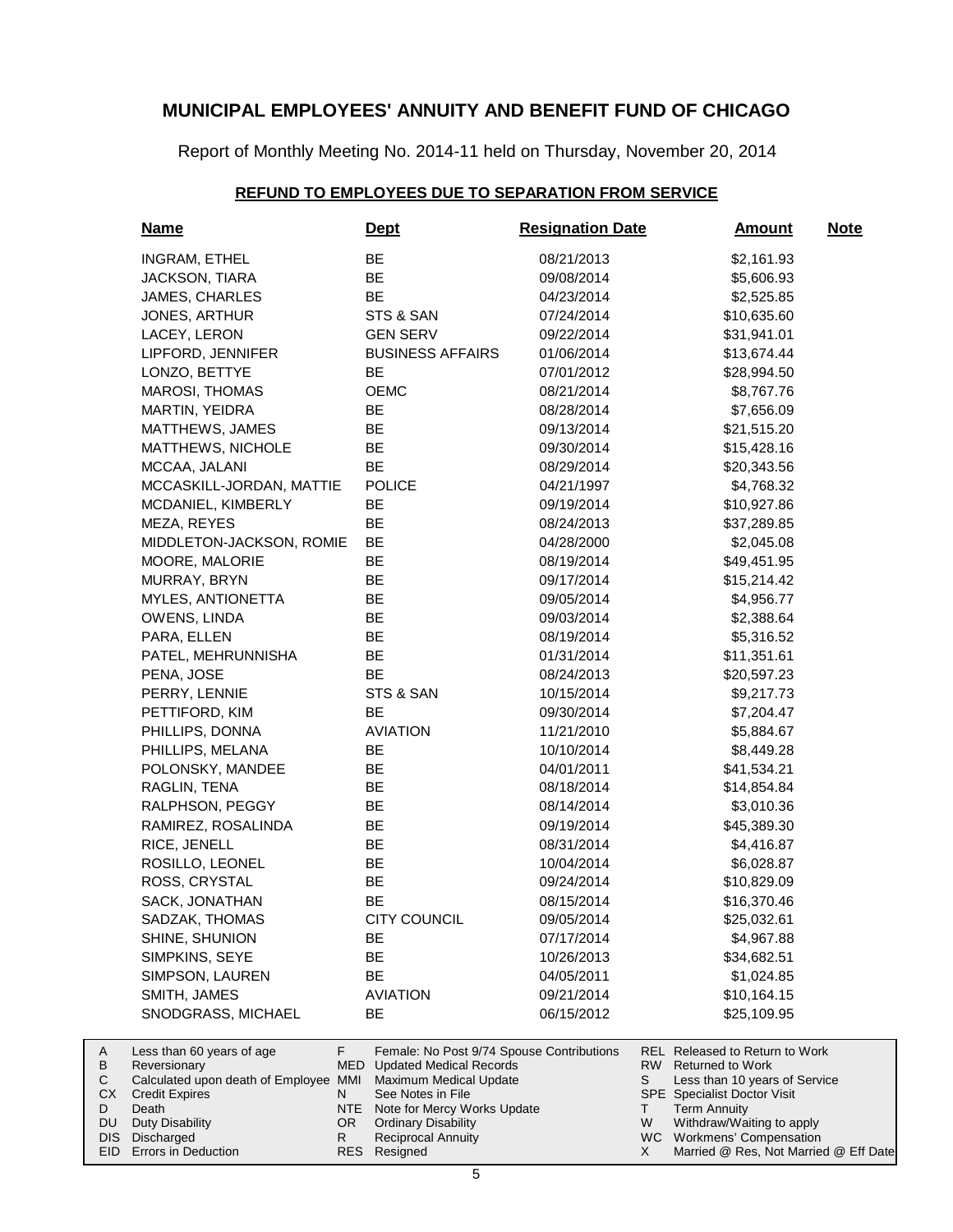Report of Monthly Meeting No. 2014-11 held on Thursday, November 20, 2014

#### **REFUND TO EMPLOYEES DUE TO SEPARATION FROM SERVICE**

| <u>Name</u>                                                                                                                                                                                        | <b>Dept</b>                                                                                                                                                                                                          | <b>Resignation Date</b> | <b>Amount</b>                                                                                                                                                                                                                                  | <u>Note</u> |
|----------------------------------------------------------------------------------------------------------------------------------------------------------------------------------------------------|----------------------------------------------------------------------------------------------------------------------------------------------------------------------------------------------------------------------|-------------------------|------------------------------------------------------------------------------------------------------------------------------------------------------------------------------------------------------------------------------------------------|-------------|
| INGRAM, ETHEL                                                                                                                                                                                      | BE                                                                                                                                                                                                                   | 08/21/2013              | \$2,161.93                                                                                                                                                                                                                                     |             |
| JACKSON, TIARA                                                                                                                                                                                     | BE                                                                                                                                                                                                                   | 09/08/2014              | \$5,606.93                                                                                                                                                                                                                                     |             |
| JAMES, CHARLES                                                                                                                                                                                     | <b>BE</b>                                                                                                                                                                                                            | 04/23/2014              | \$2,525.85                                                                                                                                                                                                                                     |             |
| JONES, ARTHUR                                                                                                                                                                                      | STS & SAN                                                                                                                                                                                                            | 07/24/2014              | \$10,635.60                                                                                                                                                                                                                                    |             |
| LACEY, LERON                                                                                                                                                                                       | <b>GEN SERV</b>                                                                                                                                                                                                      | 09/22/2014              | \$31,941.01                                                                                                                                                                                                                                    |             |
| LIPFORD, JENNIFER                                                                                                                                                                                  | <b>BUSINESS AFFAIRS</b>                                                                                                                                                                                              | 01/06/2014              | \$13,674.44                                                                                                                                                                                                                                    |             |
| LONZO, BETTYE                                                                                                                                                                                      | <b>BE</b>                                                                                                                                                                                                            | 07/01/2012              | \$28,994.50                                                                                                                                                                                                                                    |             |
| MAROSI, THOMAS                                                                                                                                                                                     | <b>OEMC</b>                                                                                                                                                                                                          | 08/21/2014              | \$8,767.76                                                                                                                                                                                                                                     |             |
| MARTIN, YEIDRA                                                                                                                                                                                     | BE                                                                                                                                                                                                                   | 08/28/2014              | \$7,656.09                                                                                                                                                                                                                                     |             |
| MATTHEWS, JAMES                                                                                                                                                                                    | BE                                                                                                                                                                                                                   | 09/13/2014              | \$21,515.20                                                                                                                                                                                                                                    |             |
| MATTHEWS, NICHOLE                                                                                                                                                                                  | BE                                                                                                                                                                                                                   | 09/30/2014              | \$15,428.16                                                                                                                                                                                                                                    |             |
| MCCAA, JALANI                                                                                                                                                                                      | BE                                                                                                                                                                                                                   | 08/29/2014              | \$20,343.56                                                                                                                                                                                                                                    |             |
| MCCASKILL-JORDAN, MATTIE                                                                                                                                                                           | <b>POLICE</b>                                                                                                                                                                                                        | 04/21/1997              | \$4,768.32                                                                                                                                                                                                                                     |             |
| MCDANIEL, KIMBERLY                                                                                                                                                                                 | BE                                                                                                                                                                                                                   | 09/19/2014              | \$10,927.86                                                                                                                                                                                                                                    |             |
| MEZA, REYES                                                                                                                                                                                        | BE                                                                                                                                                                                                                   | 08/24/2013              | \$37,289.85                                                                                                                                                                                                                                    |             |
| MIDDLETON-JACKSON, ROMIE                                                                                                                                                                           | BE                                                                                                                                                                                                                   | 04/28/2000              | \$2,045.08                                                                                                                                                                                                                                     |             |
| MOORE, MALORIE                                                                                                                                                                                     | <b>BE</b>                                                                                                                                                                                                            | 08/19/2014              | \$49,451.95                                                                                                                                                                                                                                    |             |
| MURRAY, BRYN                                                                                                                                                                                       | BE                                                                                                                                                                                                                   | 09/17/2014              | \$15,214.42                                                                                                                                                                                                                                    |             |
| MYLES, ANTIONETTA                                                                                                                                                                                  | BE                                                                                                                                                                                                                   | 09/05/2014              | \$4,956.77                                                                                                                                                                                                                                     |             |
| OWENS, LINDA                                                                                                                                                                                       | BE                                                                                                                                                                                                                   | 09/03/2014              | \$2,388.64                                                                                                                                                                                                                                     |             |
| PARA, ELLEN                                                                                                                                                                                        | BE                                                                                                                                                                                                                   | 08/19/2014              | \$5,316.52                                                                                                                                                                                                                                     |             |
| PATEL, MEHRUNNISHA                                                                                                                                                                                 | BE                                                                                                                                                                                                                   | 01/31/2014              | \$11,351.61                                                                                                                                                                                                                                    |             |
| PENA, JOSE                                                                                                                                                                                         | BE                                                                                                                                                                                                                   | 08/24/2013              | \$20,597.23                                                                                                                                                                                                                                    |             |
| PERRY, LENNIE                                                                                                                                                                                      | STS & SAN                                                                                                                                                                                                            | 10/15/2014              | \$9,217.73                                                                                                                                                                                                                                     |             |
| PETTIFORD, KIM                                                                                                                                                                                     | BE                                                                                                                                                                                                                   | 09/30/2014              | \$7,204.47                                                                                                                                                                                                                                     |             |
| PHILLIPS, DONNA                                                                                                                                                                                    | <b>AVIATION</b>                                                                                                                                                                                                      | 11/21/2010              | \$5,884.67                                                                                                                                                                                                                                     |             |
| PHILLIPS, MELANA                                                                                                                                                                                   | BE                                                                                                                                                                                                                   | 10/10/2014              | \$8,449.28                                                                                                                                                                                                                                     |             |
| POLONSKY, MANDEE                                                                                                                                                                                   | BE                                                                                                                                                                                                                   | 04/01/2011              | \$41,534.21                                                                                                                                                                                                                                    |             |
| RAGLIN, TENA                                                                                                                                                                                       | BE                                                                                                                                                                                                                   | 08/18/2014              | \$14,854.84                                                                                                                                                                                                                                    |             |
| RALPHSON, PEGGY                                                                                                                                                                                    | BE                                                                                                                                                                                                                   | 08/14/2014              | \$3,010.36                                                                                                                                                                                                                                     |             |
| RAMIREZ, ROSALINDA                                                                                                                                                                                 | BE                                                                                                                                                                                                                   | 09/19/2014              | \$45,389.30                                                                                                                                                                                                                                    |             |
| RICE, JENELL                                                                                                                                                                                       | BE                                                                                                                                                                                                                   | 08/31/2014              | \$4,416.87                                                                                                                                                                                                                                     |             |
| ROSILLO, LEONEL                                                                                                                                                                                    | BE                                                                                                                                                                                                                   | 10/04/2014              | \$6,028.87                                                                                                                                                                                                                                     |             |
| ROSS, CRYSTAL                                                                                                                                                                                      | BE                                                                                                                                                                                                                   | 09/24/2014              | \$10,829.09                                                                                                                                                                                                                                    |             |
| SACK, JONATHAN                                                                                                                                                                                     | BE                                                                                                                                                                                                                   | 08/15/2014              | \$16,370.46                                                                                                                                                                                                                                    |             |
| SADZAK, THOMAS                                                                                                                                                                                     | <b>CITY COUNCIL</b>                                                                                                                                                                                                  | 09/05/2014              | \$25,032.61                                                                                                                                                                                                                                    |             |
| SHINE, SHUNION                                                                                                                                                                                     | BE                                                                                                                                                                                                                   | 07/17/2014              | \$4,967.88                                                                                                                                                                                                                                     |             |
| SIMPKINS, SEYE                                                                                                                                                                                     | BE                                                                                                                                                                                                                   | 10/26/2013              | \$34,682.51                                                                                                                                                                                                                                    |             |
| SIMPSON, LAUREN                                                                                                                                                                                    | <b>BE</b>                                                                                                                                                                                                            | 04/05/2011              | \$1,024.85                                                                                                                                                                                                                                     |             |
| SMITH, JAMES                                                                                                                                                                                       | <b>AVIATION</b>                                                                                                                                                                                                      | 09/21/2014              | \$10,164.15                                                                                                                                                                                                                                    |             |
| SNODGRASS, MICHAEL                                                                                                                                                                                 | BE                                                                                                                                                                                                                   | 06/15/2012              | \$25,109.95                                                                                                                                                                                                                                    |             |
| F.<br>Less than 60 years of age<br>MED<br>Reversionary<br>Calculated upon death of Employee MMI<br>N<br><b>Credit Expires</b><br>Death<br>NTE.<br><b>Duty Disability</b><br>OR.<br>R<br>Discharged | Female: No Post 9/74 Spouse Contributions<br><b>Updated Medical Records</b><br>Maximum Medical Update<br>See Notes in File<br>Note for Mercy Works Update<br><b>Ordinary Disability</b><br><b>Reciprocal Annuity</b> |                         | <b>REL Released to Return to Work</b><br>RW.<br><b>Returned to Work</b><br>S<br>Less than 10 years of Service<br><b>SPE</b> Specialist Doctor Visit<br>Τ<br><b>Term Annuity</b><br>W<br>Withdraw/Waiting to apply<br>WC Workmens' Compensation |             |

DIS Discharged EID Errors in Deduction

A B  $\mathbf C$ CX D DU

Resigned RES

Married @ Res, Not Married @ Eff Date

X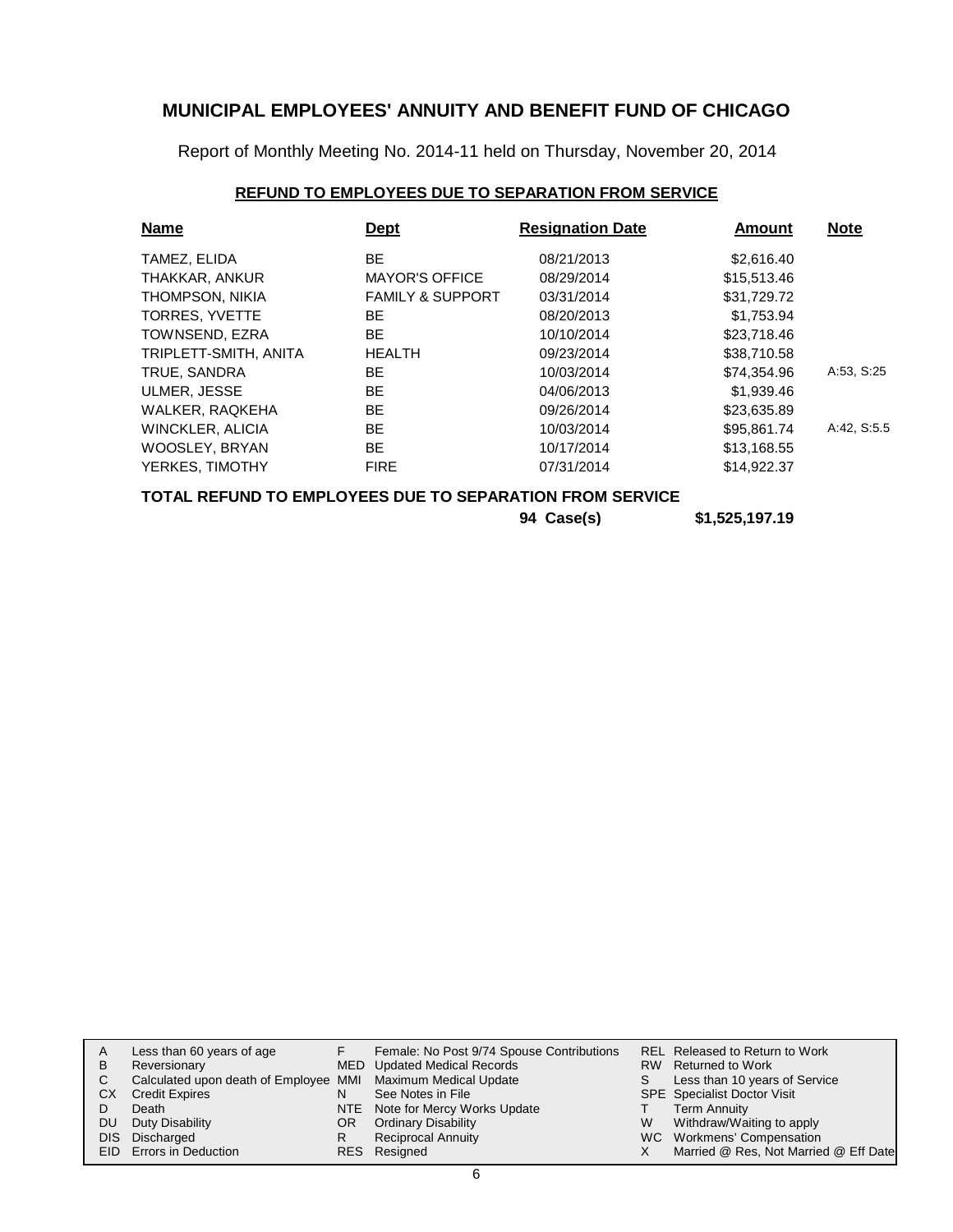Report of Monthly Meeting No. 2014-11 held on Thursday, November 20, 2014

### **REFUND TO EMPLOYEES DUE TO SEPARATION FROM SERVICE**

| <b>Name</b>                                              | <b>Dept</b>                 | <b>Resignation Date</b> | <b>Amount</b> | <b>Note</b> |  |  |  |
|----------------------------------------------------------|-----------------------------|-------------------------|---------------|-------------|--|--|--|
| TAMEZ, ELIDA                                             | BE.                         | 08/21/2013              | \$2,616.40    |             |  |  |  |
| THAKKAR, ANKUR                                           | <b>MAYOR'S OFFICE</b>       | 08/29/2014              | \$15,513.46   |             |  |  |  |
| THOMPSON, NIKIA                                          | <b>FAMILY &amp; SUPPORT</b> | 03/31/2014              | \$31,729.72   |             |  |  |  |
| TORRES, YVETTE                                           | BE.                         | 08/20/2013              | \$1,753.94    |             |  |  |  |
| TOWNSEND, EZRA                                           | <b>BE</b>                   | 10/10/2014              | \$23,718.46   |             |  |  |  |
| TRIPLETT-SMITH, ANITA                                    | <b>HEALTH</b>               | 09/23/2014              | \$38,710.58   |             |  |  |  |
| TRUE, SANDRA                                             | BE.                         | 10/03/2014              | \$74,354.96   | A:53, S:25  |  |  |  |
| ULMER, JESSE                                             | BE.                         | 04/06/2013              | \$1,939.46    |             |  |  |  |
| WALKER, RAQKEHA                                          | BE.                         | 09/26/2014              | \$23,635.89   |             |  |  |  |
| WINCKLER, ALICIA                                         | BE.                         | 10/03/2014              | \$95,861.74   | A:42, S:5.5 |  |  |  |
| WOOSLEY, BRYAN                                           | BE.                         | 10/17/2014              | \$13,168.55   |             |  |  |  |
| YERKES, TIMOTHY                                          | <b>FIRE</b>                 | 07/31/2014              | \$14,922.37   |             |  |  |  |
| TOTAL REFUND TO EMPLOYEES DUE TO SEPARATION FROM SERVICE |                             |                         |               |             |  |  |  |

| 94 Case(s) | \$1,525,197.19 |
|------------|----------------|
|            |                |

| Α<br>В | Less than 60 years of age<br>Reversionary                    |     | Female: No Post 9/74 Spouse Contributions<br>MED Updated Medical Records |    | REL Released to Return to Work<br>RW Returned to Work |
|--------|--------------------------------------------------------------|-----|--------------------------------------------------------------------------|----|-------------------------------------------------------|
|        | Calculated upon death of Employee MMI Maximum Medical Update |     |                                                                          | S. | Less than 10 years of Service                         |
| CХ     | <b>Credit Expires</b>                                        | N   | See Notes in File                                                        |    | <b>SPE</b> Specialist Doctor Visit                    |
|        | Death                                                        |     | NTE Note for Mercy Works Update                                          |    | <b>Term Annuity</b>                                   |
| DU     | Duty Disability                                              | OR. | <b>Ordinary Disability</b>                                               | W  | Withdraw/Waiting to apply                             |
|        | DIS Discharged                                               |     | <b>Reciprocal Annuity</b>                                                |    | WC Workmens' Compensation                             |
|        | EID Errors in Deduction                                      |     | RES Resigned                                                             |    | Married @ Res, Not Married @ Eff Date                 |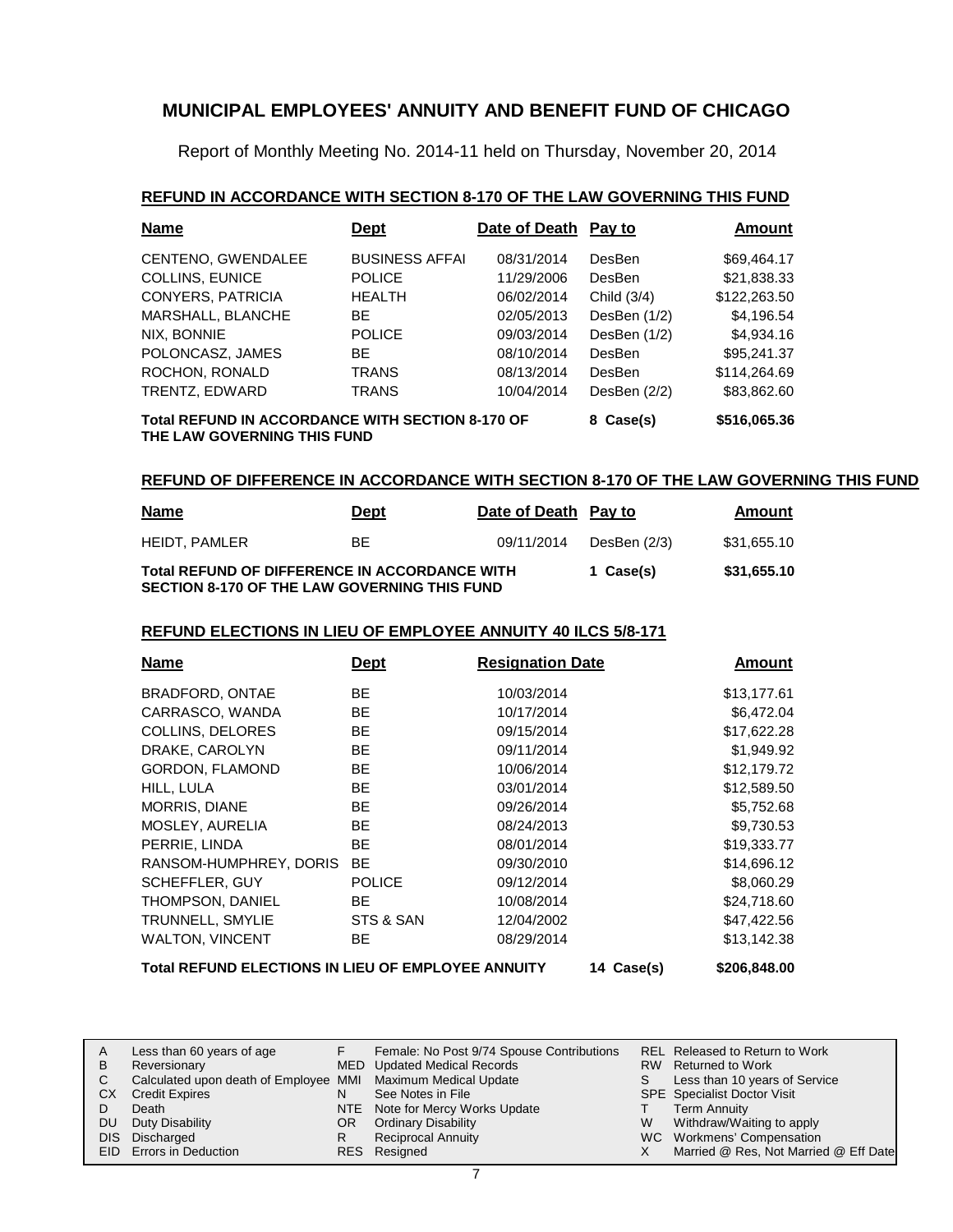Report of Monthly Meeting No. 2014-11 held on Thursday, November 20, 2014

#### **REFUND IN ACCORDANCE WITH SECTION 8-170 OF THE LAW GOVERNING THIS FUND**

| Name                                                                                   | <b>Dept</b>           | Date of Death Pay to |              | Amount       |
|----------------------------------------------------------------------------------------|-----------------------|----------------------|--------------|--------------|
| CENTENO, GWENDALEE                                                                     | <b>BUSINESS AFFAI</b> | 08/31/2014           | DesBen       | \$69,464.17  |
| COLLINS, EUNICE                                                                        | <b>POLICE</b>         | 11/29/2006           | DesBen       | \$21,838.33  |
| <b>CONYERS, PATRICIA</b>                                                               | <b>HEALTH</b>         | 06/02/2014           | Child (3/4)  | \$122,263.50 |
| MARSHALL, BLANCHE                                                                      | BF.                   | 02/05/2013           | DesBen (1/2) | \$4,196.54   |
| NIX, BONNIE                                                                            | <b>POLICE</b>         | 09/03/2014           | DesBen (1/2) | \$4,934.16   |
| POLONCASZ, JAMES                                                                       | ВF                    | 08/10/2014           | DesBen       | \$95,241.37  |
| ROCHON, RONALD                                                                         | <b>TRANS</b>          | 08/13/2014           | DesBen       | \$114,264,69 |
| TRENTZ, EDWARD                                                                         | <b>TRANS</b>          | 10/04/2014           | DesBen (2/2) | \$83,862.60  |
| <b>Total REFUND IN ACCORDANCE WITH SECTION 8-170 OF</b><br>THE LAW GOVERNING THIS FUND | 8 Case(s)             | \$516,065.36         |              |              |

#### **REFUND OF DIFFERENCE IN ACCORDANCE WITH SECTION 8-170 OF THE LAW GOVERNING THIS FUND**

| <b>Name</b>                                                                                   | Date of Death Pay to<br><b>Dept</b> |            |              | Amount      |
|-----------------------------------------------------------------------------------------------|-------------------------------------|------------|--------------|-------------|
| <b>HEIDT, PAMLER</b>                                                                          | BЕ                                  | 09/11/2014 | DesBen (2/3) | \$31.655.10 |
| Total REFUND OF DIFFERENCE IN ACCORDANCE WITH<br>SECTION 8-170 OF THE LAW GOVERNING THIS FUND |                                     |            | 1 Case(s)    | \$31,655.10 |

#### **REFUND ELECTIONS IN LIEU OF EMPLOYEE ANNUITY 40 ILCS 5/8-171**

| <b>Name</b>                                               | <b>Dept</b>   | <b>Resignation Date</b> |  | Amount      |
|-----------------------------------------------------------|---------------|-------------------------|--|-------------|
| BRADFORD, ONTAE                                           | BE.           | 10/03/2014              |  | \$13,177.61 |
| CARRASCO, WANDA                                           | <b>BE</b>     | 10/17/2014              |  | \$6,472.04  |
| COLLINS, DELORES                                          | <b>BE</b>     | 09/15/2014              |  | \$17,622.28 |
| DRAKE, CAROLYN                                            | BE.           | 09/11/2014              |  | \$1,949.92  |
| <b>GORDON, FLAMOND</b>                                    | BE.           | 10/06/2014              |  | \$12,179.72 |
| HILL, LULA                                                | BE.           | 03/01/2014              |  | \$12,589.50 |
| MORRIS, DIANE                                             | BE.           | 09/26/2014              |  | \$5,752.68  |
| MOSLEY, AURELIA                                           | BE.           | 08/24/2013              |  | \$9,730.53  |
| PERRIE, LINDA                                             | BE.           | 08/01/2014              |  | \$19,333.77 |
| RANSOM-HUMPHREY, DORIS                                    | <b>BE</b>     | 09/30/2010              |  | \$14,696.12 |
| <b>SCHEFFLER, GUY</b>                                     | <b>POLICE</b> | 09/12/2014              |  | \$8,060.29  |
| THOMPSON, DANIEL                                          | BE.           | 10/08/2014              |  | \$24,718.60 |
| TRUNNELL, SMYLIE                                          | STS & SAN     | 12/04/2002              |  | \$47,422.56 |
| <b>WALTON, VINCENT</b>                                    | BE            | 08/29/2014              |  | \$13,142.38 |
| <b>Total REFUND ELECTIONS IN LIEU OF EMPLOYEE ANNUITY</b> | 14 Case(s)    | \$206.848.00            |  |             |

Less than 60 years of age Reversionary Calculated upon death of Employee MMI Maximum Medical Update CX Credit Expires Death DU Duty Disability DIS Discharged EID Errors in Deduction Released to Return to Work Returned to Work S Less than 10 years of Service SPE Specialist Doctor Visit Term Annuity W Withdraw/Waiting to apply WC Workmens' Compensation X Married @ Res, Not Married @ Eff Date A B C D REL RW T Female: No Post 9/74 Spouse Contributions Updated Medical Records See Notes in File NTE Note for Mercy Works Update OR Ordinary Disability Reciprocal Annuity Resigned RESF **MED** Updated Medical Records N R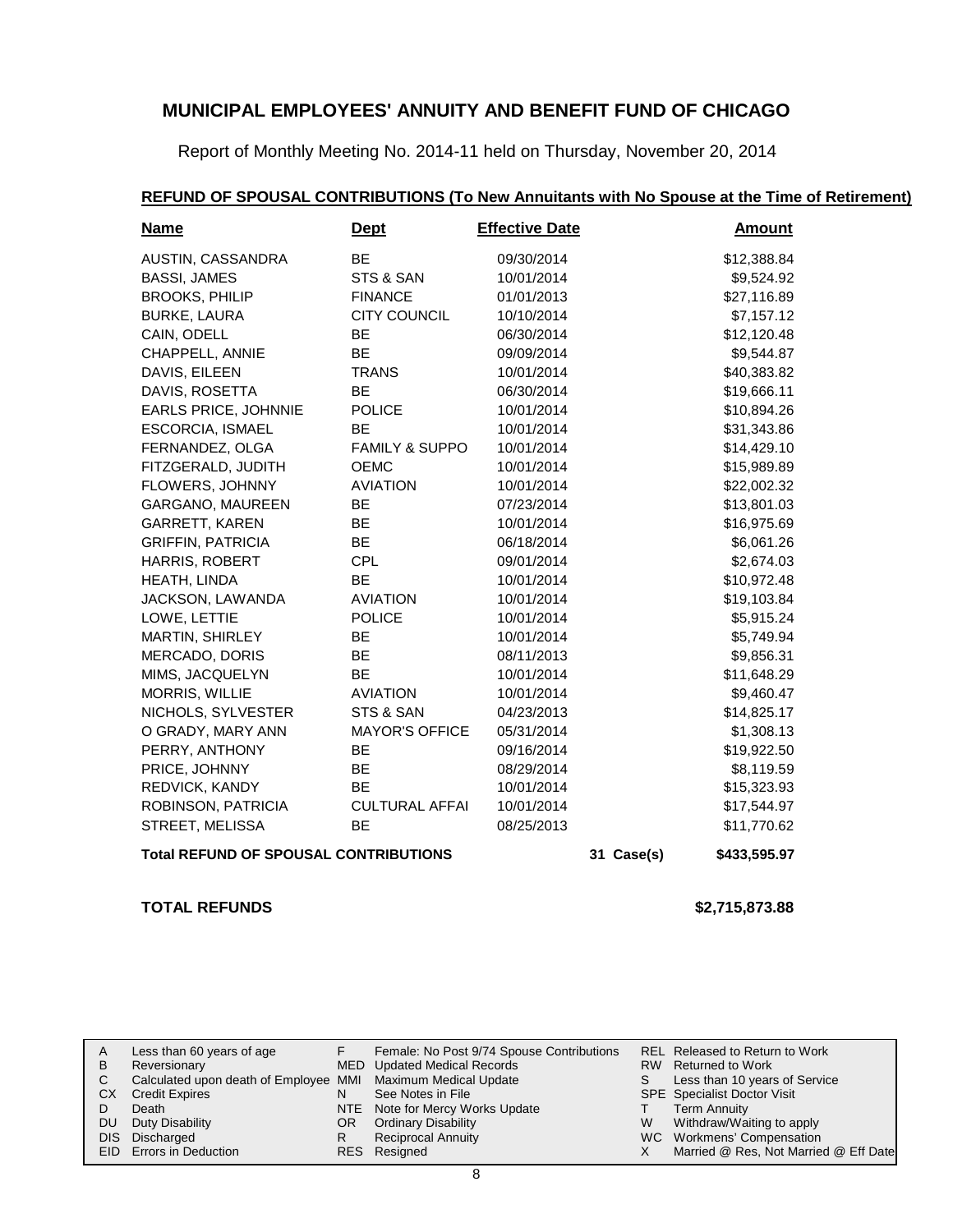Report of Monthly Meeting No. 2014-11 held on Thursday, November 20, 2014

| <b>Name</b>                                  | <b>Dept</b>               | <b>Effective Date</b> |            | <b>Amount</b> |
|----------------------------------------------|---------------------------|-----------------------|------------|---------------|
| AUSTIN, CASSANDRA                            | <b>BE</b>                 | 09/30/2014            |            | \$12,388.84   |
| <b>BASSI, JAMES</b>                          | STS & SAN                 | 10/01/2014            |            | \$9,524.92    |
| <b>BROOKS, PHILIP</b>                        | <b>FINANCE</b>            | 01/01/2013            |            | \$27,116.89   |
| <b>BURKE, LAURA</b>                          | <b>CITY COUNCIL</b>       | 10/10/2014            |            | \$7,157.12    |
| CAIN, ODELL                                  | BE                        | 06/30/2014            |            | \$12,120.48   |
| CHAPPELL, ANNIE                              | <b>BE</b>                 | 09/09/2014            |            | \$9,544.87    |
| DAVIS, EILEEN                                | <b>TRANS</b>              | 10/01/2014            |            | \$40,383.82   |
| DAVIS, ROSETTA                               | BE                        | 06/30/2014            |            | \$19,666.11   |
| <b>EARLS PRICE, JOHNNIE</b>                  | <b>POLICE</b>             | 10/01/2014            |            | \$10,894.26   |
| <b>ESCORCIA, ISMAEL</b>                      | <b>BE</b>                 | 10/01/2014            |            | \$31,343.86   |
| FERNANDEZ, OLGA                              | <b>FAMILY &amp; SUPPO</b> | 10/01/2014            |            | \$14,429.10   |
| FITZGERALD, JUDITH                           | <b>OEMC</b>               | 10/01/2014            |            | \$15,989.89   |
| FLOWERS, JOHNNY                              | <b>AVIATION</b>           | 10/01/2014            |            | \$22,002.32   |
| GARGANO, MAUREEN                             | BE                        | 07/23/2014            |            | \$13,801.03   |
| GARRETT, KAREN                               | BE                        | 10/01/2014            |            | \$16,975.69   |
| <b>GRIFFIN, PATRICIA</b>                     | <b>BE</b>                 | 06/18/2014            |            | \$6,061.26    |
| HARRIS, ROBERT                               | <b>CPL</b>                | 09/01/2014            |            | \$2,674.03    |
| HEATH, LINDA                                 | <b>BE</b>                 | 10/01/2014            |            | \$10,972.48   |
| JACKSON, LAWANDA                             | <b>AVIATION</b>           | 10/01/2014            |            | \$19,103.84   |
| LOWE, LETTIE                                 | <b>POLICE</b>             | 10/01/2014            |            | \$5,915.24    |
| MARTIN, SHIRLEY                              | BE                        | 10/01/2014            |            | \$5,749.94    |
| MERCADO, DORIS                               | BE                        | 08/11/2013            |            | \$9,856.31    |
| MIMS, JACQUELYN                              | <b>BE</b>                 | 10/01/2014            |            | \$11,648.29   |
| <b>MORRIS, WILLIE</b>                        | <b>AVIATION</b>           | 10/01/2014            |            | \$9,460.47    |
| NICHOLS, SYLVESTER                           | STS & SAN                 | 04/23/2013            |            | \$14,825.17   |
| O GRADY, MARY ANN                            | <b>MAYOR'S OFFICE</b>     | 05/31/2014            |            | \$1,308.13    |
| PERRY, ANTHONY                               | <b>BE</b>                 | 09/16/2014            |            | \$19,922.50   |
| PRICE, JOHNNY                                | BE                        | 08/29/2014            |            | \$8,119.59    |
| REDVICK, KANDY                               | <b>BE</b>                 | 10/01/2014            |            | \$15,323.93   |
| ROBINSON, PATRICIA                           | <b>CULTURAL AFFAI</b>     | 10/01/2014            |            | \$17,544.97   |
| STREET, MELISSA                              | <b>BE</b>                 | 08/25/2013            |            | \$11,770.62   |
| <b>Total REFUND OF SPOUSAL CONTRIBUTIONS</b> |                           |                       | 31 Case(s) | \$433,595.97  |

### **REFUND OF SPOUSAL CONTRIBUTIONS (To New Annuitants with No Spouse at the Time of Retirement)**

**TOTAL REFUNDS \$2,715,873.88**

| A          | Less than 60 years of age                                    |     | Female: No Post 9/74 Spouse Contributions |    | REL Released to Return to Work        |
|------------|--------------------------------------------------------------|-----|-------------------------------------------|----|---------------------------------------|
| B          | Reversionary                                                 |     | MED Updated Medical Records               |    | RW Returned to Work                   |
|            | Calculated upon death of Employee MMI Maximum Medical Update |     |                                           | S. | Less than 10 years of Service         |
| CХ         | <b>Credit Expires</b>                                        | N   | See Notes in File                         |    | <b>SPE</b> Specialist Doctor Visit    |
|            | Death                                                        |     | NTE Note for Mercy Works Update           |    | Term Annuity                          |
| DU         | Duty Disability                                              | OR. | <b>Ordinary Disability</b>                | W  | Withdraw/Waiting to apply             |
| <b>DIS</b> | Discharged                                                   | R   | <b>Reciprocal Annuity</b>                 |    | WC Workmens' Compensation             |
|            | EID Errors in Deduction                                      |     | RES Resigned                              |    | Married @ Res, Not Married @ Eff Date |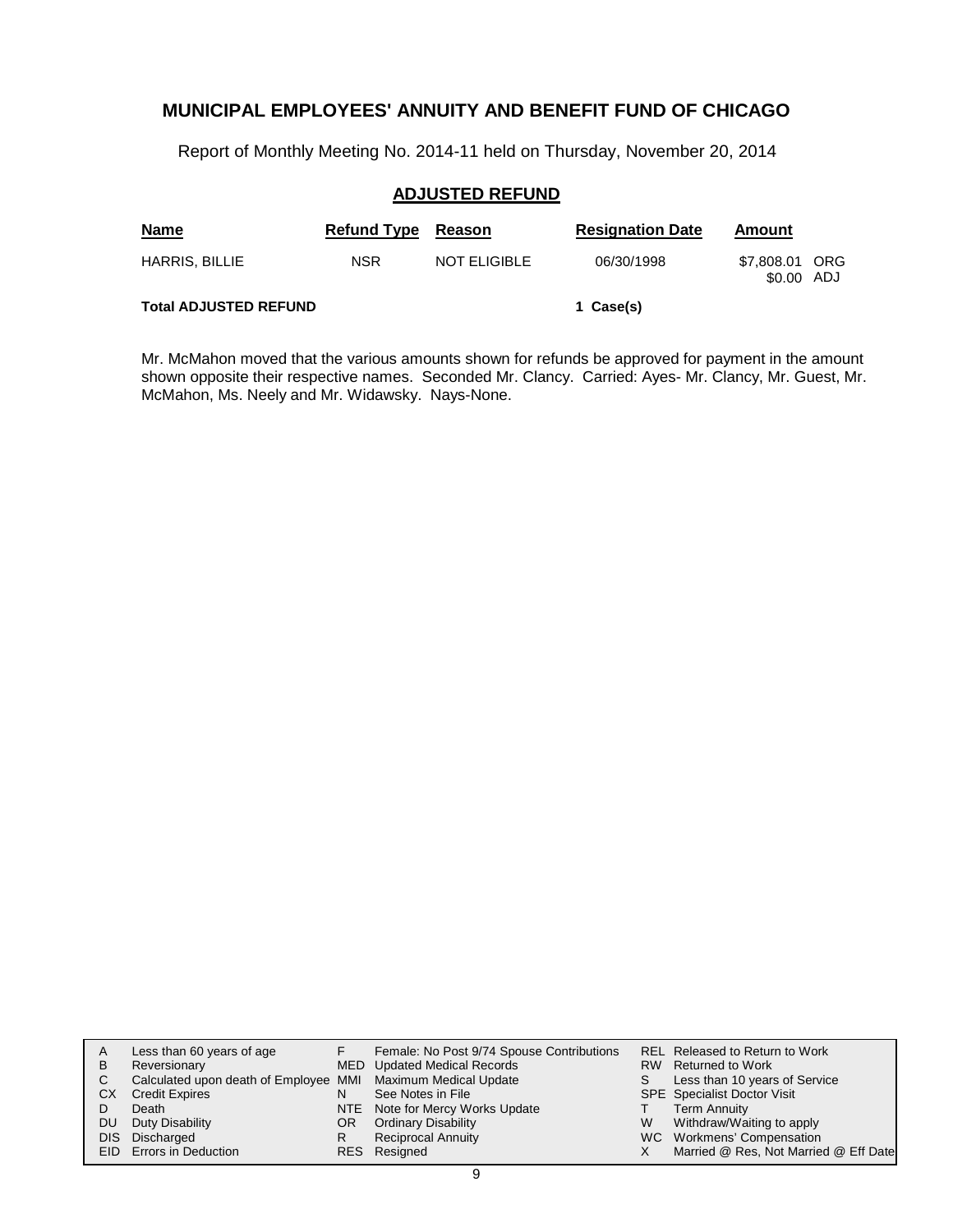Report of Monthly Meeting No. 2014-11 held on Thursday, November 20, 2014

#### **ADJUSTED REFUND**

| <b>Name</b>                  | <b>Refund Type</b> | Reason       | <b>Resignation Date</b> | Amount                       |  |
|------------------------------|--------------------|--------------|-------------------------|------------------------------|--|
| <b>HARRIS, BILLIE</b>        | <b>NSR</b>         | NOT ELIGIBLE | 06/30/1998              | \$7,808.01 ORG<br>\$0.00 ADJ |  |
| <b>Total ADJUSTED REFUND</b> |                    |              | 1 Case(s)               |                              |  |

Mr. McMahon moved that the various amounts shown for refunds be approved for payment in the amount shown opposite their respective names. Seconded Mr. Clancy. Carried: Ayes- Mr. Clancy, Mr. Guest, Mr. McMahon, Ms. Neely and Mr. Widawsky. Nays-None.

| A  | Less than 60 years of age                                    |    | Female: No Post 9/74 Spouse Contributions |   | REL Released to Return to Work        |
|----|--------------------------------------------------------------|----|-------------------------------------------|---|---------------------------------------|
| в  | Reversionary                                                 |    | MED Updated Medical Records               |   | RW Returned to Work                   |
| C. | Calculated upon death of Employee MMI Maximum Medical Update |    |                                           | S | Less than 10 years of Service         |
| CХ | <b>Credit Expires</b>                                        | N  | See Notes in File                         |   | <b>SPE</b> Specialist Doctor Visit    |
|    | Death                                                        |    | NTE Note for Mercy Works Update           |   | <b>Term Annuity</b>                   |
| DU | Duty Disability                                              | OR | <b>Ordinary Disability</b>                | W | Withdraw/Waiting to apply             |
|    | DIS Discharged                                               | R  | <b>Reciprocal Annuity</b>                 |   | WC Workmens' Compensation             |
|    | <b>EID</b> Errors in Deduction                               |    | RES Resigned                              |   | Married @ Res, Not Married @ Eff Date |
|    |                                                              |    |                                           |   |                                       |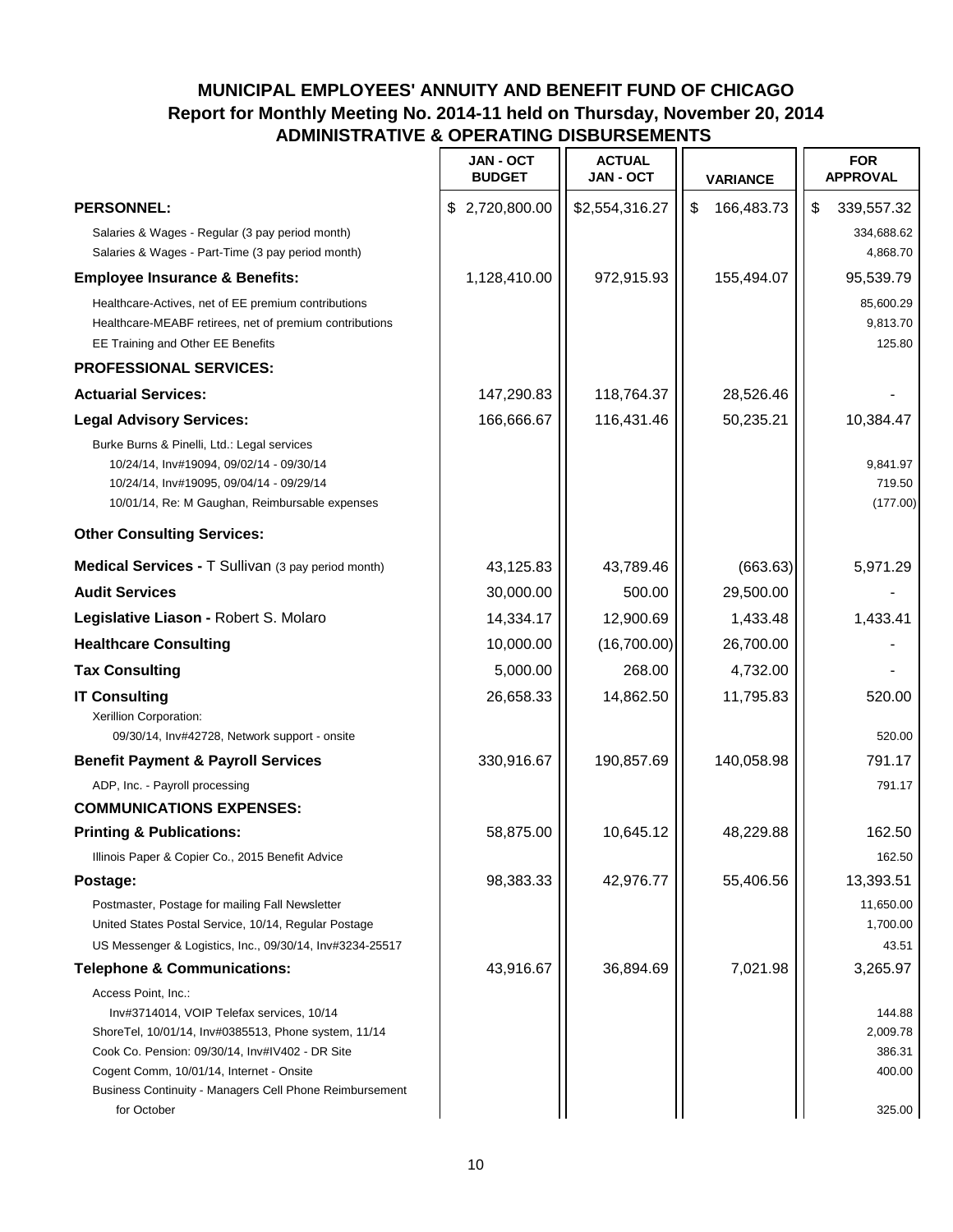|                                                                                                                                                                                                                                                                                                   | <b>JAN - OCT</b><br><b>BUDGET</b> | <b>ACTUAL</b><br>JAN - OCT | <b>VARIANCE</b>  | <b>FOR</b><br><b>APPROVAL</b>                    |
|---------------------------------------------------------------------------------------------------------------------------------------------------------------------------------------------------------------------------------------------------------------------------------------------------|-----------------------------------|----------------------------|------------------|--------------------------------------------------|
| <b>PERSONNEL:</b>                                                                                                                                                                                                                                                                                 | \$2,720,800.00                    | \$2,554,316.27             | \$<br>166,483.73 | \$<br>339,557.32                                 |
| Salaries & Wages - Regular (3 pay period month)<br>Salaries & Wages - Part-Time (3 pay period month)                                                                                                                                                                                              |                                   |                            |                  | 334,688.62<br>4,868.70                           |
| <b>Employee Insurance &amp; Benefits:</b>                                                                                                                                                                                                                                                         | 1,128,410.00                      | 972,915.93                 | 155,494.07       | 95,539.79                                        |
| Healthcare-Actives, net of EE premium contributions<br>Healthcare-MEABF retirees, net of premium contributions<br>EE Training and Other EE Benefits                                                                                                                                               |                                   |                            |                  | 85,600.29<br>9,813.70<br>125.80                  |
| <b>PROFESSIONAL SERVICES:</b>                                                                                                                                                                                                                                                                     |                                   |                            |                  |                                                  |
| <b>Actuarial Services:</b>                                                                                                                                                                                                                                                                        | 147,290.83                        | 118,764.37                 | 28,526.46        |                                                  |
| <b>Legal Advisory Services:</b>                                                                                                                                                                                                                                                                   | 166,666.67                        | 116,431.46                 | 50,235.21        | 10,384.47                                        |
| Burke Burns & Pinelli, Ltd.: Legal services<br>10/24/14, Inv#19094, 09/02/14 - 09/30/14<br>10/24/14, Inv#19095, 09/04/14 - 09/29/14<br>10/01/14, Re: M Gaughan, Reimbursable expenses                                                                                                             |                                   |                            |                  | 9,841.97<br>719.50<br>(177.00)                   |
| <b>Other Consulting Services:</b>                                                                                                                                                                                                                                                                 |                                   |                            |                  |                                                  |
| Medical Services - T Sullivan (3 pay period month)                                                                                                                                                                                                                                                | 43,125.83                         | 43,789.46                  | (663.63)         | 5,971.29                                         |
| <b>Audit Services</b>                                                                                                                                                                                                                                                                             | 30,000.00                         | 500.00                     | 29,500.00        |                                                  |
| Legislative Liason - Robert S. Molaro                                                                                                                                                                                                                                                             | 14,334.17                         | 12,900.69                  | 1,433.48         | 1,433.41                                         |
| <b>Healthcare Consulting</b>                                                                                                                                                                                                                                                                      | 10,000.00                         | (16,700.00)                | 26,700.00        |                                                  |
| <b>Tax Consulting</b>                                                                                                                                                                                                                                                                             | 5,000.00                          | 268.00                     | 4,732.00         |                                                  |
| <b>IT Consulting</b><br>Xerillion Corporation:<br>09/30/14, Inv#42728, Network support - onsite                                                                                                                                                                                                   | 26,658.33                         | 14,862.50                  | 11,795.83        | 520.00<br>520.00                                 |
| <b>Benefit Payment &amp; Payroll Services</b>                                                                                                                                                                                                                                                     | 330,916.67                        | 190,857.69                 | 140,058.98       | 791.17                                           |
| ADP, Inc. - Payroll processing                                                                                                                                                                                                                                                                    |                                   |                            |                  | 791.17                                           |
| <b>COMMUNICATIONS EXPENSES:</b>                                                                                                                                                                                                                                                                   |                                   |                            |                  |                                                  |
| <b>Printing &amp; Publications:</b>                                                                                                                                                                                                                                                               | 58,875.00                         | 10,645.12                  | 48,229.88        | 162.50                                           |
| Illinois Paper & Copier Co., 2015 Benefit Advice                                                                                                                                                                                                                                                  |                                   |                            |                  | 162.50                                           |
| Postage:                                                                                                                                                                                                                                                                                          | 98,383.33                         | 42,976.77                  | 55,406.56        | 13,393.51                                        |
| Postmaster, Postage for mailing Fall Newsletter<br>United States Postal Service, 10/14, Regular Postage<br>US Messenger & Logistics, Inc., 09/30/14, Inv#3234-25517                                                                                                                               |                                   |                            |                  | 11,650.00<br>1,700.00<br>43.51                   |
| <b>Telephone &amp; Communications:</b>                                                                                                                                                                                                                                                            | 43,916.67                         | 36,894.69                  | 7,021.98         | 3,265.97                                         |
| Access Point, Inc.:<br>Inv#3714014, VOIP Telefax services, 10/14<br>ShoreTel, 10/01/14, Inv#0385513, Phone system, 11/14<br>Cook Co. Pension: 09/30/14, Inv#IV402 - DR Site<br>Cogent Comm, 10/01/14, Internet - Onsite<br>Business Continuity - Managers Cell Phone Reimbursement<br>for October |                                   |                            |                  | 144.88<br>2,009.78<br>386.31<br>400.00<br>325.00 |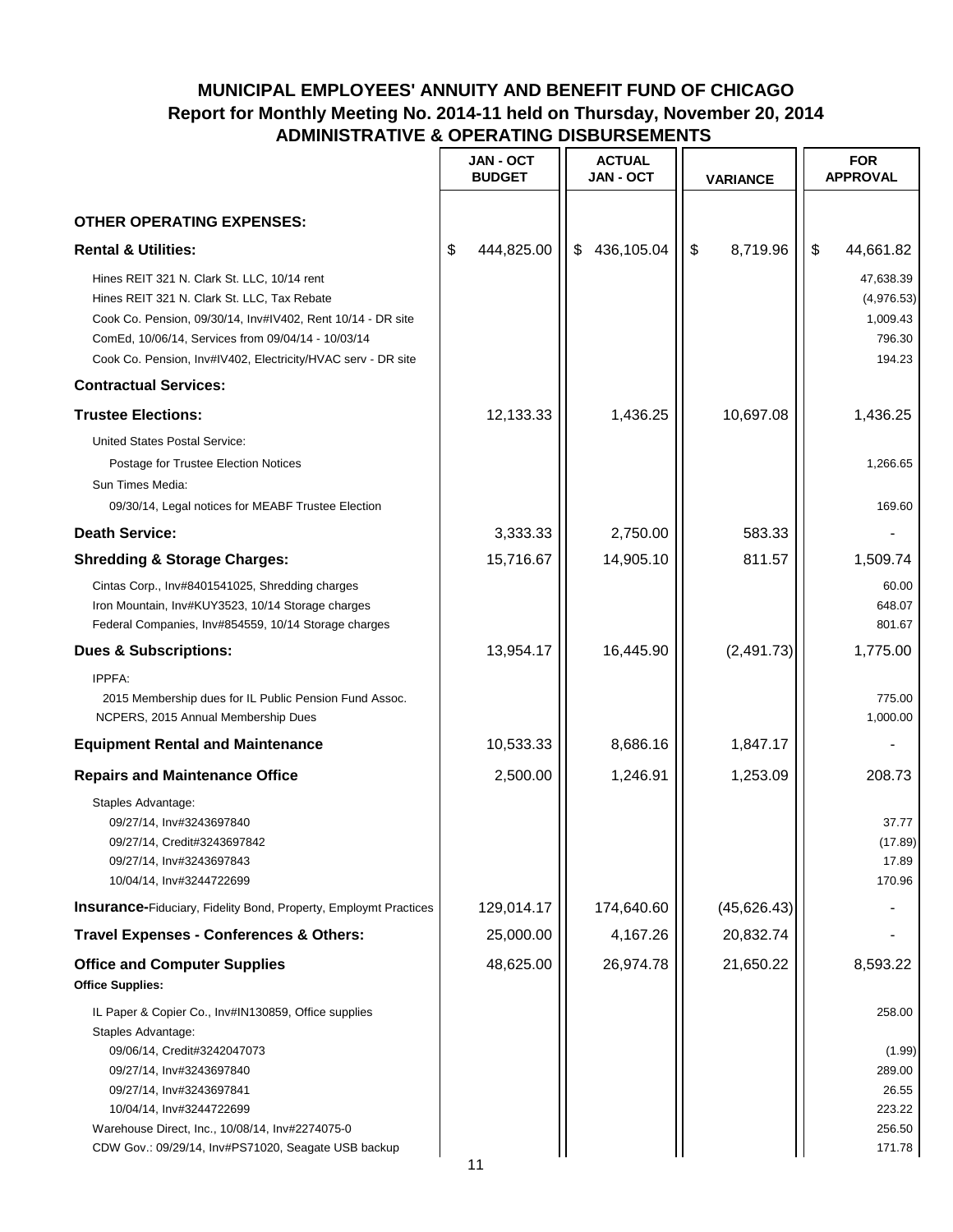|                                                                                                                                                                                                                                                                                                         | <b>JAN - OCT</b><br><b>BUDGET</b> | <b>ACTUAL</b><br><b>JAN - OCT</b> | VARIANCE       | <b>FOR</b><br><b>APPROVAL</b>                                     |  |
|---------------------------------------------------------------------------------------------------------------------------------------------------------------------------------------------------------------------------------------------------------------------------------------------------------|-----------------------------------|-----------------------------------|----------------|-------------------------------------------------------------------|--|
| <b>OTHER OPERATING EXPENSES:</b>                                                                                                                                                                                                                                                                        |                                   |                                   |                |                                                                   |  |
| <b>Rental &amp; Utilities:</b>                                                                                                                                                                                                                                                                          | 444,825.00<br>\$                  | \$<br>436,105.04                  | \$<br>8,719.96 | \$<br>44,661.82                                                   |  |
| Hines REIT 321 N. Clark St. LLC, 10/14 rent<br>Hines REIT 321 N. Clark St. LLC, Tax Rebate<br>Cook Co. Pension, 09/30/14, Inv#IV402, Rent 10/14 - DR site<br>ComEd, 10/06/14, Services from 09/04/14 - 10/03/14<br>Cook Co. Pension, Inv#IV402, Electricity/HVAC serv - DR site                         |                                   |                                   |                | 47,638.39<br>(4,976.53)<br>1,009.43<br>796.30<br>194.23           |  |
| <b>Contractual Services:</b>                                                                                                                                                                                                                                                                            |                                   |                                   |                |                                                                   |  |
| <b>Trustee Elections:</b>                                                                                                                                                                                                                                                                               | 12,133.33                         | 1,436.25                          | 10,697.08      | 1,436.25                                                          |  |
| <b>United States Postal Service:</b><br>Postage for Trustee Election Notices<br>Sun Times Media:<br>09/30/14, Legal notices for MEABF Trustee Election                                                                                                                                                  |                                   |                                   |                | 1.266.65<br>169.60                                                |  |
| <b>Death Service:</b>                                                                                                                                                                                                                                                                                   | 3,333.33                          | 2,750.00                          | 583.33         |                                                                   |  |
| <b>Shredding &amp; Storage Charges:</b>                                                                                                                                                                                                                                                                 | 15,716.67                         | 14,905.10                         | 811.57         | 1,509.74                                                          |  |
| Cintas Corp., Inv#8401541025, Shredding charges<br>Iron Mountain, Inv#KUY3523, 10/14 Storage charges<br>Federal Companies, Inv#854559, 10/14 Storage charges                                                                                                                                            |                                   |                                   |                | 60.00<br>648.07<br>801.67                                         |  |
| <b>Dues &amp; Subscriptions:</b>                                                                                                                                                                                                                                                                        | 13,954.17                         | 16,445.90                         | (2,491.73)     | 1,775.00                                                          |  |
| IPPFA:<br>2015 Membership dues for IL Public Pension Fund Assoc.<br>NCPERS, 2015 Annual Membership Dues                                                                                                                                                                                                 |                                   |                                   |                | 775.00<br>1,000.00                                                |  |
| <b>Equipment Rental and Maintenance</b>                                                                                                                                                                                                                                                                 | 10,533.33                         | 8,686.16                          | 1,847.17       |                                                                   |  |
| <b>Repairs and Maintenance Office</b>                                                                                                                                                                                                                                                                   | 2,500.00                          | 1,246.91                          | 1,253.09       | 208.73                                                            |  |
| Staples Advantage:<br>09/27/14, Inv#3243697840<br>09/27/14, Credit#3243697842<br>09/27/14, Inv#3243697843<br>10/04/14, Inv#3244722699                                                                                                                                                                   |                                   |                                   |                | 37.77<br>(17.89)<br>17.89<br>170.96                               |  |
| <b>Insurance-Fiduciary, Fidelity Bond, Property, Employmt Practices</b>                                                                                                                                                                                                                                 | 129,014.17                        | 174,640.60                        | (45, 626.43)   |                                                                   |  |
| Travel Expenses - Conferences & Others:                                                                                                                                                                                                                                                                 | 25,000.00                         | 4,167.26                          | 20,832.74      |                                                                   |  |
| <b>Office and Computer Supplies</b><br><b>Office Supplies:</b>                                                                                                                                                                                                                                          | 48,625.00                         | 26,974.78                         | 21,650.22      | 8,593.22                                                          |  |
| IL Paper & Copier Co., Inv#IN130859, Office supplies<br>Staples Advantage:<br>09/06/14, Credit#3242047073<br>09/27/14, Inv#3243697840<br>09/27/14, Inv#3243697841<br>10/04/14, Inv#3244722699<br>Warehouse Direct, Inc., 10/08/14, Inv#2274075-0<br>CDW Gov.: 09/29/14, Inv#PS71020, Seagate USB backup |                                   |                                   |                | 258.00<br>(1.99)<br>289.00<br>26.55<br>223.22<br>256.50<br>171.78 |  |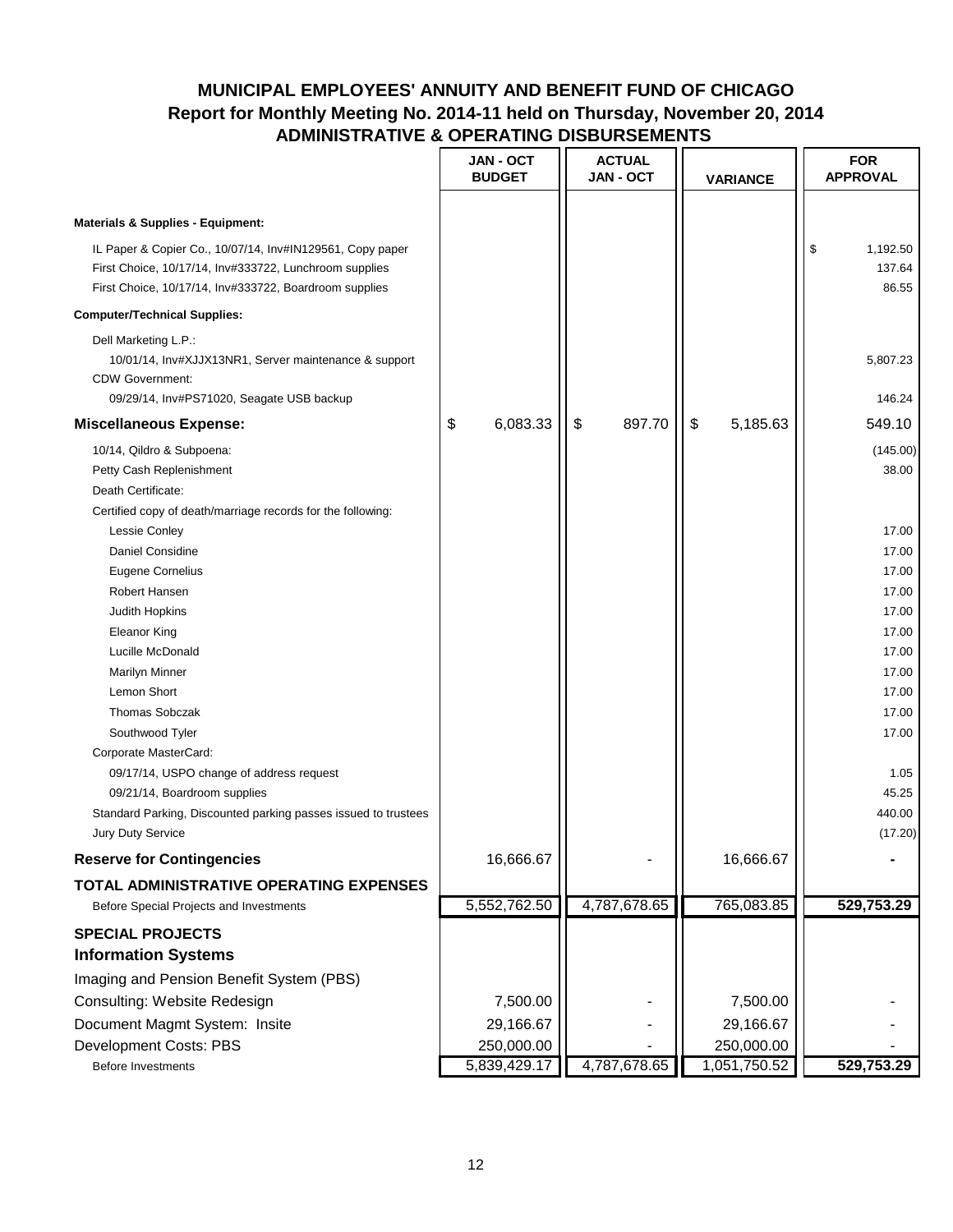|                                                                                                                                                                                                                               | JAN - OCT<br><b>BUDGET</b> | <b>ACTUAL</b><br><b>JAN - OCT</b> | <b>VARIANCE</b>            | <b>FOR</b><br><b>APPROVAL</b>      |
|-------------------------------------------------------------------------------------------------------------------------------------------------------------------------------------------------------------------------------|----------------------------|-----------------------------------|----------------------------|------------------------------------|
| <b>Materials &amp; Supplies - Equipment:</b><br>IL Paper & Copier Co., 10/07/14, Inv#IN129561, Copy paper<br>First Choice, 10/17/14, Inv#333722, Lunchroom supplies<br>First Choice, 10/17/14, Inv#333722, Boardroom supplies |                            |                                   |                            | \$<br>1,192.50<br>137.64<br>86.55  |
| <b>Computer/Technical Supplies:</b>                                                                                                                                                                                           |                            |                                   |                            |                                    |
| Dell Marketing L.P.:<br>10/01/14, Inv#XJJX13NR1, Server maintenance & support<br><b>CDW Government:</b><br>09/29/14, Inv#PS71020, Seagate USB backup                                                                          |                            |                                   |                            | 5,807.23<br>146.24                 |
| <b>Miscellaneous Expense:</b>                                                                                                                                                                                                 | 6,083.33<br>\$             | 897.70<br>\$                      | \$<br>5,185.63             | 549.10                             |
| 10/14, Qildro & Subpoena:<br>Petty Cash Replenishment<br>Death Certificate:<br>Certified copy of death/marriage records for the following:                                                                                    |                            |                                   |                            | (145.00)<br>38.00                  |
| <b>Lessie Conley</b><br>Daniel Considine<br><b>Eugene Cornelius</b><br><b>Robert Hansen</b>                                                                                                                                   |                            |                                   |                            | 17.00<br>17.00<br>17.00<br>17.00   |
| Judith Hopkins<br>Eleanor King<br>Lucille McDonald<br><b>Marilyn Minner</b>                                                                                                                                                   |                            |                                   |                            | 17.00<br>17.00<br>17.00<br>17.00   |
| Lemon Short<br><b>Thomas Sobczak</b><br>Southwood Tyler                                                                                                                                                                       |                            |                                   |                            | 17.00<br>17.00<br>17.00            |
| Corporate MasterCard:<br>09/17/14, USPO change of address request<br>09/21/14, Boardroom supplies<br>Standard Parking, Discounted parking passes issued to trustees<br>Jury Duty Service                                      |                            |                                   |                            | 1.05<br>45.25<br>440.00<br>(17.20) |
| <b>Reserve for Contingencies</b>                                                                                                                                                                                              | 16,666.67                  |                                   | 16,666.67                  |                                    |
| TOTAL ADMINISTRATIVE OPERATING EXPENSES                                                                                                                                                                                       |                            |                                   |                            |                                    |
| Before Special Projects and Investments                                                                                                                                                                                       | 5,552,762.50               | 4,787,678.65                      | 765,083.85                 | 529,753.29                         |
| <b>SPECIAL PROJECTS</b><br><b>Information Systems</b><br>Imaging and Pension Benefit System (PBS)                                                                                                                             |                            |                                   |                            |                                    |
| Consulting: Website Redesign<br>Document Magmt System: Insite                                                                                                                                                                 | 7,500.00<br>29,166.67      |                                   | 7,500.00<br>29,166.67      |                                    |
| Development Costs: PBS<br><b>Before Investments</b>                                                                                                                                                                           | 250,000.00<br>5,839,429.17 | 4,787,678.65                      | 250,000.00<br>1,051,750.52 | 529,753.29                         |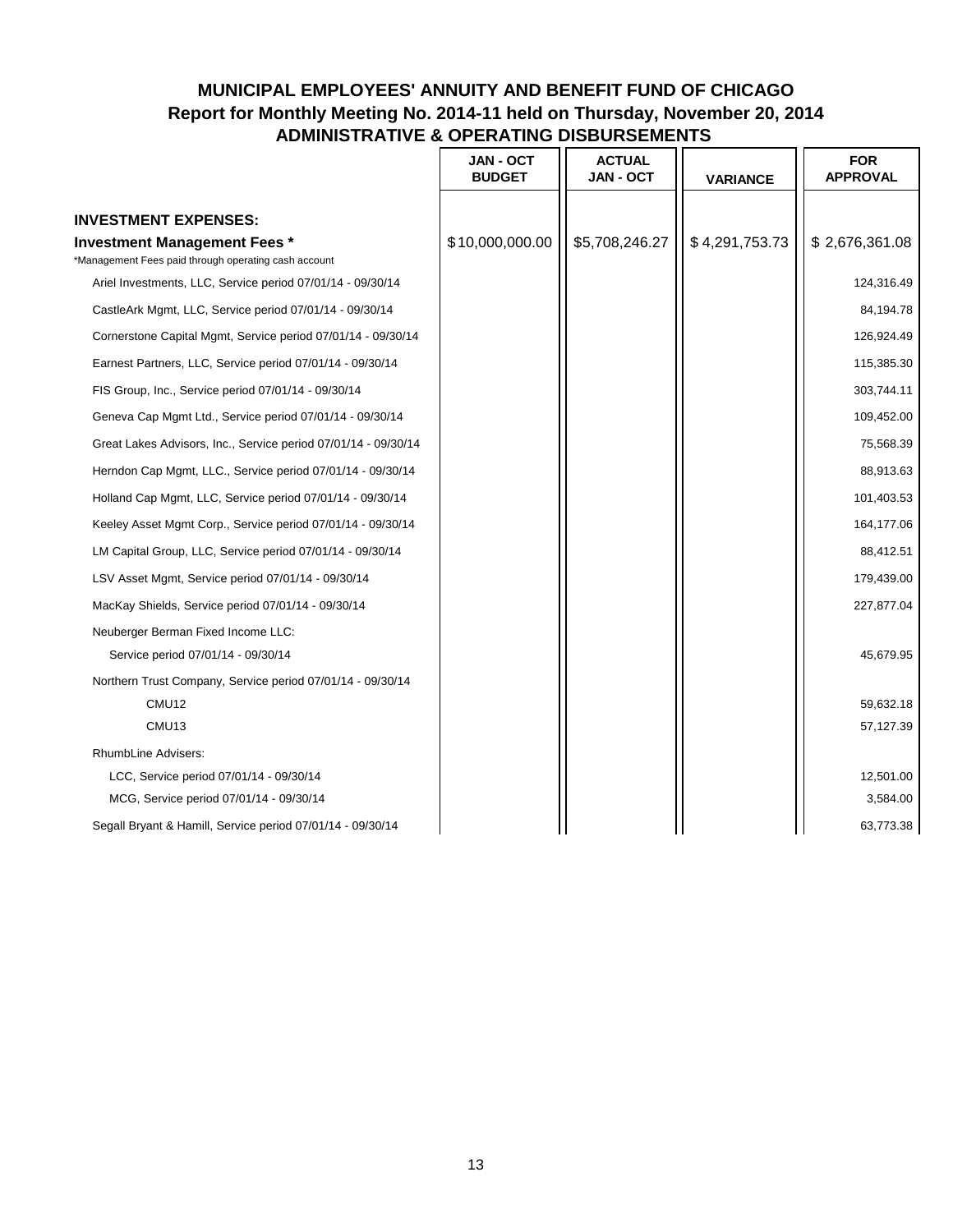|                                                                                             | <b>JAN - OCT</b><br><b>BUDGET</b> | <b>ACTUAL</b><br><b>JAN - OCT</b> | <b>VARIANCE</b> | <b>FOR</b><br><b>APPROVAL</b> |
|---------------------------------------------------------------------------------------------|-----------------------------------|-----------------------------------|-----------------|-------------------------------|
| <b>INVESTMENT EXPENSES:</b>                                                                 |                                   |                                   |                 |                               |
| <b>Investment Management Fees *</b><br>*Management Fees paid through operating cash account | \$10,000,000.00                   | \$5,708,246.27                    | \$4,291,753.73  | \$2,676,361.08                |
| Ariel Investments, LLC, Service period 07/01/14 - 09/30/14                                  |                                   |                                   |                 | 124,316.49                    |
| CastleArk Mgmt, LLC, Service period 07/01/14 - 09/30/14                                     |                                   |                                   |                 | 84,194.78                     |
| Cornerstone Capital Mgmt, Service period 07/01/14 - 09/30/14                                |                                   |                                   |                 | 126,924.49                    |
| Earnest Partners, LLC, Service period 07/01/14 - 09/30/14                                   |                                   |                                   |                 | 115,385.30                    |
| FIS Group, Inc., Service period 07/01/14 - 09/30/14                                         |                                   |                                   |                 | 303,744.11                    |
| Geneva Cap Mgmt Ltd., Service period 07/01/14 - 09/30/14                                    |                                   |                                   |                 | 109,452.00                    |
| Great Lakes Advisors, Inc., Service period 07/01/14 - 09/30/14                              |                                   |                                   |                 | 75,568.39                     |
| Herndon Cap Mgmt, LLC., Service period 07/01/14 - 09/30/14                                  |                                   |                                   |                 | 88,913.63                     |
| Holland Cap Mgmt, LLC, Service period 07/01/14 - 09/30/14                                   |                                   |                                   |                 | 101,403.53                    |
| Keeley Asset Mgmt Corp., Service period 07/01/14 - 09/30/14                                 |                                   |                                   |                 | 164,177.06                    |
| LM Capital Group, LLC, Service period 07/01/14 - 09/30/14                                   |                                   |                                   |                 | 88,412.51                     |
| LSV Asset Mgmt, Service period 07/01/14 - 09/30/14                                          |                                   |                                   |                 | 179,439.00                    |
| MacKay Shields, Service period 07/01/14 - 09/30/14                                          |                                   |                                   |                 | 227,877.04                    |
| Neuberger Berman Fixed Income LLC:                                                          |                                   |                                   |                 |                               |
| Service period 07/01/14 - 09/30/14                                                          |                                   |                                   |                 | 45,679.95                     |
| Northern Trust Company, Service period 07/01/14 - 09/30/14                                  |                                   |                                   |                 |                               |
| CMU12                                                                                       |                                   |                                   |                 | 59,632.18                     |
| CMU <sub>13</sub>                                                                           |                                   |                                   |                 | 57,127.39                     |
| RhumbLine Advisers:                                                                         |                                   |                                   |                 |                               |
| LCC, Service period 07/01/14 - 09/30/14                                                     |                                   |                                   |                 | 12,501.00                     |
| MCG, Service period 07/01/14 - 09/30/14                                                     |                                   |                                   |                 | 3,584.00                      |
| Segall Bryant & Hamill, Service period 07/01/14 - 09/30/14                                  |                                   |                                   |                 | 63,773.38                     |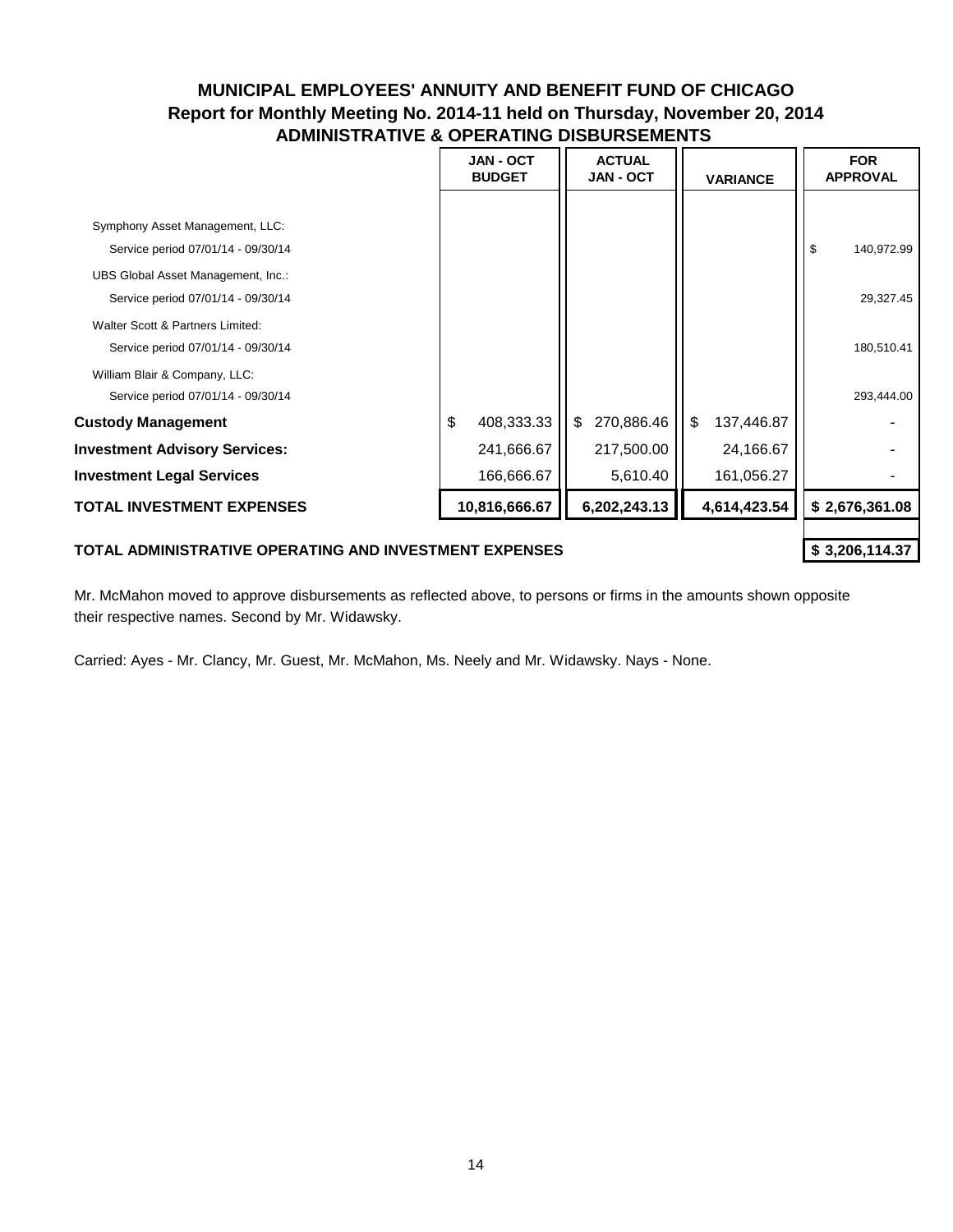|                                                                          | <b>JAN - OCT</b><br><b>BUDGET</b> | <b>ACTUAL</b><br><b>JAN - OCT</b> | <b>VARIANCE</b>  | <b>FOR</b><br><b>APPROVAL</b> |
|--------------------------------------------------------------------------|-----------------------------------|-----------------------------------|------------------|-------------------------------|
| Symphony Asset Management, LLC:                                          |                                   |                                   |                  |                               |
| Service period 07/01/14 - 09/30/14<br>UBS Global Asset Management, Inc.: |                                   |                                   |                  | \$<br>140,972.99              |
| Service period 07/01/14 - 09/30/14<br>Walter Scott & Partners Limited:   |                                   |                                   |                  | 29,327.45                     |
| Service period 07/01/14 - 09/30/14<br>William Blair & Company, LLC:      |                                   |                                   |                  | 180,510.41                    |
| Service period 07/01/14 - 09/30/14                                       |                                   |                                   |                  | 293,444.00                    |
| <b>Custody Management</b>                                                | \$<br>408,333.33                  | \$<br>270,886.46                  | \$<br>137,446.87 |                               |
| <b>Investment Advisory Services:</b>                                     | 241,666.67                        | 217,500.00                        | 24,166.67        |                               |
| <b>Investment Legal Services</b>                                         | 166,666.67                        | 5,610.40                          | 161,056.27       |                               |
| TOTAL INVESTMENT EXPENSES                                                | 10,816,666.67                     | 6,202,243.13                      | 4,614,423.54     | \$2,676,361.08                |
|                                                                          |                                   |                                   |                  |                               |

#### TOTAL ADMINISTRATIVE OPERATING AND INVESTMENT EXPENSES **\$200 \$3,206,114.37**

Mr. McMahon moved to approve disbursements as reflected above, to persons or firms in the amounts shown opposite their respective names. Second by Mr. Widawsky.

Carried: Ayes - Mr. Clancy, Mr. Guest, Mr. McMahon, Ms. Neely and Mr. Widawsky. Nays - None.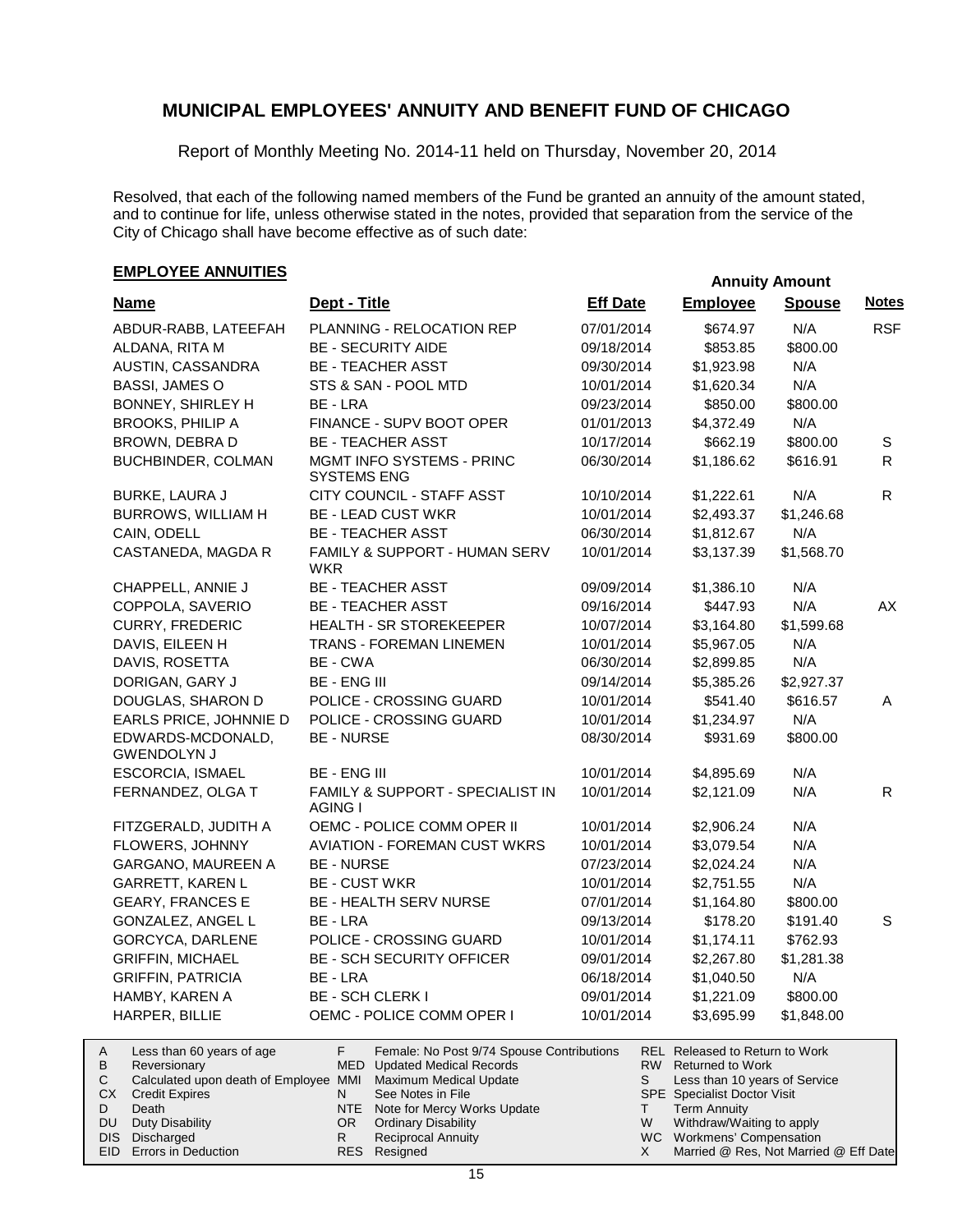Report of Monthly Meeting No. 2014-11 held on Thursday, November 20, 2014

Resolved, that each of the following named members of the Fund be granted an annuity of the amount stated, and to continue for life, unless otherwise stated in the notes, provided that separation from the service of the City of Chicago shall have become effective as of such date:

# **EMPLOYEE ANNUITIES**<br> **EMPLOYEE ANNUITIES**

| <b>Name</b>                                             | Dept - Title                                                                  | <b>Eff Date</b> | <b>Employee</b>                                            | <b>Spouse</b> | <b>Notes</b> |
|---------------------------------------------------------|-------------------------------------------------------------------------------|-----------------|------------------------------------------------------------|---------------|--------------|
| ABDUR-RABB, LATEEFAH                                    | PLANNING - RELOCATION REP                                                     | 07/01/2014      | \$674.97                                                   | N/A           | <b>RSF</b>   |
| ALDANA, RITA M                                          | <b>BE - SECURITY AIDE</b>                                                     | 09/18/2014      | \$853.85                                                   | \$800.00      |              |
| AUSTIN, CASSANDRA                                       | <b>BE - TEACHER ASST</b>                                                      | 09/30/2014      | \$1,923.98                                                 | N/A           |              |
| <b>BASSI, JAMES O</b>                                   | STS & SAN - POOL MTD                                                          | 10/01/2014      | \$1,620.34                                                 | N/A           |              |
| <b>BONNEY, SHIRLEY H</b>                                | BE - LRA                                                                      | 09/23/2014      | \$850.00                                                   | \$800.00      |              |
| <b>BROOKS, PHILIP A</b>                                 | FINANCE - SUPV BOOT OPER                                                      | 01/01/2013      | \$4,372.49                                                 | N/A           |              |
| BROWN, DEBRA D                                          | <b>BE - TEACHER ASST</b>                                                      | 10/17/2014      | \$662.19                                                   | \$800.00      | S            |
| BUCHBINDER, COLMAN                                      | <b>MGMT INFO SYSTEMS - PRINC</b><br><b>SYSTEMS ENG</b>                        | 06/30/2014      | \$1,186.62                                                 | \$616.91      | R.           |
| BURKE, LAURA J                                          | CITY COUNCIL - STAFF ASST                                                     | 10/10/2014      | \$1,222.61                                                 | N/A           | R.           |
| BURROWS, WILLIAM H                                      | <b>BE - LEAD CUST WKR</b>                                                     | 10/01/2014      | \$2,493.37                                                 | \$1,246.68    |              |
| CAIN, ODELL                                             | <b>BE - TEACHER ASST</b>                                                      | 06/30/2014      | \$1,812.67                                                 | N/A           |              |
| CASTANEDA, MAGDA R                                      | FAMILY & SUPPORT - HUMAN SERV<br>WKR                                          | 10/01/2014      | \$3,137.39                                                 | \$1,568.70    |              |
| CHAPPELL, ANNIE J                                       | <b>BE - TEACHER ASST</b>                                                      | 09/09/2014      | \$1,386.10                                                 | N/A           |              |
| COPPOLA, SAVERIO                                        | <b>BE - TEACHER ASST</b>                                                      | 09/16/2014      | \$447.93                                                   | N/A           | AX           |
| <b>CURRY, FREDERIC</b>                                  | HEALTH - SR STOREKEEPER                                                       | 10/07/2014      | \$3,164.80                                                 | \$1,599.68    |              |
| DAVIS, EILEEN H                                         | TRANS - FOREMAN LINEMEN                                                       | 10/01/2014      | \$5,967.05                                                 | N/A           |              |
| DAVIS, ROSETTA                                          | BE - CWA                                                                      | 06/30/2014      | \$2,899.85                                                 | N/A           |              |
| DORIGAN, GARY J                                         | <b>BE - ENG III</b>                                                           | 09/14/2014      | \$5,385.26                                                 | \$2,927.37    |              |
| DOUGLAS, SHARON D                                       | POLICE - CROSSING GUARD                                                       | 10/01/2014      | \$541.40                                                   | \$616.57      | Α            |
| EARLS PRICE, JOHNNIE D                                  | POLICE - CROSSING GUARD                                                       | 10/01/2014      | \$1,234.97                                                 | N/A           |              |
| EDWARDS-MCDONALD,<br><b>GWENDOLYN J</b>                 | <b>BE - NURSE</b>                                                             | 08/30/2014      | \$931.69                                                   | \$800.00      |              |
| <b>ESCORCIA, ISMAEL</b>                                 | <b>BE - ENG III</b>                                                           | 10/01/2014      | \$4,895.69                                                 | N/A           |              |
| FERNANDEZ, OLGA T                                       | FAMILY & SUPPORT - SPECIALIST IN<br>AGING I                                   | 10/01/2014      | \$2,121.09                                                 | N/A           | $\mathsf{R}$ |
| FITZGERALD, JUDITH A                                    | OEMC - POLICE COMM OPER II                                                    | 10/01/2014      | \$2,906.24                                                 | N/A           |              |
| FLOWERS, JOHNNY                                         | <b>AVIATION - FOREMAN CUST WKRS</b>                                           | 10/01/2014      | \$3,079.54                                                 | N/A           |              |
| GARGANO, MAUREEN A                                      | <b>BE - NURSE</b>                                                             | 07/23/2014      | \$2,024.24                                                 | N/A           |              |
| GARRETT, KAREN L                                        | <b>BE - CUST WKR</b>                                                          | 10/01/2014      | \$2,751.55                                                 | N/A           |              |
| <b>GEARY, FRANCES E</b>                                 | BE - HEALTH SERV NURSE                                                        | 07/01/2014      | \$1,164.80                                                 | \$800.00      |              |
| GONZALEZ, ANGEL L                                       | BE - LRA                                                                      | 09/13/2014      | \$178.20                                                   | \$191.40      | S            |
| GORCYCA, DARLENE                                        | POLICE - CROSSING GUARD                                                       | 10/01/2014      | \$1,174.11                                                 | \$762.93      |              |
| <b>GRIFFIN, MICHAEL</b>                                 | BE - SCH SECURITY OFFICER                                                     | 09/01/2014      | \$2,267.80                                                 | \$1,281.38    |              |
| <b>GRIFFIN, PATRICIA</b>                                | BE - LRA                                                                      | 06/18/2014      | \$1,040.50                                                 | N/A           |              |
| HAMBY, KAREN A                                          | <b>BE - SCH CLERK I</b>                                                       | 09/01/2014      | \$1,221.09                                                 | \$800.00      |              |
| HARPER, BILLIE                                          | OEMC - POLICE COMM OPER I                                                     | 10/01/2014      | \$3,695.99                                                 | \$1,848.00    |              |
| Less than 60 years of age<br>Α<br>D<br>$D$ <sup>o</sup> | F<br>Female: No Post 9/74 Spouse Contributions<br>MED Hodatod Modical Pocorde |                 | REL Released to Return to Work<br>$DMI$ Doturned to $Mork$ |               |              |

| B | Reversionary                                                 |     | MED Updated Medical Records     |   | RW Returned to Work                   |
|---|--------------------------------------------------------------|-----|---------------------------------|---|---------------------------------------|
|   | Calculated upon death of Employee MMI Maximum Medical Update |     |                                 |   | Less than 10 years of Service         |
|   | <b>CX</b> Credit Expires                                     |     | See Notes in File               |   | <b>SPE</b> Specialist Doctor Visit    |
| D | Death                                                        |     | NTE Note for Mercy Works Update |   | Term Annuity                          |
|   | DU Duty Disability                                           | OR. | <b>Ordinary Disability</b>      | W | Withdraw/Waiting to apply             |
|   | DIS Discharged                                               |     | <b>Reciprocal Annuity</b>       |   | WC Workmens' Compensation             |
|   | EID Errors in Deduction                                      |     | RES Resigned                    |   | Married @ Res, Not Married @ Eff Date |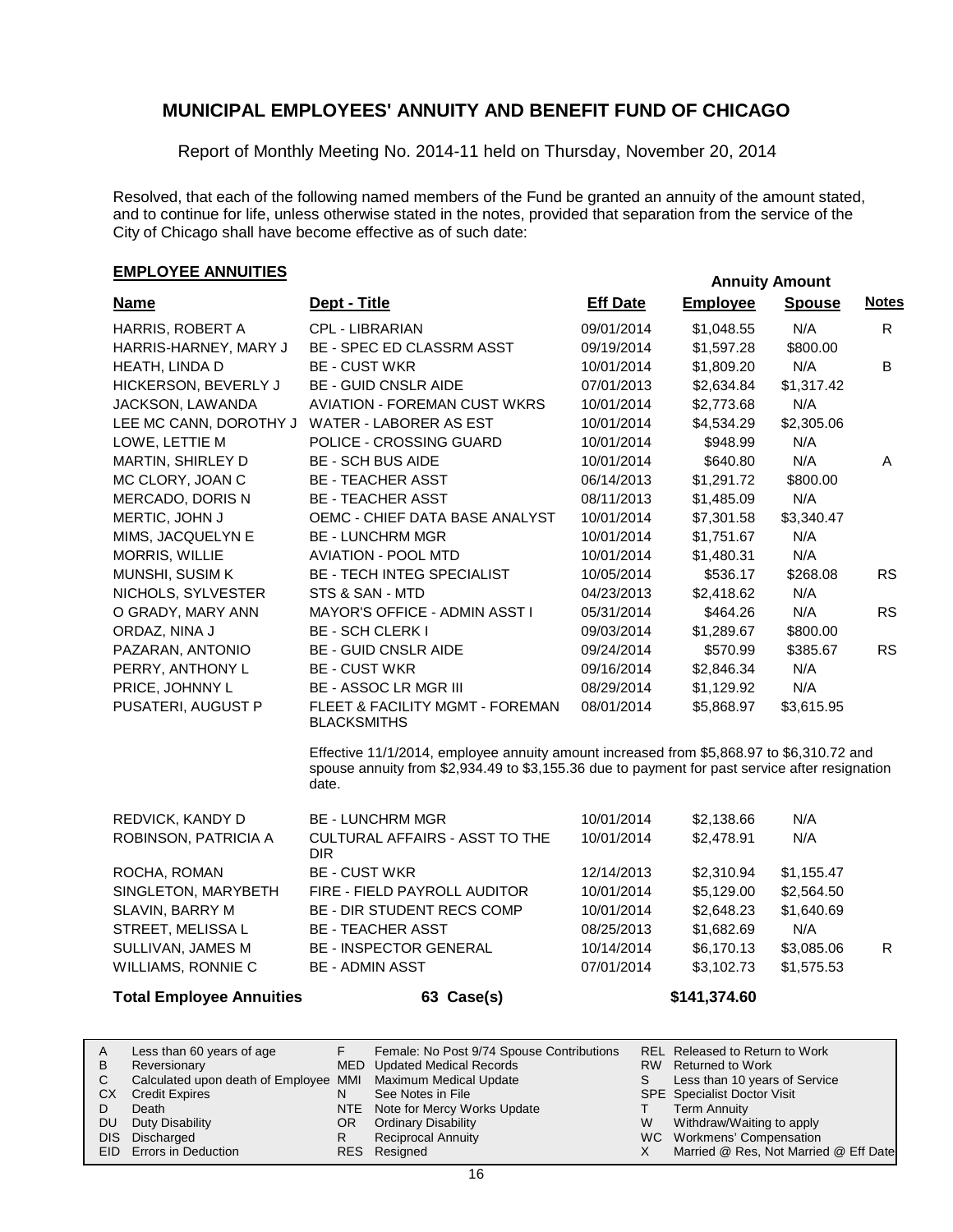Report of Monthly Meeting No. 2014-11 held on Thursday, November 20, 2014

Resolved, that each of the following named members of the Fund be granted an annuity of the amount stated, and to continue for life, unless otherwise stated in the notes, provided that separation from the service of the City of Chicago shall have become effective as of such date:

### **EMPLOYEE ANNUITIES**<br> **EMPLOYEE ANNUITIES**

| <b>Name</b>            | Dept - Title                                                                                                                                                                                        | <b>Eff Date</b> | <b>Employee</b> | <b>Spouse</b> | <b>Notes</b> |
|------------------------|-----------------------------------------------------------------------------------------------------------------------------------------------------------------------------------------------------|-----------------|-----------------|---------------|--------------|
| HARRIS, ROBERT A       | <b>CPL - LIBRARIAN</b>                                                                                                                                                                              | 09/01/2014      | \$1,048.55      | N/A           | R            |
| HARRIS-HARNEY, MARY J  | BE - SPEC ED CLASSRM ASST                                                                                                                                                                           | 09/19/2014      | \$1,597.28      | \$800.00      |              |
| HEATH, LINDA D         | <b>BE - CUST WKR</b>                                                                                                                                                                                | 10/01/2014      | \$1,809.20      | N/A           | B            |
| HICKERSON, BEVERLY J   | <b>BE - GUID CNSLR AIDE</b>                                                                                                                                                                         | 07/01/2013      | \$2,634.84      | \$1,317.42    |              |
| JACKSON, LAWANDA       | <b>AVIATION - FOREMAN CUST WKRS</b>                                                                                                                                                                 | 10/01/2014      | \$2,773.68      | N/A           |              |
| LEE MC CANN, DOROTHY J | WATER - LABORER AS EST                                                                                                                                                                              | 10/01/2014      | \$4,534.29      | \$2,305.06    |              |
| LOWE, LETTIE M         | POLICE - CROSSING GUARD                                                                                                                                                                             | 10/01/2014      | \$948.99        | N/A           |              |
| MARTIN, SHIRLEY D      | <b>BE - SCH BUS AIDE</b>                                                                                                                                                                            | 10/01/2014      | \$640.80        | N/A           | A            |
| MC CLORY, JOAN C       | <b>BE - TEACHER ASST</b>                                                                                                                                                                            | 06/14/2013      | \$1,291.72      | \$800.00      |              |
| MERCADO, DORIS N       | <b>BE - TEACHER ASST</b>                                                                                                                                                                            | 08/11/2013      | \$1,485.09      | N/A           |              |
| MERTIC, JOHN J         | OEMC - CHIEF DATA BASE ANALYST                                                                                                                                                                      | 10/01/2014      | \$7,301.58      | \$3,340.47    |              |
| MIMS, JACQUELYN E      | <b>BE - LUNCHRM MGR</b>                                                                                                                                                                             | 10/01/2014      | \$1,751.67      | N/A           |              |
| MORRIS, WILLIE         | <b>AVIATION - POOL MTD</b>                                                                                                                                                                          | 10/01/2014      | \$1,480.31      | N/A           |              |
| MUNSHI, SUSIM K        | <b>BE - TECH INTEG SPECIALIST</b>                                                                                                                                                                   | 10/05/2014      | \$536.17        | \$268.08      | <b>RS</b>    |
| NICHOLS, SYLVESTER     | STS & SAN - MTD                                                                                                                                                                                     | 04/23/2013      | \$2,418.62      | N/A           |              |
| O GRADY, MARY ANN      | MAYOR'S OFFICE - ADMIN ASST I                                                                                                                                                                       | 05/31/2014      | \$464.26        | N/A           | <b>RS</b>    |
| ORDAZ, NINA J          | <b>BE - SCH CLERK I</b>                                                                                                                                                                             | 09/03/2014      | \$1,289.67      | \$800.00      |              |
| PAZARAN, ANTONIO       | <b>BE - GUID CNSLR AIDE</b>                                                                                                                                                                         | 09/24/2014      | \$570.99        | \$385.67      | <b>RS</b>    |
| PERRY, ANTHONY L       | <b>BE - CUST WKR</b>                                                                                                                                                                                | 09/16/2014      | \$2,846.34      | N/A           |              |
| PRICE, JOHNNY L        | <b>BE - ASSOC LR MGR III</b>                                                                                                                                                                        | 08/29/2014      | \$1,129.92      | N/A           |              |
| PUSATERI, AUGUST P     | FLEET & FACILITY MGMT - FOREMAN<br><b>BLACKSMITHS</b>                                                                                                                                               | 08/01/2014      | \$5,868.97      | \$3,615.95    |              |
|                        | Effective 11/1/2014, employee annuity amount increased from \$5,868.97 to \$6,310.72 and<br>spouse annuity from \$2,934.49 to \$3,155.36 due to payment for past service after resignation<br>date. |                 |                 |               |              |
| REDVICK, KANDY D       | <b>BE - LUNCHRM MGR</b>                                                                                                                                                                             | 10/01/2014      | \$2,138.66      | N/A           |              |
| ROBINSON, PATRICIA A   | CULTURAL AFFAIRS - ASST TO THE<br><b>DIR</b>                                                                                                                                                        | 10/01/2014      | \$2,478.91      | N/A           |              |
| ROCHA, ROMAN           | <b>BE - CUST WKR</b>                                                                                                                                                                                | 12/14/2013      | \$2,310.94      | \$1,155.47    |              |
| SINGLETON, MARYBETH    | FIRE - FIELD PAYROLL AUDITOR                                                                                                                                                                        | 10/01/2014      | \$5,129.00      | \$2,564.50    |              |
| SLAVIN, BARRY M        | BE - DIR STUDENT RECS COMP                                                                                                                                                                          | 10/01/2014      | \$2,648.23      | \$1,640.69    |              |

STREET, MELISSA L BE - TEACHER ASST 08/25/2013 \$1,682.69 N/A SULLIVAN, JAMES M BE - INSPECTOR GENERAL 10/14/2014 \$6,170.13 \$3,085.06 R WILLIAMS, RONNIE C BE - ADMIN ASST 07/01/2014 \$3,102.73 \$1,575.53 **Total Employee Annuities 63 Case(s) 63 Case(s)** \$141,374.60

| A   | Less than 60 years of age                                    |     | Female: No Post 9/74 Spouse Contributions |   | REL Released to Return to Work        |
|-----|--------------------------------------------------------------|-----|-------------------------------------------|---|---------------------------------------|
| B   | Reversionary                                                 |     | MED Updated Medical Records               |   | RW Returned to Work                   |
|     | Calculated upon death of Employee MMI Maximum Medical Update |     |                                           |   | Less than 10 years of Service         |
| CX. | <b>Credit Expires</b>                                        |     | See Notes in File                         |   | <b>SPE</b> Specialist Doctor Visit    |
|     | Death                                                        |     | NTE Note for Mercy Works Update           |   | Term Annuity                          |
| DU  | Duty Disability                                              | OR. | <b>Ordinary Disability</b>                | W | Withdraw/Waiting to apply             |
|     | DIS Discharged                                               |     | <b>Reciprocal Annuity</b>                 |   | WC Workmens' Compensation             |
|     | EID Errors in Deduction                                      |     | RES Resigned                              |   | Married @ Res, Not Married @ Eff Date |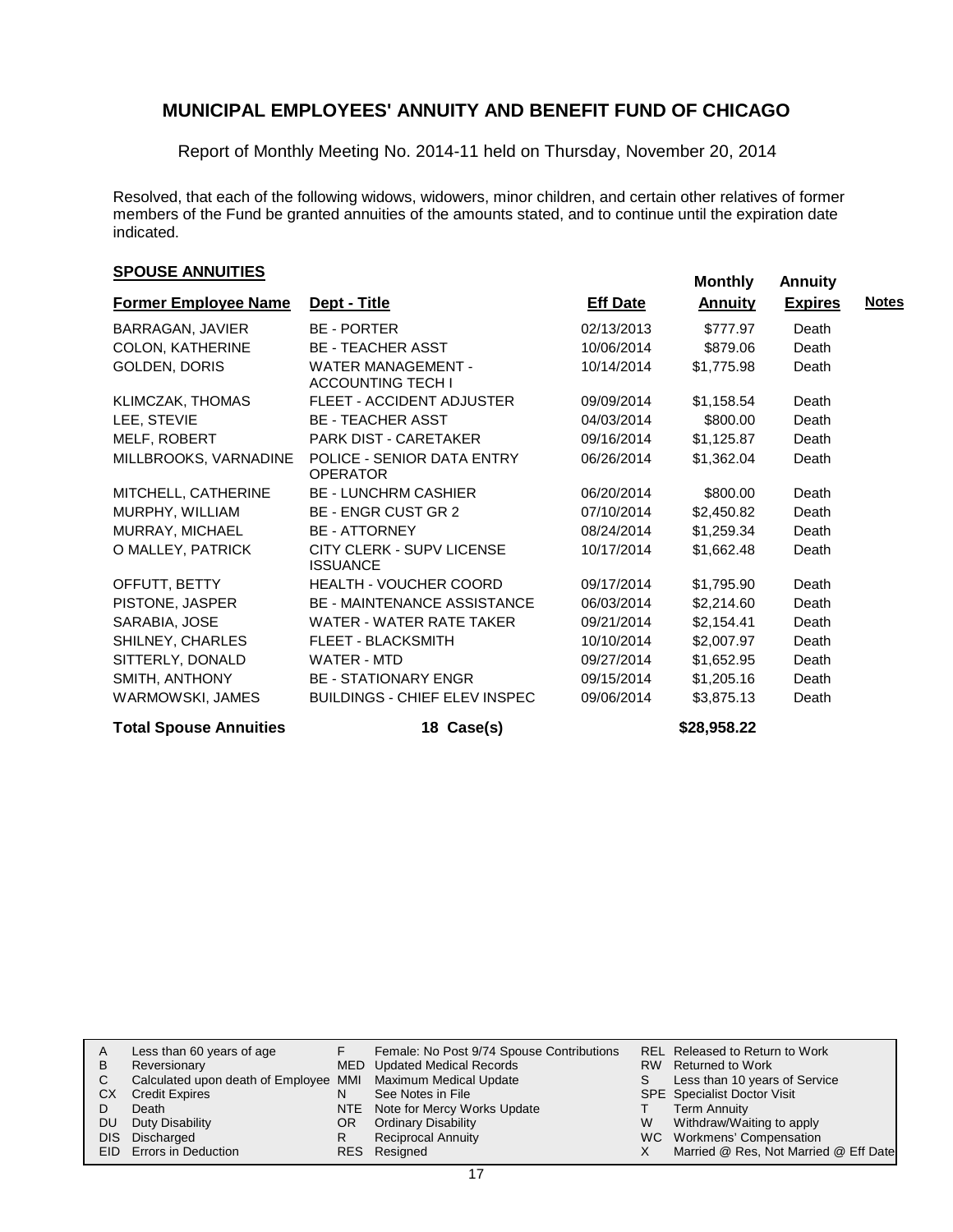Report of Monthly Meeting No. 2014-11 held on Thursday, November 20, 2014

Resolved, that each of the following widows, widowers, minor children, and certain other relatives of former members of the Fund be granted annuities of the amounts stated, and to continue until the expiration date indicated.

### **SPOUSE ANNUITIES**<br> **SPOUSE ANNUITIES**

| <b>Former Employee Name</b>   | Dept - Title                                          | <b>Eff Date</b> | <b>Annuity</b> | <b>Expires</b> | <b>Notes</b> |
|-------------------------------|-------------------------------------------------------|-----------------|----------------|----------------|--------------|
| BARRAGAN, JAVIER              | <b>BE - PORTER</b>                                    | 02/13/2013      | \$777.97       | Death          |              |
| COLON, KATHERINE              | <b>BE - TEACHER ASST</b>                              | 10/06/2014      | \$879.06       | Death          |              |
| GOLDEN, DORIS                 | <b>WATER MANAGEMENT -</b><br><b>ACCOUNTING TECH I</b> | 10/14/2014      | \$1,775.98     | Death          |              |
| KLIMCZAK, THOMAS              | FLEET - ACCIDENT ADJUSTER                             | 09/09/2014      | \$1,158.54     | Death          |              |
| LEE, STEVIE                   | <b>BE - TEACHER ASST</b>                              | 04/03/2014      | \$800.00       | Death          |              |
| MELF, ROBERT                  | <b>PARK DIST - CARETAKER</b>                          | 09/16/2014      | \$1,125.87     | Death          |              |
| MILLBROOKS, VARNADINE         | POLICE - SENIOR DATA ENTRY<br><b>OPERATOR</b>         | 06/26/2014      | \$1,362.04     | Death          |              |
| MITCHELL, CATHERINE           | <b>BE - LUNCHRM CASHIER</b>                           | 06/20/2014      | \$800.00       | Death          |              |
| MURPHY, WILLIAM               | BE - ENGR CUST GR 2                                   | 07/10/2014      | \$2,450.82     | Death          |              |
| MURRAY, MICHAEL               | <b>BE - ATTORNEY</b>                                  | 08/24/2014      | \$1,259.34     | Death          |              |
| O MALLEY, PATRICK             | CITY CLERK - SUPV LICENSE<br><b>ISSUANCE</b>          | 10/17/2014      | \$1,662.48     | Death          |              |
| OFFUTT, BETTY                 | <b>HEALTH - VOUCHER COORD</b>                         | 09/17/2014      | \$1,795.90     | Death          |              |
| PISTONE, JASPER               | BE - MAINTENANCE ASSISTANCE                           | 06/03/2014      | \$2,214.60     | Death          |              |
| SARABIA, JOSE                 | WATER - WATER RATE TAKER                              | 09/21/2014      | \$2,154.41     | Death          |              |
| SHILNEY, CHARLES              | <b>FLEET - BLACKSMITH</b>                             | 10/10/2014      | \$2,007.97     | Death          |              |
| SITTERLY, DONALD              | WATER - MTD                                           | 09/27/2014      | \$1,652.95     | Death          |              |
| SMITH, ANTHONY                | <b>BE - STATIONARY ENGR</b>                           | 09/15/2014      | \$1,205.16     | Death          |              |
| WARMOWSKI, JAMES              | BUILDINGS - CHIEF ELEV INSPEC                         | 09/06/2014      | \$3,875.13     | Death          |              |
| <b>Total Spouse Annuities</b> | 18 Case(s)                                            |                 | \$28,958.22    |                |              |

| A   | Less than 60 years of age                                    |     | Female: No Post 9/74 Spouse Contributions |   | REL Released to Return to Work        |
|-----|--------------------------------------------------------------|-----|-------------------------------------------|---|---------------------------------------|
| B   | Reversionary                                                 |     | MED Updated Medical Records               |   | RW Returned to Work                   |
| C.  | Calculated upon death of Employee MMI Maximum Medical Update |     |                                           |   | Less than 10 years of Service         |
| CX. | <b>Credit Expires</b>                                        |     | See Notes in File                         |   | <b>SPE</b> Specialist Doctor Visit    |
|     | Death                                                        |     | NTE Note for Mercy Works Update           |   | <b>Term Annuity</b>                   |
| DU. | Duty Disability                                              | OR. | <b>Ordinary Disability</b>                | W | Withdraw/Waiting to apply             |
|     | DIS Discharged                                               |     | <b>Reciprocal Annuity</b>                 |   | WC Workmens' Compensation             |
|     | EID Errors in Deduction                                      |     | RES Resigned                              |   | Married @ Res, Not Married @ Eff Date |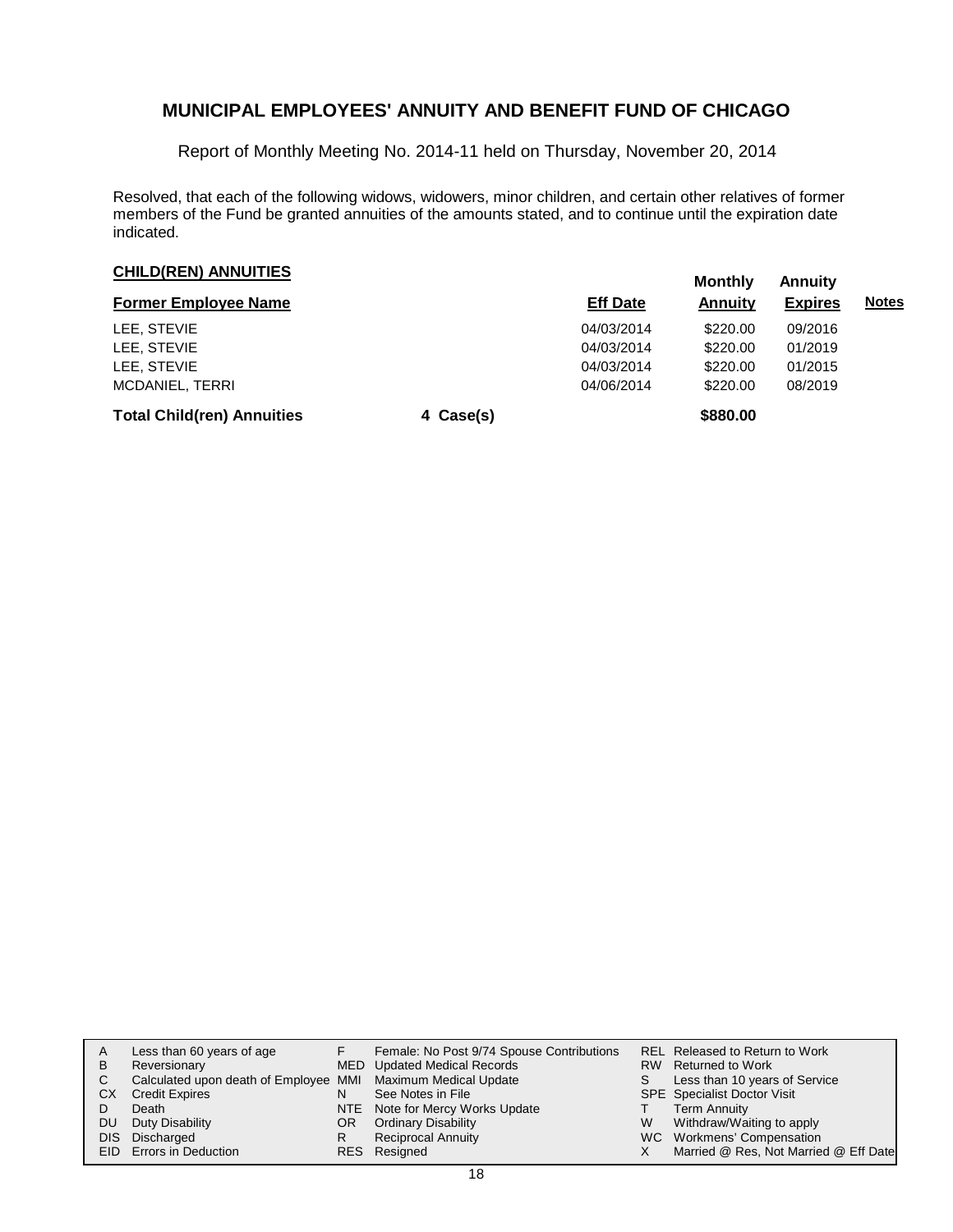Report of Monthly Meeting No. 2014-11 held on Thursday, November 20, 2014

Resolved, that each of the following widows, widowers, minor children, and certain other relatives of former members of the Fund be granted annuities of the amounts stated, and to continue until the expiration date indicated.

### **CHILD(REN) ANNUITIES**<br> **CHILD(REN) ANNUITIES**

|                                   |                 |                | .              |              |  |
|-----------------------------------|-----------------|----------------|----------------|--------------|--|
| <b>Former Employee Name</b>       | <b>Eff Date</b> | <b>Annuity</b> | <b>Expires</b> | <b>Notes</b> |  |
| LEE. STEVIE                       |                 | 04/03/2014     | \$220.00       | 09/2016      |  |
| LEE. STEVIE                       |                 | 04/03/2014     | \$220.00       | 01/2019      |  |
| LEE. STEVIE                       |                 | 04/03/2014     | \$220.00       | 01/2015      |  |
| <b>MCDANIEL, TERRI</b>            |                 | 04/06/2014     | \$220.00       | 08/2019      |  |
| <b>Total Child(ren) Annuities</b> | 4 Case(s)       |                | \$880.00       |              |  |

| A<br>B<br>C.<br>СX<br>DU | Less than 60 years of age<br>Reversionary<br>Calculated upon death of Employee MMI Maximum Medical Update<br><b>Credit Expires</b><br>Death<br>Duty Disability<br>DIS Discharged<br>EID Errors in Deduction | N<br>OR<br>R | Female: No Post 9/74 Spouse Contributions<br>MED Updated Medical Records<br>See Notes in File<br>NTE Note for Mercy Works Update<br><b>Ordinary Disability</b><br><b>Reciprocal Annuity</b><br>RES Resigned | S.<br>W | REL Released to Return to Work<br>RW Returned to Work<br>Less than 10 years of Service<br><b>SPE</b> Specialist Doctor Visit<br><b>Term Annuity</b><br>Withdraw/Waiting to apply<br>WC Workmens' Compensation<br>Married @ Res, Not Married @ Eff Date |
|--------------------------|-------------------------------------------------------------------------------------------------------------------------------------------------------------------------------------------------------------|--------------|-------------------------------------------------------------------------------------------------------------------------------------------------------------------------------------------------------------|---------|--------------------------------------------------------------------------------------------------------------------------------------------------------------------------------------------------------------------------------------------------------|
|--------------------------|-------------------------------------------------------------------------------------------------------------------------------------------------------------------------------------------------------------|--------------|-------------------------------------------------------------------------------------------------------------------------------------------------------------------------------------------------------------|---------|--------------------------------------------------------------------------------------------------------------------------------------------------------------------------------------------------------------------------------------------------------|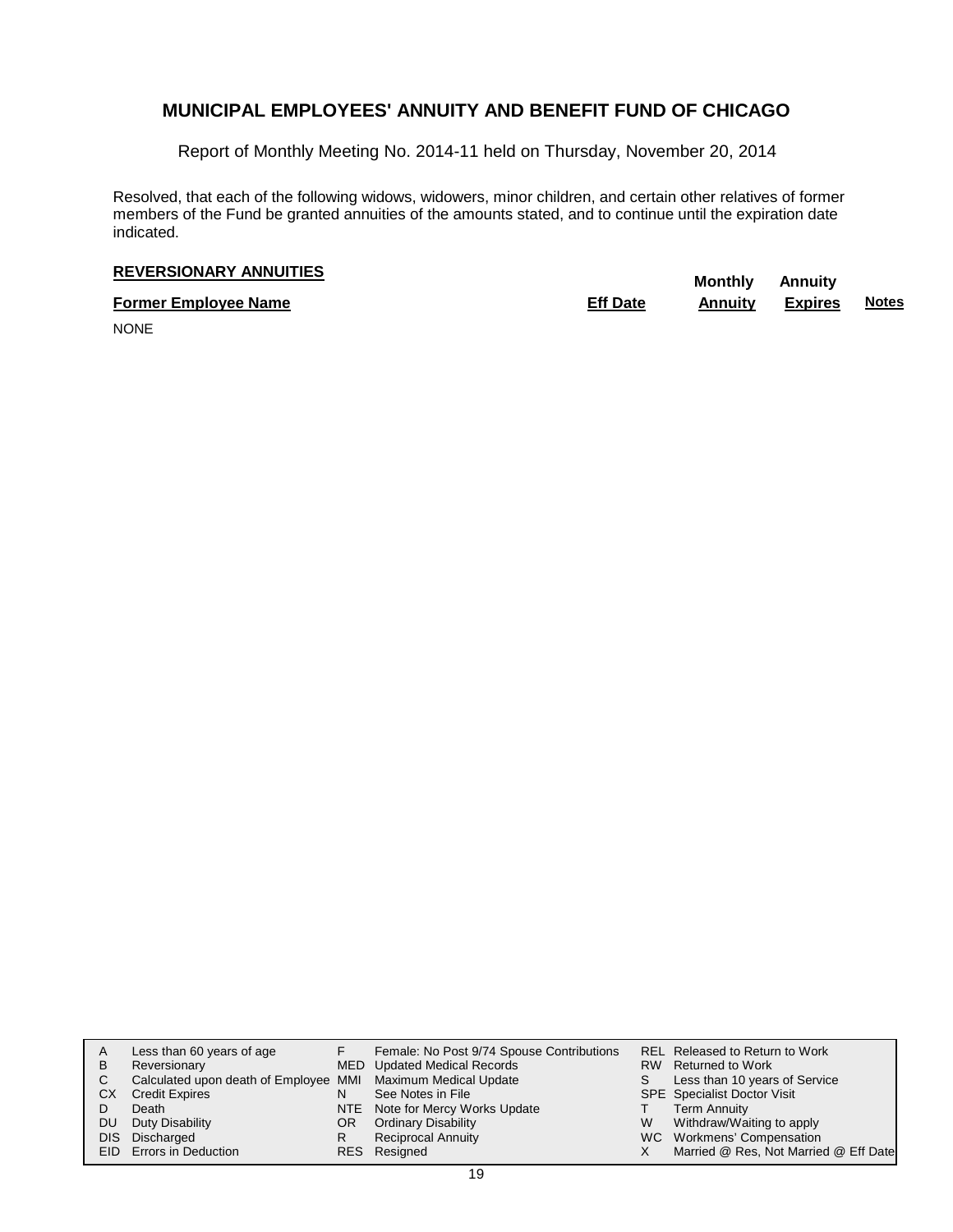Report of Monthly Meeting No. 2014-11 held on Thursday, November 20, 2014

Resolved, that each of the following widows, widowers, minor children, and certain other relatives of former members of the Fund be granted annuities of the amounts stated, and to continue until the expiration date indicated.

# **REVERSIONARY ANNUITIES**<br> **REVERSIONARY ANNUITIES**

**Former Employee Name Eff Date Annuity Expires Notes**

NONE

| A   | Less than 60 years of age                                    |     | Female: No Post 9/74 Spouse Contributions |   | <b>REL Released to Return to Work</b> |
|-----|--------------------------------------------------------------|-----|-------------------------------------------|---|---------------------------------------|
| в   | Reversionary                                                 |     | MED Updated Medical Records               |   | RW Returned to Work                   |
| С   | Calculated upon death of Employee MMI Maximum Medical Update |     |                                           | S | Less than 10 years of Service         |
| CХ  | <b>Credit Expires</b>                                        | N   | See Notes in File                         |   | <b>SPE</b> Specialist Doctor Visit    |
|     | Death                                                        |     | NTE Note for Mercy Works Update           |   | <b>Term Annuity</b>                   |
| DU  | Duty Disability                                              | OR. | <b>Ordinary Disability</b>                | W | Withdraw/Waiting to apply             |
| DIS | Discharged                                                   | R   | <b>Reciprocal Annuity</b>                 |   | WC Workmens' Compensation             |
|     | EID Errors in Deduction                                      |     | RES Resigned                              |   | Married @ Res, Not Married @ Eff Date |
|     |                                                              |     |                                           |   |                                       |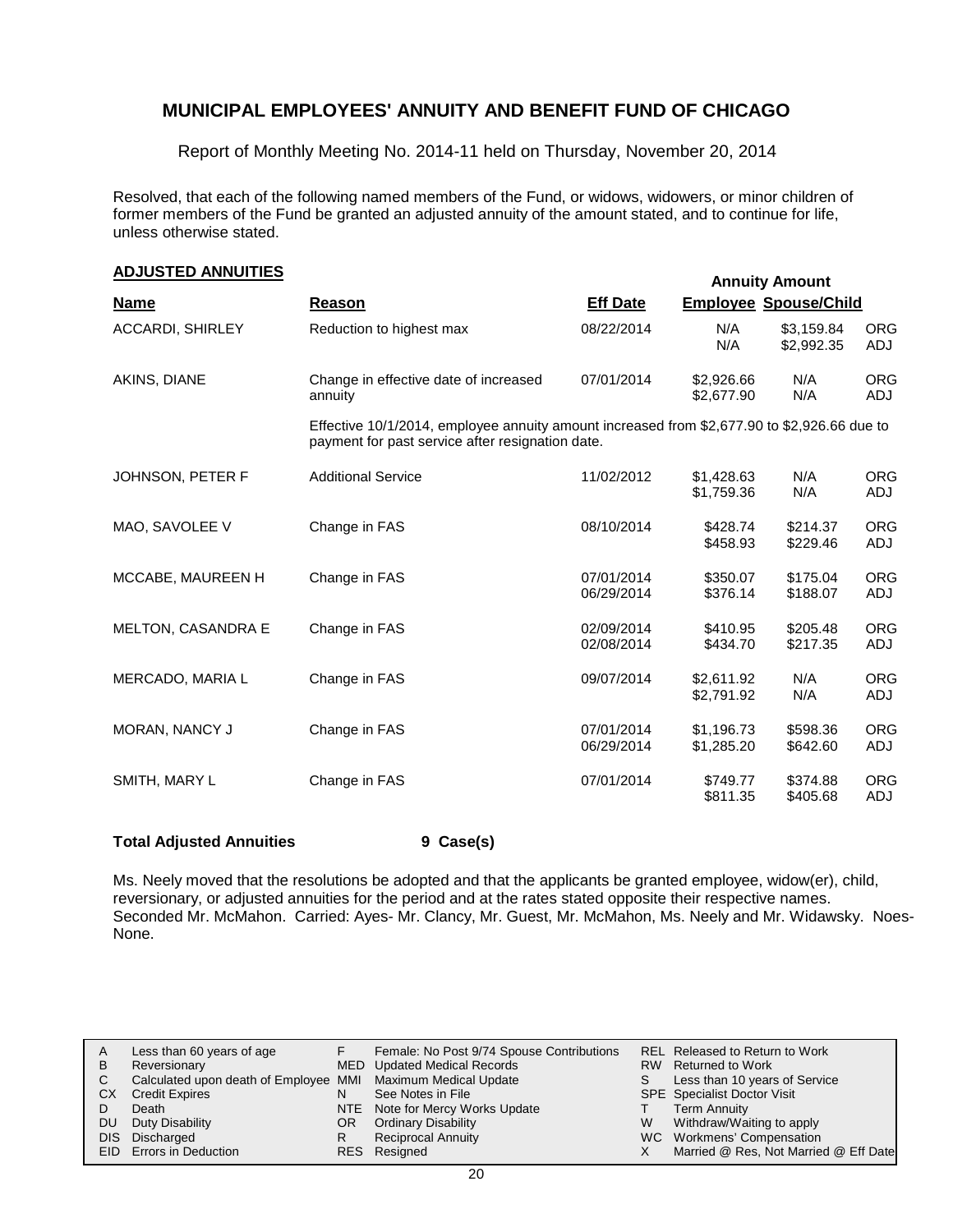Report of Monthly Meeting No. 2014-11 held on Thursday, November 20, 2014

Resolved, that each of the following named members of the Fund, or widows, widowers, or minor children of former members of the Fund be granted an adjusted annuity of the amount stated, and to continue for life, unless otherwise stated.

| <b>ADJUSTED ANNUITIES</b> |
|---------------------------|
|                           |

| <b>ADJUSTED ANNUITIES</b> |                                                                                                                                                 |                          |                              | <b>Annuity Amount</b>    |                   |
|---------------------------|-------------------------------------------------------------------------------------------------------------------------------------------------|--------------------------|------------------------------|--------------------------|-------------------|
| <b>Name</b>               | Reason                                                                                                                                          | <b>Eff Date</b>          | <b>Employee Spouse/Child</b> |                          |                   |
| <b>ACCARDI, SHIRLEY</b>   | Reduction to highest max                                                                                                                        | 08/22/2014               | N/A<br>N/A                   | \$3,159.84<br>\$2,992.35 | <b>ORG</b><br>ADJ |
| AKINS, DIANE              | Change in effective date of increased<br>annuity                                                                                                | 07/01/2014               | \$2,926.66<br>\$2,677.90     | N/A<br>N/A               | <b>ORG</b><br>ADJ |
|                           | Effective 10/1/2014, employee annuity amount increased from \$2,677.90 to \$2,926.66 due to<br>payment for past service after resignation date. |                          |                              |                          |                   |
| JOHNSON, PETER F          | <b>Additional Service</b>                                                                                                                       | 11/02/2012               | \$1,428.63<br>\$1,759.36     | N/A<br>N/A               | <b>ORG</b><br>ADJ |
| MAO, SAVOLEE V            | Change in FAS                                                                                                                                   | 08/10/2014               | \$428.74<br>\$458.93         | \$214.37<br>\$229.46     | <b>ORG</b><br>ADJ |
| MCCABE, MAUREEN H         | Change in FAS                                                                                                                                   | 07/01/2014<br>06/29/2014 | \$350.07<br>\$376.14         | \$175.04<br>\$188.07     | <b>ORG</b><br>ADJ |
| <b>MELTON, CASANDRA E</b> | Change in FAS                                                                                                                                   | 02/09/2014<br>02/08/2014 | \$410.95<br>\$434.70         | \$205.48<br>\$217.35     | <b>ORG</b><br>ADJ |
| MERCADO, MARIA L          | Change in FAS                                                                                                                                   | 09/07/2014               | \$2,611.92<br>\$2,791.92     | N/A<br>N/A               | <b>ORG</b><br>ADJ |
| <b>MORAN, NANCY J</b>     | Change in FAS                                                                                                                                   | 07/01/2014<br>06/29/2014 | \$1,196.73<br>\$1,285.20     | \$598.36<br>\$642.60     | <b>ORG</b><br>ADJ |
| SMITH, MARY L             | Change in FAS                                                                                                                                   | 07/01/2014               | \$749.77<br>\$811.35         | \$374.88<br>\$405.68     | <b>ORG</b><br>ADJ |
|                           |                                                                                                                                                 |                          |                              |                          |                   |

#### **Total Adjusted Annuities 9 Case(s)**

Ms. Neely moved that the resolutions be adopted and that the applicants be granted employee, widow(er), child, reversionary, or adjusted annuities for the period and at the rates stated opposite their respective names. Seconded Mr. McMahon. Carried: Ayes- Mr. Clancy, Mr. Guest, Mr. McMahon, Ms. Neely and Mr. Widawsky. Noes-None.

|    | Less than 60 years of age                                    |    | Female: No Post 9/74 Spouse Contributions |   | REL Released to Return to Work        |
|----|--------------------------------------------------------------|----|-------------------------------------------|---|---------------------------------------|
| B  | Reversionary                                                 |    | MED Updated Medical Records               |   | RW Returned to Work                   |
|    | Calculated upon death of Employee MMI Maximum Medical Update |    |                                           |   | Less than 10 years of Service         |
| СX | <b>Credit Expires</b>                                        |    | See Notes in File                         |   | <b>SPE</b> Specialist Doctor Visit    |
|    | Death                                                        |    | NTE Note for Mercy Works Update           |   | <b>Term Annuity</b>                   |
| DU | Duty Disability                                              | OR | <b>Ordinary Disability</b>                | W | Withdraw/Waiting to apply             |
|    | DIS Discharged                                               |    | Reciprocal Annuity                        |   | WC Workmens' Compensation             |
|    | EID Errors in Deduction                                      |    | RES Resigned                              |   | Married @ Res, Not Married @ Eff Date |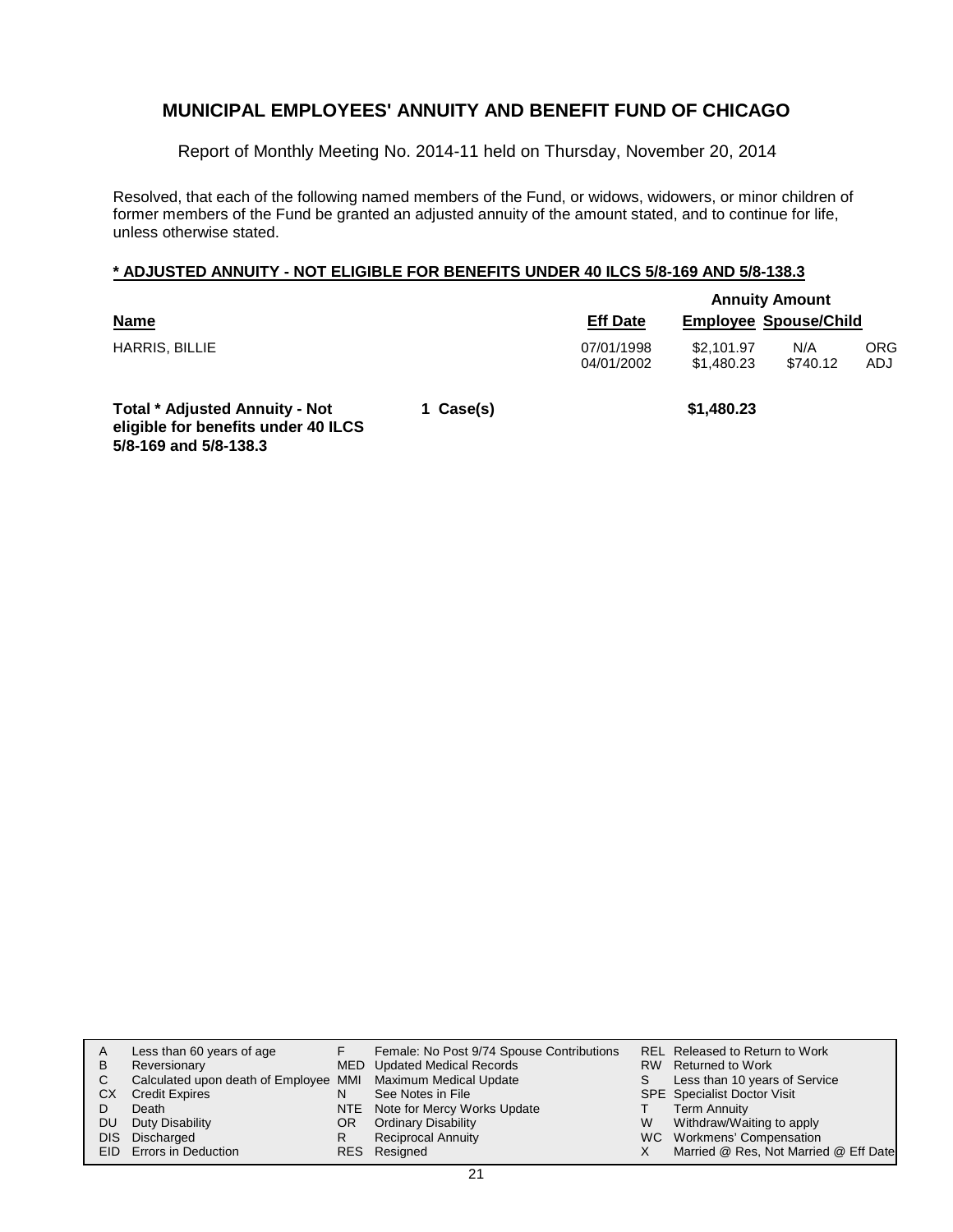Report of Monthly Meeting No. 2014-11 held on Thursday, November 20, 2014

Resolved, that each of the following named members of the Fund, or widows, widowers, or minor children of former members of the Fund be granted an adjusted annuity of the amount stated, and to continue for life, unless otherwise stated.

#### **\* ADJUSTED ANNUITY - NOT ELIGIBLE FOR BENEFITS UNDER 40 ILCS 5/8-169 AND 5/8-138.3**

|                                            |           |                          | <b>Annuity Amount</b>        |                 |                   |  |  |
|--------------------------------------------|-----------|--------------------------|------------------------------|-----------------|-------------------|--|--|
| <b>Name</b>                                |           | <b>Eff Date</b>          | <b>Employee Spouse/Child</b> |                 |                   |  |  |
| HARRIS, BILLIE                             |           | 07/01/1998<br>04/01/2002 | \$2.101.97<br>\$1,480.23     | N/A<br>\$740.12 | <b>ORG</b><br>ADJ |  |  |
| <b>Total * Adjusted Annuity - Not</b><br>. | 1 Case(s) |                          | \$1,480.23                   |                 |                   |  |  |

**eligible for benefits under 40 ILCS 5/8-169 and 5/8-138.3**

|           | Less than 60 years of age                                    |     | Female: No Post 9/74 Spouse Contributions |   | REL Released to Return to Work        |
|-----------|--------------------------------------------------------------|-----|-------------------------------------------|---|---------------------------------------|
| B         | Reversionary                                                 |     | MED Updated Medical Records               |   | RW Returned to Work                   |
|           | Calculated upon death of Employee MMI Maximum Medical Update |     |                                           | S | Less than 10 years of Service         |
| СX        | <b>Credit Expires</b>                                        |     | See Notes in File                         |   | <b>SPE</b> Specialist Doctor Visit    |
|           | Death                                                        |     | NTE Note for Mercy Works Update           |   | Term Annuity                          |
| <b>DU</b> | Duty Disability                                              | OR. | <b>Ordinary Disability</b>                | W | Withdraw/Waiting to apply             |
|           | DIS Discharged                                               |     | <b>Reciprocal Annuity</b>                 |   | WC Workmens' Compensation             |
|           | EID Errors in Deduction                                      |     | RES Resigned                              |   | Married @ Res, Not Married @ Eff Date |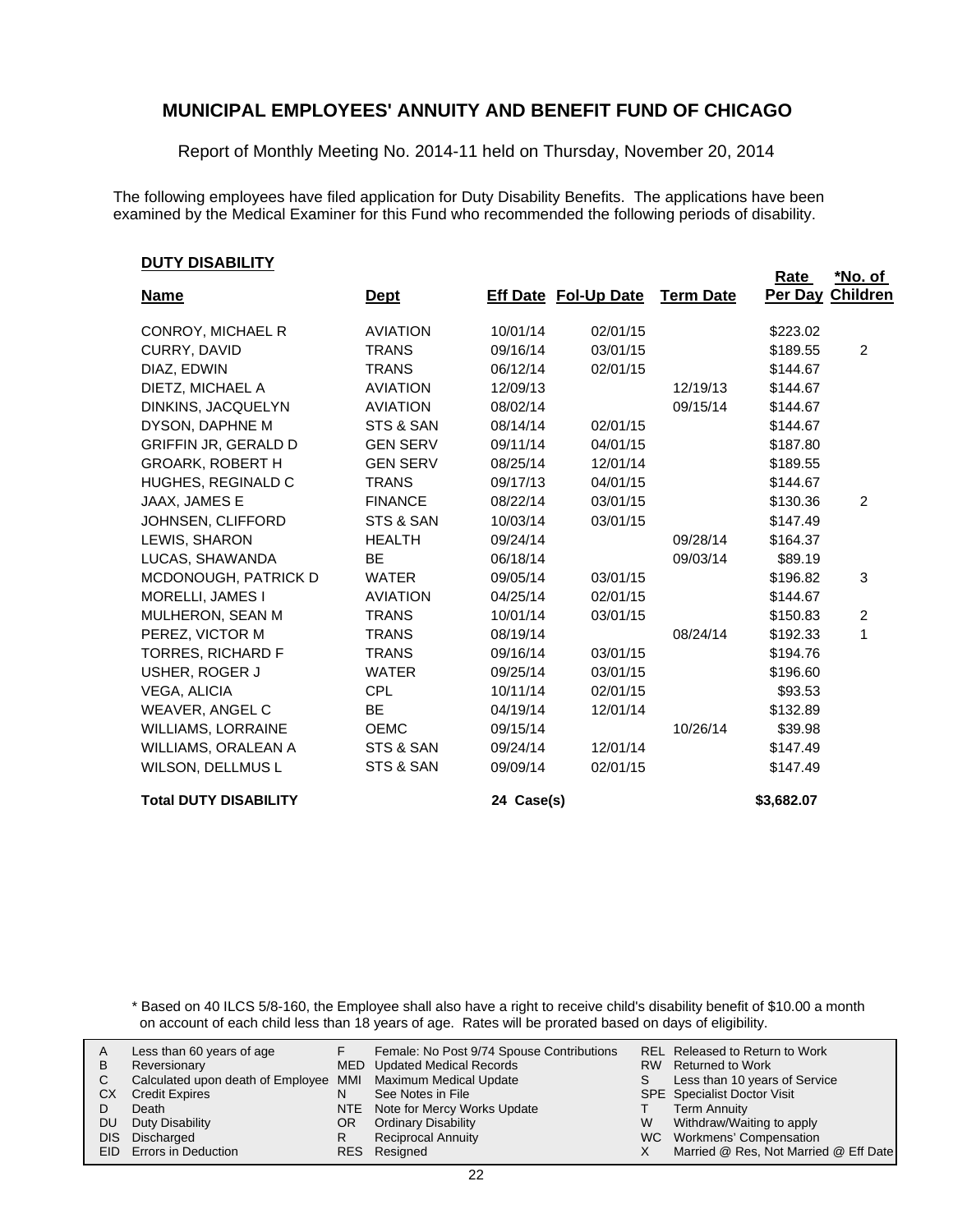Report of Monthly Meeting No. 2014-11 held on Thursday, November 20, 2014

The following employees have filed application for Duty Disability Benefits. The applications have been examined by the Medical Examiner for this Fund who recommended the following periods of disability.

#### **DUTY DISABILITY**

| <u>, , , , , , , , , , , , , , , ,</u> |                 |            |                             |                  | Rate       | *No. of          |
|----------------------------------------|-----------------|------------|-----------------------------|------------------|------------|------------------|
| <b>Name</b>                            | <u>Dept</u>     |            | <b>Eff Date Fol-Up Date</b> | <b>Term Date</b> |            | Per Day Children |
| CONROY, MICHAEL R                      | <b>AVIATION</b> | 10/01/14   | 02/01/15                    |                  | \$223.02   |                  |
| CURRY, DAVID                           | <b>TRANS</b>    | 09/16/14   | 03/01/15                    |                  | \$189.55   | 2                |
| DIAZ, EDWIN                            | <b>TRANS</b>    | 06/12/14   | 02/01/15                    |                  | \$144.67   |                  |
| DIETZ. MICHAEL A                       | <b>AVIATION</b> | 12/09/13   |                             | 12/19/13         | \$144.67   |                  |
| DINKINS, JACQUELYN                     | <b>AVIATION</b> | 08/02/14   |                             | 09/15/14         | \$144.67   |                  |
| DYSON, DAPHNE M                        | STS & SAN       | 08/14/14   | 02/01/15                    |                  | \$144.67   |                  |
| <b>GRIFFIN JR, GERALD D</b>            | <b>GEN SERV</b> | 09/11/14   | 04/01/15                    |                  | \$187.80   |                  |
| <b>GROARK, ROBERT H</b>                | <b>GEN SERV</b> | 08/25/14   | 12/01/14                    |                  | \$189.55   |                  |
| HUGHES, REGINALD C                     | <b>TRANS</b>    | 09/17/13   | 04/01/15                    |                  | \$144.67   |                  |
| JAAX, JAMES E                          | <b>FINANCE</b>  | 08/22/14   | 03/01/15                    |                  | \$130.36   | 2                |
| JOHNSEN, CLIFFORD                      | STS & SAN       | 10/03/14   | 03/01/15                    |                  | \$147.49   |                  |
| LEWIS, SHARON                          | <b>HEALTH</b>   | 09/24/14   |                             | 09/28/14         | \$164.37   |                  |
| LUCAS, SHAWANDA                        | <b>BE</b>       | 06/18/14   |                             | 09/03/14         | \$89.19    |                  |
| MCDONOUGH, PATRICK D                   | <b>WATER</b>    | 09/05/14   | 03/01/15                    |                  | \$196.82   | 3                |
| MORELLI, JAMES I                       | <b>AVIATION</b> | 04/25/14   | 02/01/15                    |                  | \$144.67   |                  |
| MULHERON, SEAN M                       | <b>TRANS</b>    | 10/01/14   | 03/01/15                    |                  | \$150.83   | $\overline{2}$   |
| PEREZ, VICTOR M                        | <b>TRANS</b>    | 08/19/14   |                             | 08/24/14         | \$192.33   | 1                |
| <b>TORRES, RICHARD F</b>               | <b>TRANS</b>    | 09/16/14   | 03/01/15                    |                  | \$194.76   |                  |
| USHER, ROGER J                         | <b>WATER</b>    | 09/25/14   | 03/01/15                    |                  | \$196.60   |                  |
| <b>VEGA, ALICIA</b>                    | <b>CPL</b>      | 10/11/14   | 02/01/15                    |                  | \$93.53    |                  |
| <b>WEAVER, ANGEL C</b>                 | <b>BE</b>       | 04/19/14   | 12/01/14                    |                  | \$132.89   |                  |
| <b>WILLIAMS, LORRAINE</b>              | <b>OEMC</b>     | 09/15/14   |                             | 10/26/14         | \$39.98    |                  |
| WILLIAMS, ORALEAN A                    | STS & SAN       | 09/24/14   | 12/01/14                    |                  | \$147.49   |                  |
| WILSON, DELLMUS L                      | STS & SAN       | 09/09/14   | 02/01/15                    |                  | \$147.49   |                  |
| <b>Total DUTY DISABILITY</b>           |                 | 24 Case(s) |                             |                  | \$3,682.07 |                  |

\* Based on 40 ILCS 5/8-160, the Employee shall also have a right to receive child's disability benefit of \$10.00 a month on account of each child less than 18 years of age. Rates will be prorated based on days of eligibility.

| A    | Less than 60 years of age                                    |     | Female: No Post 9/74 Spouse Contributions |    | REL Released to Return to Work        |
|------|--------------------------------------------------------------|-----|-------------------------------------------|----|---------------------------------------|
| В    | Reversionary                                                 |     | MED Updated Medical Records               |    | RW Returned to Work                   |
|      | Calculated upon death of Employee MMI Maximum Medical Update |     |                                           | S. | Less than 10 years of Service         |
| CХ   | <b>Credit Expires</b>                                        | N   | See Notes in File                         |    | <b>SPE</b> Specialist Doctor Visit    |
|      | Death                                                        |     | NTE Note for Mercy Works Update           |    | Term Annuity                          |
| DU   | Duty Disability                                              | OR. | <b>Ordinary Disability</b>                | W  | Withdraw/Waiting to apply             |
| DIS. | Discharged                                                   | R   | <b>Reciprocal Annuity</b>                 |    | WC Workmens' Compensation             |
|      | EID Errors in Deduction                                      |     | RES Resigned                              |    | Married @ Res, Not Married @ Eff Date |
|      |                                                              |     |                                           |    |                                       |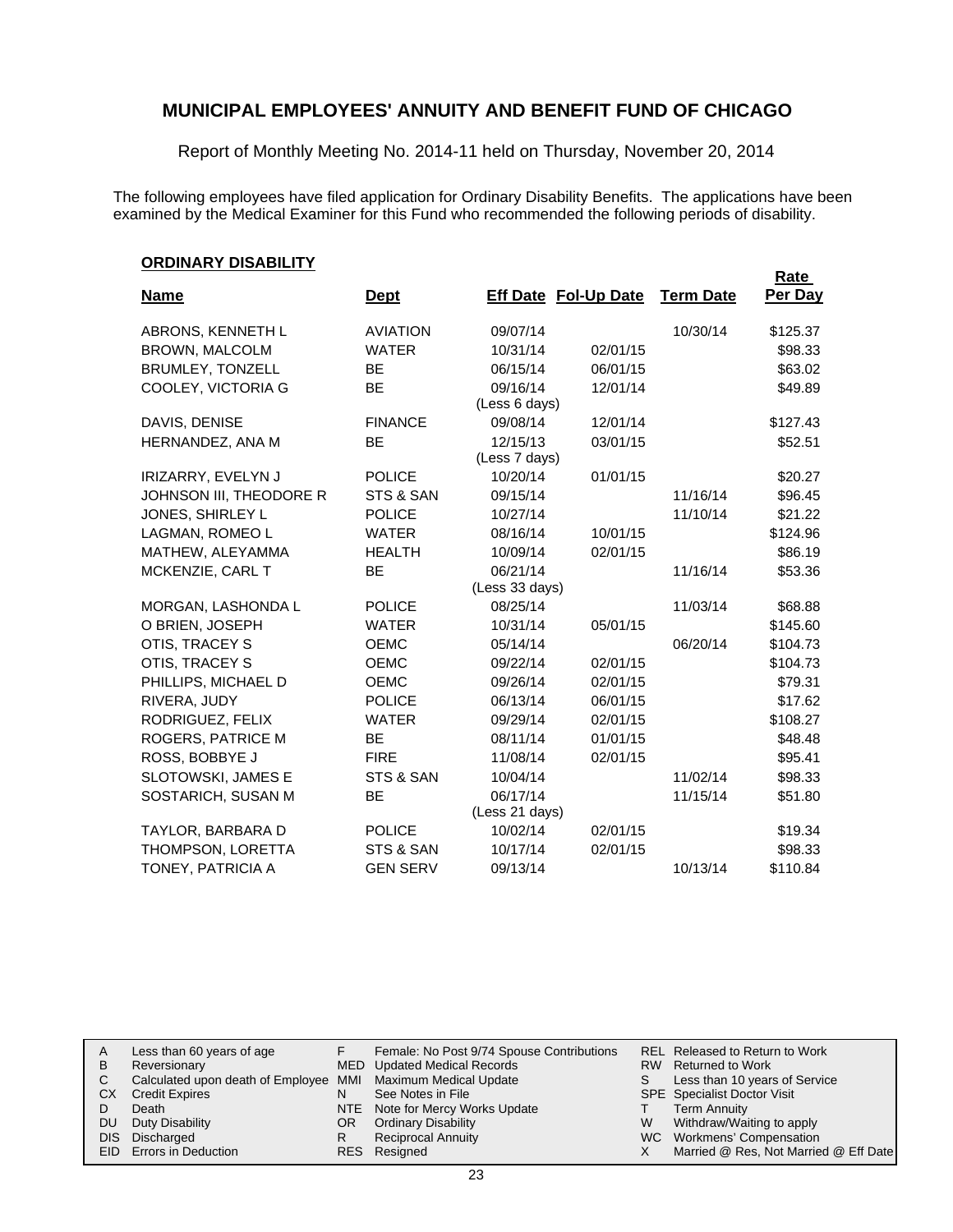Report of Monthly Meeting No. 2014-11 held on Thursday, November 20, 2014

The following employees have filed application for Ordinary Disability Benefits. The applications have been examined by the Medical Examiner for this Fund who recommended the following periods of disability.

#### **ORDINARY DISABILITY**

|                         |                 |                           |                             |                  | Rate     |
|-------------------------|-----------------|---------------------------|-----------------------------|------------------|----------|
| <b>Name</b>             | <u>Dept</u>     |                           | <b>Eff Date Fol-Up Date</b> | <b>Term Date</b> | Per Day  |
| ABRONS, KENNETH L       | <b>AVIATION</b> | 09/07/14                  |                             | 10/30/14         | \$125.37 |
| <b>BROWN, MALCOLM</b>   | <b>WATER</b>    | 10/31/14                  | 02/01/15                    |                  | \$98.33  |
| BRUMLEY, TONZELL        | <b>BE</b>       | 06/15/14                  | 06/01/15                    |                  | \$63.02  |
| COOLEY, VICTORIA G      | <b>BE</b>       | 09/16/14                  | 12/01/14                    |                  | \$49.89  |
|                         |                 | (Less 6 days)             |                             |                  |          |
| DAVIS, DENISE           | <b>FINANCE</b>  | 09/08/14                  | 12/01/14                    |                  | \$127.43 |
| HERNANDEZ, ANA M        | BЕ              | 12/15/13<br>(Less 7 days) | 03/01/15                    |                  | \$52.51  |
| IRIZARRY, EVELYN J      | <b>POLICE</b>   | 10/20/14                  | 01/01/15                    |                  | \$20.27  |
| JOHNSON III, THEODORE R | STS & SAN       | 09/15/14                  |                             | 11/16/14         | \$96.45  |
| JONES, SHIRLEY L        | <b>POLICE</b>   | 10/27/14                  |                             | 11/10/14         | \$21.22  |
| LAGMAN, ROMEO L         | <b>WATER</b>    | 08/16/14                  | 10/01/15                    |                  | \$124.96 |
| MATHEW, ALEYAMMA        | <b>HEALTH</b>   | 10/09/14                  | 02/01/15                    |                  | \$86.19  |
| MCKENZIE, CARL T        | <b>BE</b>       | 06/21/14                  |                             | 11/16/14         | \$53.36  |
|                         |                 | (Less 33 days)            |                             |                  |          |
| MORGAN, LASHONDA L      | <b>POLICE</b>   | 08/25/14                  |                             | 11/03/14         | \$68.88  |
| O BRIEN, JOSEPH         | <b>WATER</b>    | 10/31/14                  | 05/01/15                    |                  | \$145.60 |
| OTIS, TRACEY S          | <b>OEMC</b>     | 05/14/14                  |                             | 06/20/14         | \$104.73 |
| OTIS, TRACEY S          | <b>OEMC</b>     | 09/22/14                  | 02/01/15                    |                  | \$104.73 |
| PHILLIPS, MICHAEL D     | <b>OEMC</b>     | 09/26/14                  | 02/01/15                    |                  | \$79.31  |
| RIVERA, JUDY            | <b>POLICE</b>   | 06/13/14                  | 06/01/15                    |                  | \$17.62  |
| RODRIGUEZ, FELIX        | <b>WATER</b>    | 09/29/14                  | 02/01/15                    |                  | \$108.27 |
| ROGERS, PATRICE M       | <b>BE</b>       | 08/11/14                  | 01/01/15                    |                  | \$48.48  |
| ROSS, BOBBYE J          | <b>FIRE</b>     | 11/08/14                  | 02/01/15                    |                  | \$95.41  |
| SLOTOWSKI, JAMES E      | STS & SAN       | 10/04/14                  |                             | 11/02/14         | \$98.33  |
| SOSTARICH, SUSAN M      | <b>BE</b>       | 06/17/14                  |                             | 11/15/14         | \$51.80  |
|                         |                 | (Less 21 days)            |                             |                  |          |
| TAYLOR, BARBARA D       | <b>POLICE</b>   | 10/02/14                  | 02/01/15                    |                  | \$19.34  |
| THOMPSON, LORETTA       | STS & SAN       | 10/17/14                  | 02/01/15                    |                  | \$98.33  |
| TONEY, PATRICIA A       | <b>GEN SERV</b> | 09/13/14                  |                             | 10/13/14         | \$110.84 |

| A<br>В<br>СX<br>DU<br>DIS. | Less than 60 years of age<br>Reversionary<br>Calculated upon death of Employee MMI Maximum Medical Update<br><b>Credit Expires</b><br>Death<br>Duty Disability<br>Discharged<br>EID Errors in Deduction | N<br>OR<br>R | Female: No Post 9/74 Spouse Contributions<br>MED Updated Medical Records<br>See Notes in File<br>NTE Note for Mercy Works Update<br><b>Ordinary Disability</b><br><b>Reciprocal Annuity</b><br>RES Resigned | S.<br>W | REL Released to Return to Work<br>RW Returned to Work<br>Less than 10 years of Service<br><b>SPE</b> Specialist Doctor Visit<br><b>Term Annuity</b><br>Withdraw/Waiting to apply<br>WC Workmens' Compensation<br>Married @ Res, Not Married @ Eff Date |
|----------------------------|---------------------------------------------------------------------------------------------------------------------------------------------------------------------------------------------------------|--------------|-------------------------------------------------------------------------------------------------------------------------------------------------------------------------------------------------------------|---------|--------------------------------------------------------------------------------------------------------------------------------------------------------------------------------------------------------------------------------------------------------|
|----------------------------|---------------------------------------------------------------------------------------------------------------------------------------------------------------------------------------------------------|--------------|-------------------------------------------------------------------------------------------------------------------------------------------------------------------------------------------------------------|---------|--------------------------------------------------------------------------------------------------------------------------------------------------------------------------------------------------------------------------------------------------------|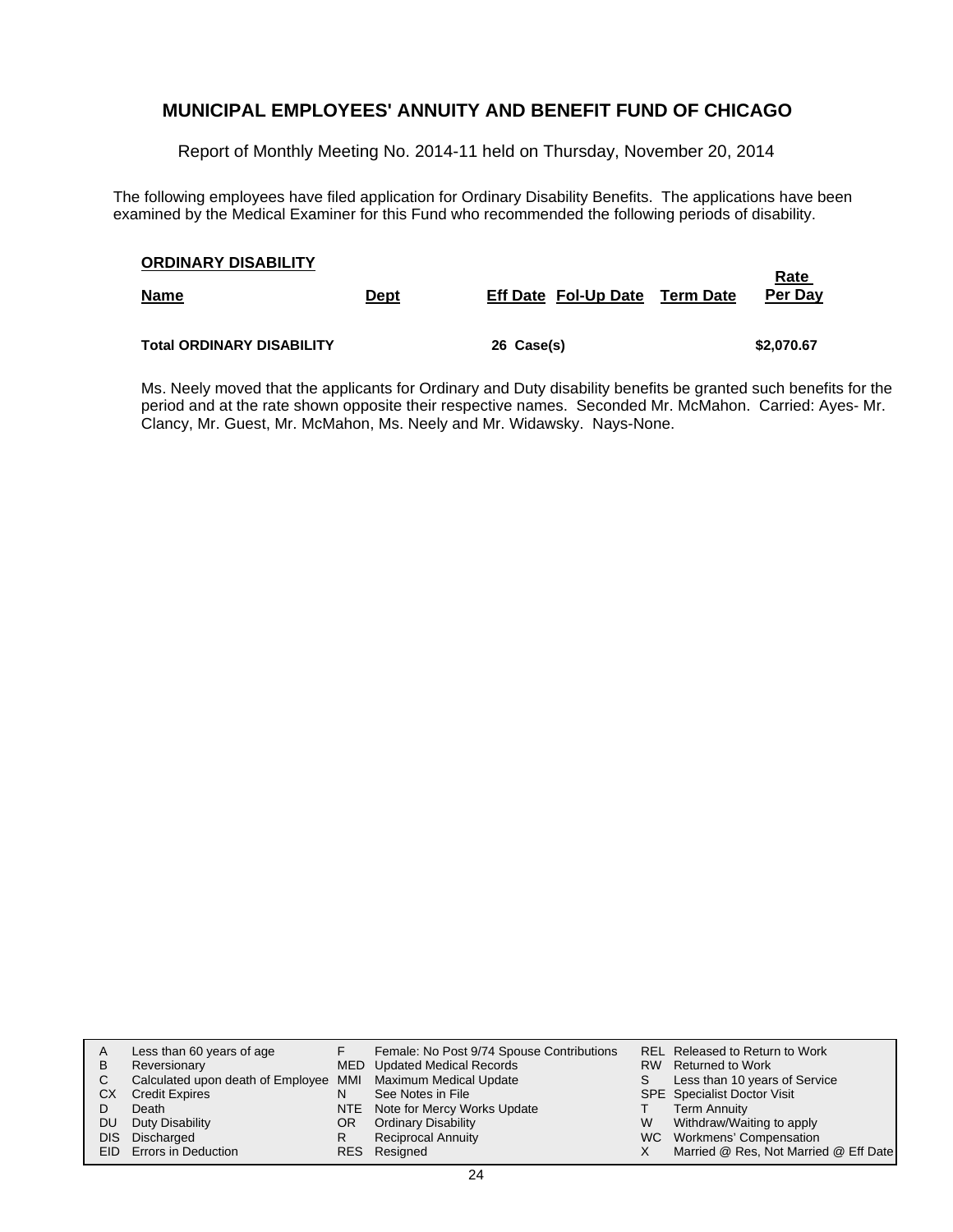Report of Monthly Meeting No. 2014-11 held on Thursday, November 20, 2014

The following employees have filed application for Ordinary Disability Benefits. The applications have been examined by the Medical Examiner for this Fund who recommended the following periods of disability.

| <b>ORDINARY DISABILITY</b>       |             |                                |  |                 |  |  |  |
|----------------------------------|-------------|--------------------------------|--|-----------------|--|--|--|
| <b>Name</b>                      | <u>Dept</u> | Eff Date Fol-Up Date Term Date |  | Rate<br>Per Day |  |  |  |
| <b>Total ORDINARY DISABILITY</b> |             | 26 Case(s)                     |  | \$2,070.67      |  |  |  |

Ms. Neely moved that the applicants for Ordinary and Duty disability benefits be granted such benefits for the period and at the rate shown opposite their respective names. Seconded Mr. McMahon. Carried: Ayes- Mr. Clancy, Mr. Guest, Mr. McMahon, Ms. Neely and Mr. Widawsky. Nays-None.

| A    | Less than 60 years of age                                    |    | Female: No Post 9/74 Spouse Contributions |    | REL Released to Return to Work        |
|------|--------------------------------------------------------------|----|-------------------------------------------|----|---------------------------------------|
|      |                                                              |    |                                           |    |                                       |
| B    | Reversionary                                                 |    | MED Updated Medical Records               |    | RW Returned to Work                   |
|      | Calculated upon death of Employee MMI Maximum Medical Update |    |                                           | S. | Less than 10 years of Service         |
| СX   | <b>Credit Expires</b>                                        | N  | See Notes in File                         |    | <b>SPE</b> Specialist Doctor Visit    |
|      | Death                                                        |    | NTE Note for Mercy Works Update           |    | <b>Term Annuity</b>                   |
| DU.  | Duty Disability                                              | OR | <b>Ordinary Disability</b>                | W  | Withdraw/Waiting to apply             |
| DIS. | Discharged                                                   | R  | <b>Reciprocal Annuity</b>                 |    | WC Workmens' Compensation             |
|      | EID Errors in Deduction                                      |    | RES Resigned                              |    | Married @ Res, Not Married @ Eff Date |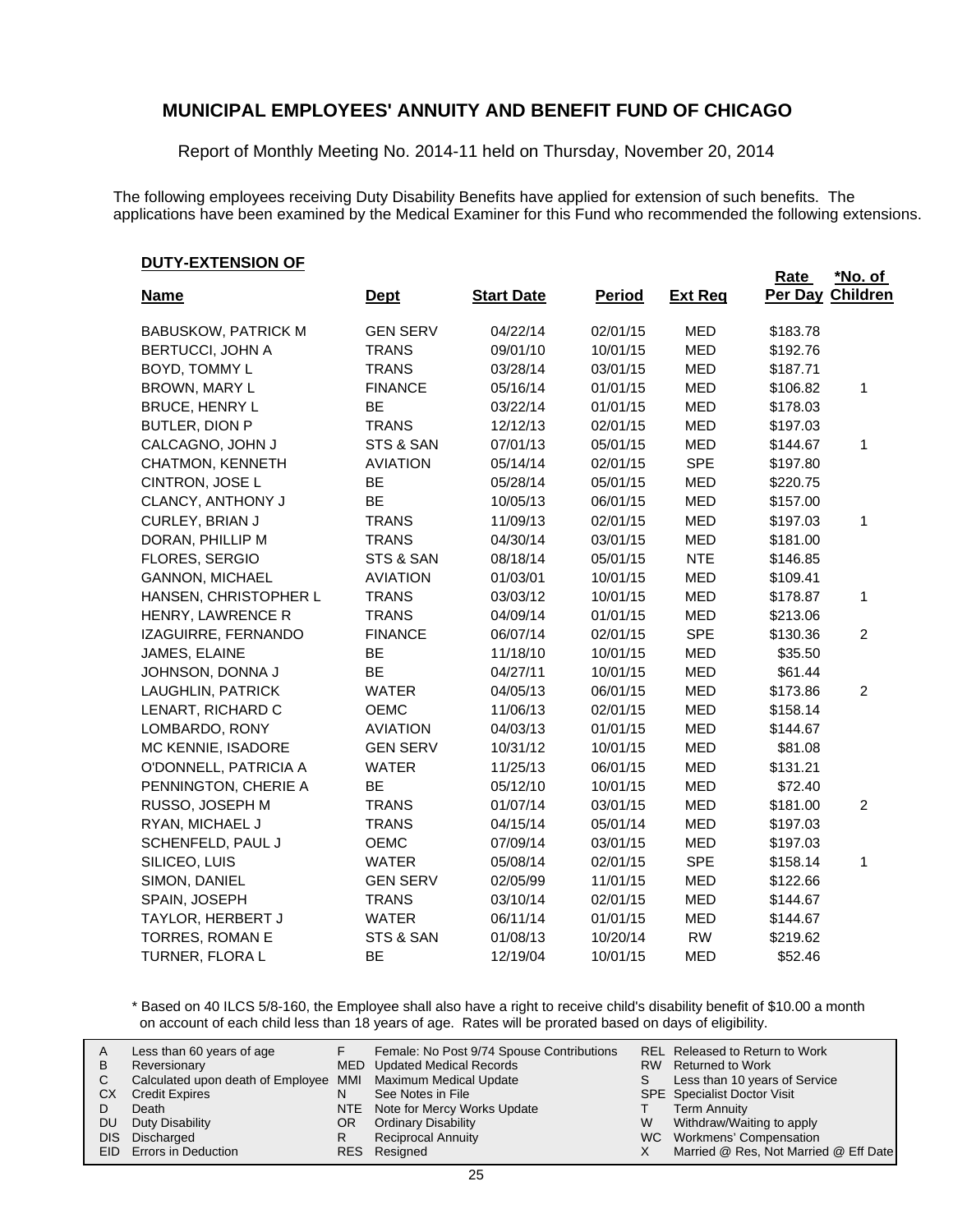Report of Monthly Meeting No. 2014-11 held on Thursday, November 20, 2014

The following employees receiving Duty Disability Benefits have applied for extension of such benefits. The applications have been examined by the Medical Examiner for this Fund who recommended the following extensions.

#### **DUTY-EXTENSION OF**

|                            |                 |                   |               |                | Rate     | *No. of         |
|----------------------------|-----------------|-------------------|---------------|----------------|----------|-----------------|
| <b>Name</b>                | <b>Dept</b>     | <b>Start Date</b> | <b>Period</b> | <b>Ext Req</b> | Per Day  | <b>Children</b> |
| <b>BABUSKOW, PATRICK M</b> | <b>GEN SERV</b> | 04/22/14          | 02/01/15      | <b>MED</b>     | \$183.78 |                 |
| <b>BERTUCCI, JOHN A</b>    | <b>TRANS</b>    | 09/01/10          | 10/01/15      | <b>MED</b>     | \$192.76 |                 |
| BOYD, TOMMY L              | <b>TRANS</b>    | 03/28/14          | 03/01/15      | <b>MED</b>     | \$187.71 |                 |
| BROWN, MARY L              | <b>FINANCE</b>  | 05/16/14          | 01/01/15      | <b>MED</b>     | \$106.82 | 1               |
| <b>BRUCE, HENRY L</b>      | <b>BE</b>       | 03/22/14          | 01/01/15      | <b>MED</b>     | \$178.03 |                 |
| <b>BUTLER, DION P</b>      | <b>TRANS</b>    | 12/12/13          | 02/01/15      | <b>MED</b>     | \$197.03 |                 |
| CALCAGNO, JOHN J           | STS & SAN       | 07/01/13          | 05/01/15      | <b>MED</b>     | \$144.67 | 1               |
| CHATMON, KENNETH           | <b>AVIATION</b> | 05/14/14          | 02/01/15      | <b>SPE</b>     | \$197.80 |                 |
| CINTRON, JOSE L            | BE              | 05/28/14          | 05/01/15      | <b>MED</b>     | \$220.75 |                 |
| CLANCY, ANTHONY J          | BE              | 10/05/13          | 06/01/15      | <b>MED</b>     | \$157.00 |                 |
| CURLEY, BRIAN J            | <b>TRANS</b>    | 11/09/13          | 02/01/15      | <b>MED</b>     | \$197.03 | 1               |
| DORAN, PHILLIP M           | <b>TRANS</b>    | 04/30/14          | 03/01/15      | <b>MED</b>     | \$181.00 |                 |
| FLORES, SERGIO             | STS & SAN       | 08/18/14          | 05/01/15      | <b>NTE</b>     | \$146.85 |                 |
| <b>GANNON, MICHAEL</b>     | <b>AVIATION</b> | 01/03/01          | 10/01/15      | <b>MED</b>     | \$109.41 |                 |
| HANSEN, CHRISTOPHER L      | <b>TRANS</b>    | 03/03/12          | 10/01/15      | <b>MED</b>     | \$178.87 | 1               |
| HENRY, LAWRENCE R          | <b>TRANS</b>    | 04/09/14          | 01/01/15      | <b>MED</b>     | \$213.06 |                 |
| IZAGUIRRE, FERNANDO        | <b>FINANCE</b>  | 06/07/14          | 02/01/15      | <b>SPE</b>     | \$130.36 | $\overline{2}$  |
| JAMES, ELAINE              | BE              | 11/18/10          | 10/01/15      | <b>MED</b>     | \$35.50  |                 |
| JOHNSON, DONNA J           | BE              | 04/27/11          | 10/01/15      | <b>MED</b>     | \$61.44  |                 |
| LAUGHLIN, PATRICK          | <b>WATER</b>    | 04/05/13          | 06/01/15      | <b>MED</b>     | \$173.86 | $\overline{2}$  |
| LENART, RICHARD C          | <b>OEMC</b>     | 11/06/13          | 02/01/15      | <b>MED</b>     | \$158.14 |                 |
| LOMBARDO, RONY             | <b>AVIATION</b> | 04/03/13          | 01/01/15      | <b>MED</b>     | \$144.67 |                 |
| MC KENNIE, ISADORE         | <b>GEN SERV</b> | 10/31/12          | 10/01/15      | <b>MED</b>     | \$81.08  |                 |
| O'DONNELL, PATRICIA A      | <b>WATER</b>    | 11/25/13          | 06/01/15      | <b>MED</b>     | \$131.21 |                 |
| PENNINGTON, CHERIE A       | BE              | 05/12/10          | 10/01/15      | <b>MED</b>     | \$72.40  |                 |
| RUSSO, JOSEPH M            | <b>TRANS</b>    | 01/07/14          | 03/01/15      | <b>MED</b>     | \$181.00 | $\overline{c}$  |
| RYAN, MICHAEL J            | <b>TRANS</b>    | 04/15/14          | 05/01/14      | <b>MED</b>     | \$197.03 |                 |
| SCHENFELD, PAUL J          | <b>OEMC</b>     | 07/09/14          | 03/01/15      | <b>MED</b>     | \$197.03 |                 |
| SILICEO, LUIS              | <b>WATER</b>    | 05/08/14          | 02/01/15      | <b>SPE</b>     | \$158.14 | 1               |
| SIMON, DANIEL              | <b>GEN SERV</b> | 02/05/99          | 11/01/15      | <b>MED</b>     | \$122.66 |                 |
| SPAIN, JOSEPH              | <b>TRANS</b>    | 03/10/14          | 02/01/15      | <b>MED</b>     | \$144.67 |                 |
| TAYLOR, HERBERT J          | WATER           | 06/11/14          | 01/01/15      | <b>MED</b>     | \$144.67 |                 |
| TORRES, ROMAN E            | STS & SAN       | 01/08/13          | 10/20/14      | <b>RW</b>      | \$219.62 |                 |
| TURNER, FLORA L            | BE              | 12/19/04          | 10/01/15      | <b>MED</b>     | \$52.46  |                 |

\* Based on 40 ILCS 5/8-160, the Employee shall also have a right to receive child's disability benefit of \$10.00 a month on account of each child less than 18 years of age. Rates will be prorated based on days of eligibility.

| A<br>в<br>СX<br>DU | Less than 60 years of age<br>Reversionary<br>Calculated upon death of Employee MMI Maximum Medical Update<br><b>Credit Expires</b><br>Death<br>Duty Disability<br>DIS Discharged<br>EID Errors in Deduction | N<br>OR.<br>R | Female: No Post 9/74 Spouse Contributions<br>MED Updated Medical Records<br>See Notes in File<br>NTE Note for Mercy Works Update<br><b>Ordinary Disability</b><br><b>Reciprocal Annuity</b><br>RES Resigned | S.<br>W | REL Released to Return to Work<br>RW Returned to Work<br>Less than 10 years of Service<br><b>SPE</b> Specialist Doctor Visit<br><b>Term Annuity</b><br>Withdraw/Waiting to apply<br>WC Workmens' Compensation<br>Married @ Res, Not Married @ Eff Date |
|--------------------|-------------------------------------------------------------------------------------------------------------------------------------------------------------------------------------------------------------|---------------|-------------------------------------------------------------------------------------------------------------------------------------------------------------------------------------------------------------|---------|--------------------------------------------------------------------------------------------------------------------------------------------------------------------------------------------------------------------------------------------------------|
|--------------------|-------------------------------------------------------------------------------------------------------------------------------------------------------------------------------------------------------------|---------------|-------------------------------------------------------------------------------------------------------------------------------------------------------------------------------------------------------------|---------|--------------------------------------------------------------------------------------------------------------------------------------------------------------------------------------------------------------------------------------------------------|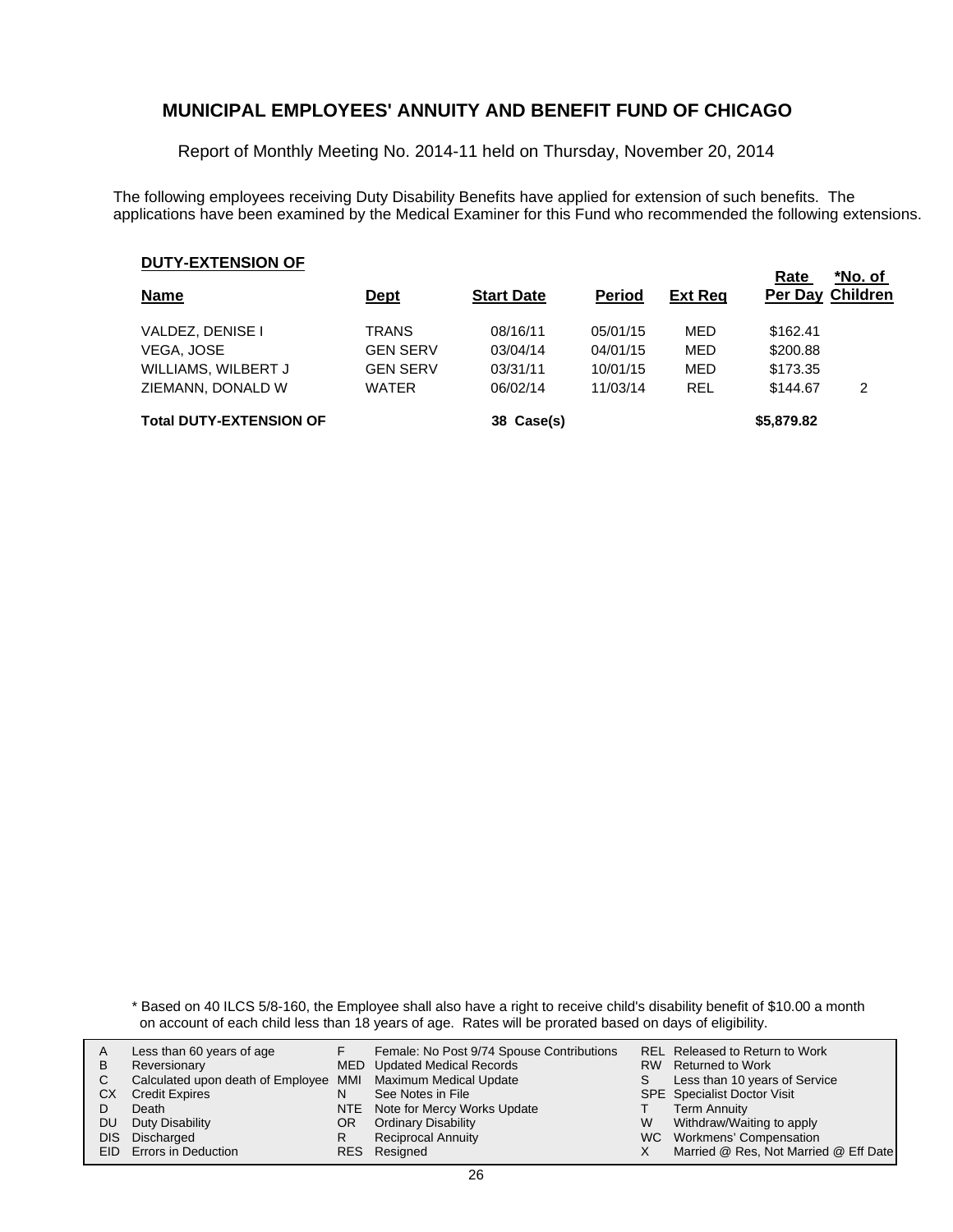Report of Monthly Meeting No. 2014-11 held on Thursday, November 20, 2014

The following employees receiving Duty Disability Benefits have applied for extension of such benefits. The applications have been examined by the Medical Examiner for this Fund who recommended the following extensions.

#### **DUTY-EXTENSION OF**

| <b>Name</b>                    | <u>Dept</u>     | <b>Start Date</b> | <b>Period</b> | <b>Ext Reg</b> | Rate<br><b>Per Day Children</b> | *No. of |
|--------------------------------|-----------------|-------------------|---------------|----------------|---------------------------------|---------|
| VALDEZ, DENISE I               | <b>TRANS</b>    | 08/16/11          | 05/01/15      | MED            | \$162.41                        |         |
| <b>VEGA, JOSE</b>              | <b>GEN SERV</b> | 03/04/14          | 04/01/15      | MED            | \$200.88                        |         |
| WILLIAMS, WILBERT J            | <b>GEN SERV</b> | 03/31/11          | 10/01/15      | MED            | \$173.35                        |         |
| ZIEMANN, DONALD W              | <b>WATER</b>    | 06/02/14          | 11/03/14      | <b>REL</b>     | \$144.67                        | 2       |
| <b>Total DUTY-EXTENSION OF</b> |                 | 38 Case(s)        |               |                | \$5,879.82                      |         |

\* Based on 40 ILCS 5/8-160, the Employee shall also have a right to receive child's disability benefit of \$10.00 a month on account of each child less than 18 years of age. Rates will be prorated based on days of eligibility.

|      | Less than 60 years of age                                    |     | Female: No Post 9/74 Spouse Contributions |   | <b>REL Released to Return to Work</b> |
|------|--------------------------------------------------------------|-----|-------------------------------------------|---|---------------------------------------|
| В    | Reversionary                                                 |     | MED Updated Medical Records               |   | RW Returned to Work                   |
|      |                                                              |     |                                           |   |                                       |
|      | Calculated upon death of Employee MMI Maximum Medical Update |     |                                           | S | Less than 10 years of Service         |
| СX   | <b>Credit Expires</b>                                        | N   | See Notes in File                         |   | <b>SPE</b> Specialist Doctor Visit    |
|      | Death                                                        |     | NTE Note for Mercy Works Update           |   | <b>Term Annuity</b>                   |
| DU   | Duty Disability                                              | OR. | <b>Ordinary Disability</b>                | W | Withdraw/Waiting to apply             |
| DIS. | Discharged                                                   |     | <b>Reciprocal Annuity</b>                 |   | WC Workmens' Compensation             |
|      | <b>EID</b> Errors in Deduction                               |     | RES Resigned                              |   | Married @ Res, Not Married @ Eff Date |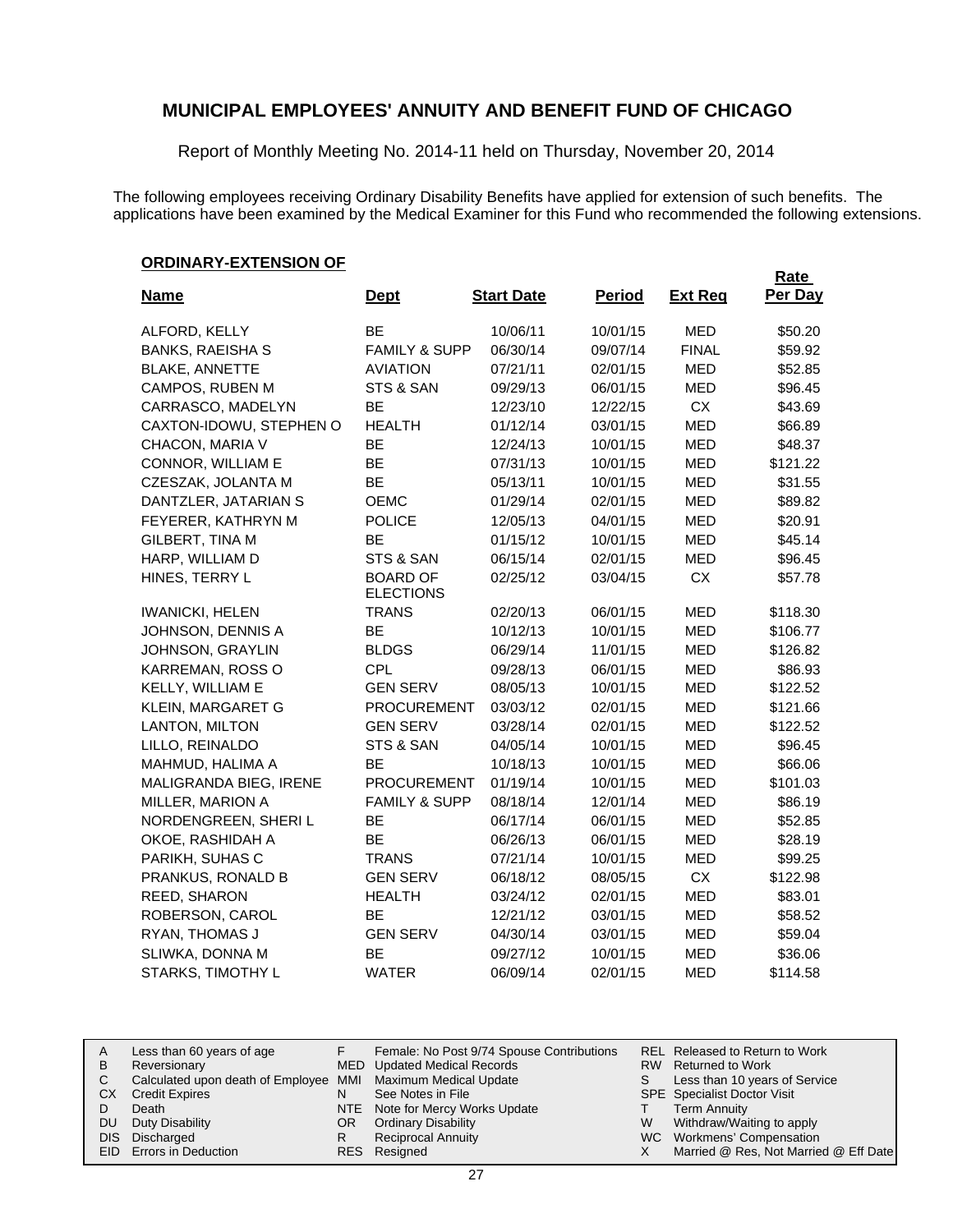Report of Monthly Meeting No. 2014-11 held on Thursday, November 20, 2014

The following employees receiving Ordinary Disability Benefits have applied for extension of such benefits. The applications have been examined by the Medical Examiner for this Fund who recommended the following extensions.

#### **ORDINARY-EXTENSION OF**

|                         |                                     |                   |               |                | <b>Rate</b> |
|-------------------------|-------------------------------------|-------------------|---------------|----------------|-------------|
| <u>Name</u>             | <u>Dept</u>                         | <b>Start Date</b> | <b>Period</b> | <b>Ext Reg</b> | Per Day     |
| ALFORD, KELLY           | <b>BE</b>                           | 10/06/11          | 10/01/15      | <b>MED</b>     | \$50.20     |
| <b>BANKS, RAEISHA S</b> | <b>FAMILY &amp; SUPP</b>            | 06/30/14          | 09/07/14      | <b>FINAL</b>   | \$59.92     |
| <b>BLAKE, ANNETTE</b>   | <b>AVIATION</b>                     | 07/21/11          | 02/01/15      | <b>MED</b>     | \$52.85     |
| CAMPOS, RUBEN M         | STS & SAN                           | 09/29/13          | 06/01/15      | <b>MED</b>     | \$96.45     |
| CARRASCO, MADELYN       | <b>BE</b>                           | 12/23/10          | 12/22/15      | <b>CX</b>      | \$43.69     |
| CAXTON-IDOWU, STEPHEN O | <b>HEALTH</b>                       | 01/12/14          | 03/01/15      | <b>MED</b>     | \$66.89     |
| CHACON, MARIA V         | <b>BE</b>                           | 12/24/13          | 10/01/15      | <b>MED</b>     | \$48.37     |
| CONNOR, WILLIAM E       | BE                                  | 07/31/13          | 10/01/15      | <b>MED</b>     | \$121.22    |
| CZESZAK, JOLANTA M      | BE                                  | 05/13/11          | 10/01/15      | <b>MED</b>     | \$31.55     |
| DANTZLER, JATARIAN S    | <b>OEMC</b>                         | 01/29/14          | 02/01/15      | <b>MED</b>     | \$89.82     |
| FEYERER, KATHRYN M      | <b>POLICE</b>                       | 12/05/13          | 04/01/15      | <b>MED</b>     | \$20.91     |
| <b>GILBERT, TINA M</b>  | <b>BE</b>                           | 01/15/12          | 10/01/15      | <b>MED</b>     | \$45.14     |
| HARP, WILLIAM D         | STS & SAN                           | 06/15/14          | 02/01/15      | <b>MED</b>     | \$96.45     |
| HINES, TERRY L          | <b>BOARD OF</b><br><b>ELECTIONS</b> | 02/25/12          | 03/04/15      | <b>CX</b>      | \$57.78     |
| <b>IWANICKI, HELEN</b>  | <b>TRANS</b>                        | 02/20/13          | 06/01/15      | <b>MED</b>     | \$118.30    |
| JOHNSON, DENNIS A       | BE                                  | 10/12/13          | 10/01/15      | <b>MED</b>     | \$106.77    |
| JOHNSON, GRAYLIN        | <b>BLDGS</b>                        | 06/29/14          | 11/01/15      | <b>MED</b>     | \$126.82    |
| KARREMAN, ROSS O        | <b>CPL</b>                          | 09/28/13          | 06/01/15      | <b>MED</b>     | \$86.93     |
| KELLY, WILLIAM E        | <b>GEN SERV</b>                     | 08/05/13          | 10/01/15      | <b>MED</b>     | \$122.52    |
| KLEIN, MARGARET G       | <b>PROCUREMENT</b>                  | 03/03/12          | 02/01/15      | <b>MED</b>     | \$121.66    |
| LANTON, MILTON          | <b>GEN SERV</b>                     | 03/28/14          | 02/01/15      | <b>MED</b>     | \$122.52    |
| LILLO, REINALDO         | STS & SAN                           | 04/05/14          | 10/01/15      | <b>MED</b>     | \$96.45     |
| MAHMUD, HALIMA A        | BE                                  | 10/18/13          | 10/01/15      | <b>MED</b>     | \$66.06     |
| MALIGRANDA BIEG, IRENE  | <b>PROCUREMENT</b>                  | 01/19/14          | 10/01/15      | <b>MED</b>     | \$101.03    |
| MILLER, MARION A        | <b>FAMILY &amp; SUPP</b>            | 08/18/14          | 12/01/14      | <b>MED</b>     | \$86.19     |
| NORDENGREEN, SHERIL     | <b>BE</b>                           | 06/17/14          | 06/01/15      | <b>MED</b>     | \$52.85     |
| OKOE, RASHIDAH A        | <b>BE</b>                           | 06/26/13          | 06/01/15      | <b>MED</b>     | \$28.19     |
| PARIKH, SUHAS C         | <b>TRANS</b>                        | 07/21/14          | 10/01/15      | MED            | \$99.25     |
| PRANKUS, RONALD B       | <b>GEN SERV</b>                     | 06/18/12          | 08/05/15      | <b>CX</b>      | \$122.98    |
| REED, SHARON            | <b>HEALTH</b>                       | 03/24/12          | 02/01/15      | <b>MED</b>     | \$83.01     |
| ROBERSON, CAROL         | <b>BE</b>                           | 12/21/12          | 03/01/15      | <b>MED</b>     | \$58.52     |
| RYAN, THOMAS J          | <b>GEN SERV</b>                     | 04/30/14          | 03/01/15      | <b>MED</b>     | \$59.04     |
| SLIWKA, DONNA M         | <b>BE</b>                           | 09/27/12          | 10/01/15      | <b>MED</b>     | \$36.06     |
| STARKS, TIMOTHY L       | <b>WATER</b>                        | 06/09/14          | 02/01/15      | MED            | \$114.58    |

| A   | Less than 60 years of age                                    |    | Female: No Post 9/74 Spouse Contributions |   | REL Released to Return to Work        |
|-----|--------------------------------------------------------------|----|-------------------------------------------|---|---------------------------------------|
| В   | Reversionary                                                 |    | MED Updated Medical Records               |   | RW Returned to Work                   |
|     | Calculated upon death of Employee MMI Maximum Medical Update |    |                                           |   | Less than 10 years of Service         |
| CХ  | <b>Credit Expires</b>                                        | N  | See Notes in File                         |   | <b>SPE</b> Specialist Doctor Visit    |
|     | Death                                                        |    | NTE Note for Mercy Works Update           |   | <b>Term Annuity</b>                   |
| DU. | Duty Disability                                              | OR | <b>Ordinary Disability</b>                | W | Withdraw/Waiting to apply             |
|     | DIS Discharged                                               | R  | <b>Reciprocal Annuity</b>                 |   | WC Workmens' Compensation             |
|     | EID Errors in Deduction                                      |    | RES Resigned                              |   | Married @ Res, Not Married @ Eff Date |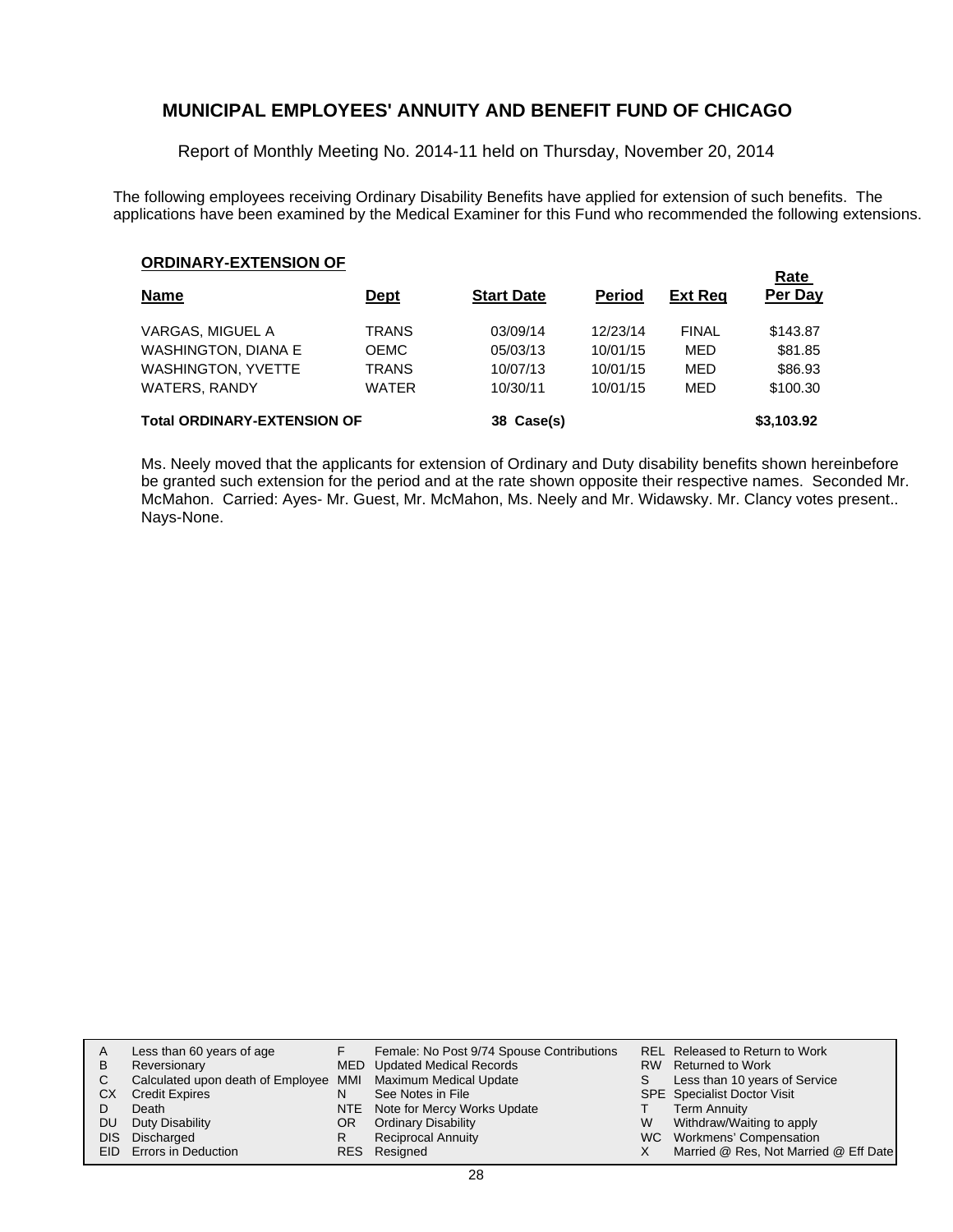Report of Monthly Meeting No. 2014-11 held on Thursday, November 20, 2014

The following employees receiving Ordinary Disability Benefits have applied for extension of such benefits. The applications have been examined by the Medical Examiner for this Fund who recommended the following extensions.

**Rate** 

| <b>Name</b>                        | <u>Dept</u>  | <b>Start Date</b> | <b>Period</b> | <b>Ext Reg</b> | <b>Rate</b><br>Per Day |
|------------------------------------|--------------|-------------------|---------------|----------------|------------------------|
| VARGAS, MIGUEL A                   | <b>TRANS</b> | 03/09/14          | 12/23/14      | <b>FINAL</b>   | \$143.87               |
| WASHINGTON, DIANA E                | <b>OEMC</b>  | 05/03/13          | 10/01/15      | MED            | \$81.85                |
| <b>WASHINGTON, YVETTE</b>          | <b>TRANS</b> | 10/07/13          | 10/01/15      | MED            | \$86.93                |
| <b>WATERS, RANDY</b>               | <b>WATER</b> | 10/30/11          | 10/01/15      | MED            | \$100.30               |
| <b>Total ORDINARY-EXTENSION OF</b> |              | 38 Case(s)        |               |                | \$3,103.92             |

Ms. Neely moved that the applicants for extension of Ordinary and Duty disability benefits shown hereinbefore be granted such extension for the period and at the rate shown opposite their respective names. Seconded Mr. McMahon. Carried: Ayes- Mr. Guest, Mr. McMahon, Ms. Neely and Mr. Widawsky. Mr. Clancy votes present.. Nays-None.

| А  | Less than 60 years of age                                    |     | Female: No Post 9/74 Spouse Contributions |   | REL Released to Return to Work        |
|----|--------------------------------------------------------------|-----|-------------------------------------------|---|---------------------------------------|
| В  | Reversionary                                                 |     | MED Updated Medical Records               |   | RW Returned to Work                   |
|    | Calculated upon death of Employee MMI Maximum Medical Update |     |                                           | S | Less than 10 years of Service         |
| СX | <b>Credit Expires</b>                                        | N   | See Notes in File                         |   | <b>SPE</b> Specialist Doctor Visit    |
|    | Death                                                        |     | NTE Note for Mercy Works Update           |   | <b>Term Annuity</b>                   |
| DU | Duty Disability                                              | OR. | <b>Ordinary Disability</b>                | W | Withdraw/Waiting to apply             |
|    | DIS Discharged                                               | R   | <b>Reciprocal Annuity</b>                 |   | WC Workmens' Compensation             |
|    | <b>EID</b> Errors in Deduction                               |     | RES Resigned                              |   | Married @ Res, Not Married @ Eff Date |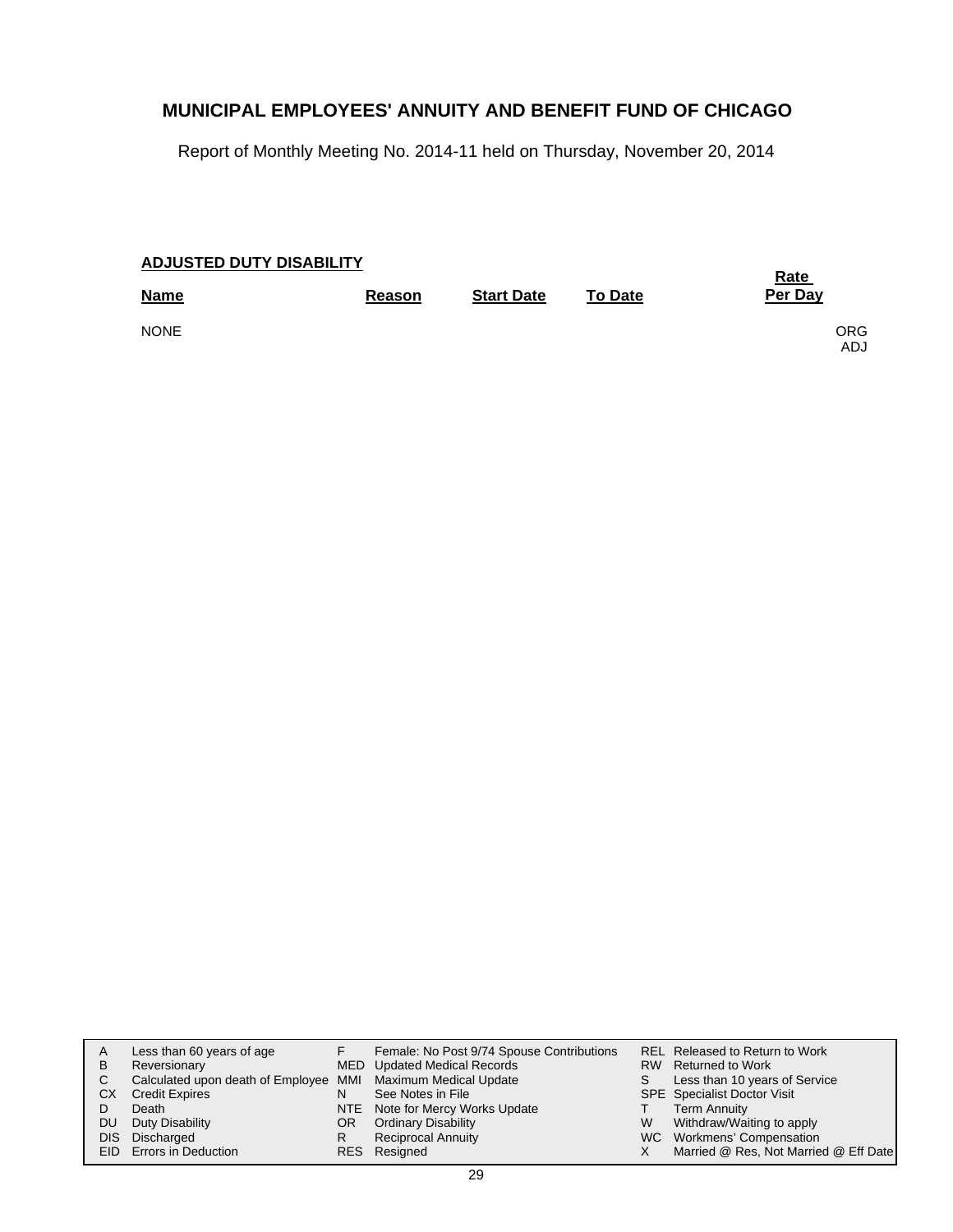Report of Monthly Meeting No. 2014-11 held on Thursday, November 20, 2014

| <b>ADJUSTED DUTY DISABILITY</b> | <b>Rate</b>   |                   |                |                   |
|---------------------------------|---------------|-------------------|----------------|-------------------|
| <b>Name</b>                     | <b>Reason</b> | <b>Start Date</b> | <b>To Date</b> | Per Day           |
| <b>NONE</b>                     |               |                   |                | <b>ORG</b><br>ADJ |

|     | Less than 60 years of age                                    |     | Female: No Post 9/74 Spouse Contributions |   | REL Released to Return to Work        |
|-----|--------------------------------------------------------------|-----|-------------------------------------------|---|---------------------------------------|
| B   | Reversionary                                                 |     | MED Updated Medical Records               |   | RW Returned to Work                   |
|     | Calculated upon death of Employee MMI Maximum Medical Update |     |                                           | S | Less than 10 years of Service         |
| СX  | <b>Credit Expires</b>                                        | N   | See Notes in File                         |   | SPE Specialist Doctor Visit           |
|     | Death                                                        |     | NTE Note for Mercy Works Update           |   | <b>Term Annuity</b>                   |
| DU. | Duty Disability                                              | OR. | <b>Ordinary Disability</b>                | W | Withdraw/Waiting to apply             |
|     | DIS Discharged                                               | R   | <b>Reciprocal Annuity</b>                 |   | WC Workmens' Compensation             |
|     | EID Errors in Deduction                                      |     | RES Resigned                              |   | Married @ Res, Not Married @ Eff Date |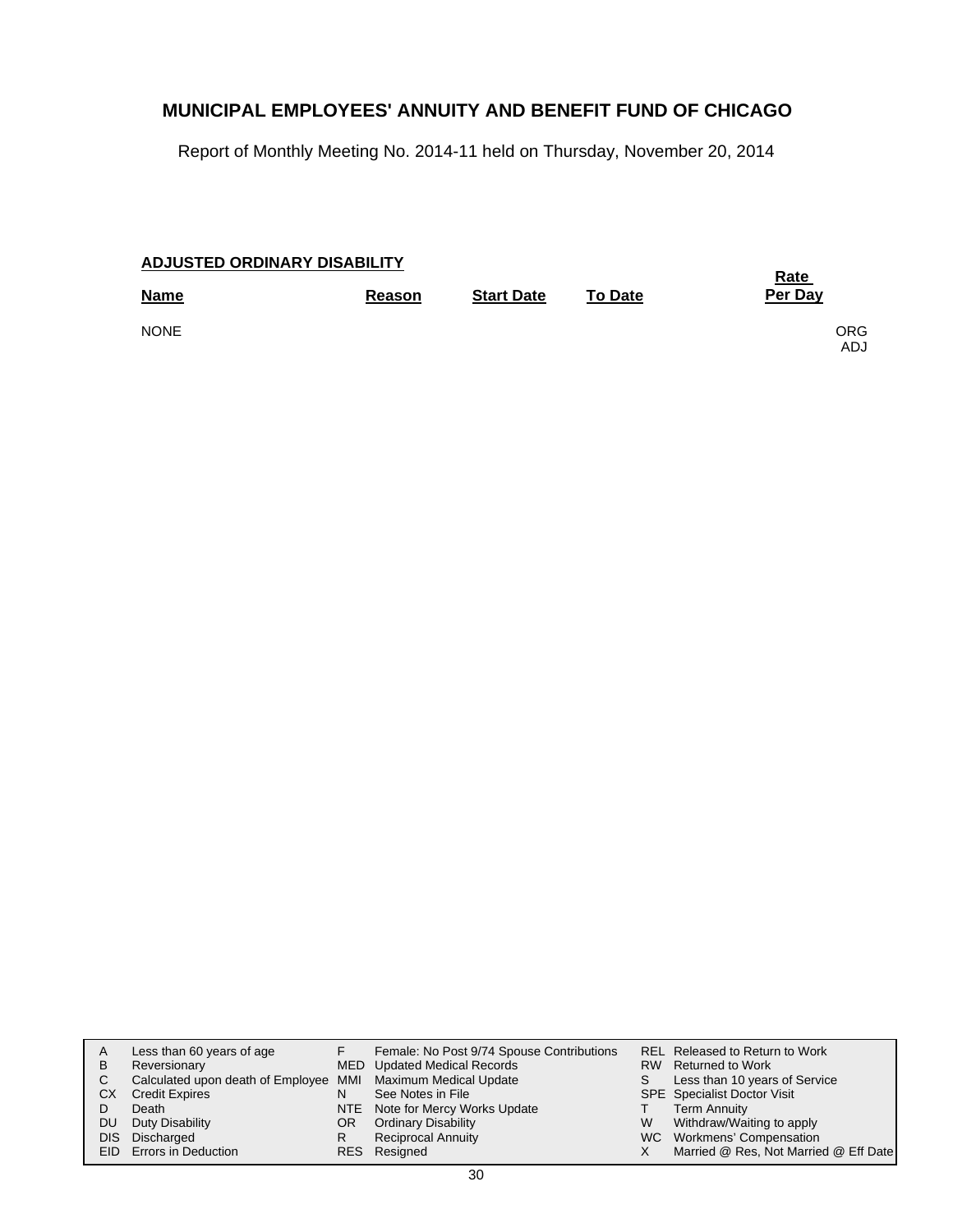Report of Monthly Meeting No. 2014-11 held on Thursday, November 20, 2014

| <b>ADJUSTED ORDINARY DISABILITY</b> |        | <u>Rate</u>       |                |                          |
|-------------------------------------|--------|-------------------|----------------|--------------------------|
| <b>Name</b>                         | Reason | <b>Start Date</b> | <b>To Date</b> | Per Day                  |
| <b>NONE</b>                         |        |                   |                | <b>ORG</b><br><b>ADJ</b> |

| A<br>B<br>C.<br>СX<br>DU. | Less than 60 years of age<br>Reversionary<br>Calculated upon death of Employee MMI Maximum Medical Update<br><b>Credit Expires</b><br>Death<br>Duty Disability<br>DIS Discharged<br>EID Errors in Deduction | N<br>OR<br>R | Female: No Post 9/74 Spouse Contributions<br>MED Updated Medical Records<br>See Notes in File<br>NTE Note for Mercy Works Update<br><b>Ordinary Disability</b><br><b>Reciprocal Annuity</b><br>RES Resigned | W | REL Released to Return to Work<br>RW Returned to Work<br>Less than 10 years of Service<br><b>SPE</b> Specialist Doctor Visit<br><b>Term Annuity</b><br>Withdraw/Waiting to apply<br>WC Workmens' Compensation<br>Married @ Res, Not Married @ Eff Date |
|---------------------------|-------------------------------------------------------------------------------------------------------------------------------------------------------------------------------------------------------------|--------------|-------------------------------------------------------------------------------------------------------------------------------------------------------------------------------------------------------------|---|--------------------------------------------------------------------------------------------------------------------------------------------------------------------------------------------------------------------------------------------------------|
|---------------------------|-------------------------------------------------------------------------------------------------------------------------------------------------------------------------------------------------------------|--------------|-------------------------------------------------------------------------------------------------------------------------------------------------------------------------------------------------------------|---|--------------------------------------------------------------------------------------------------------------------------------------------------------------------------------------------------------------------------------------------------------|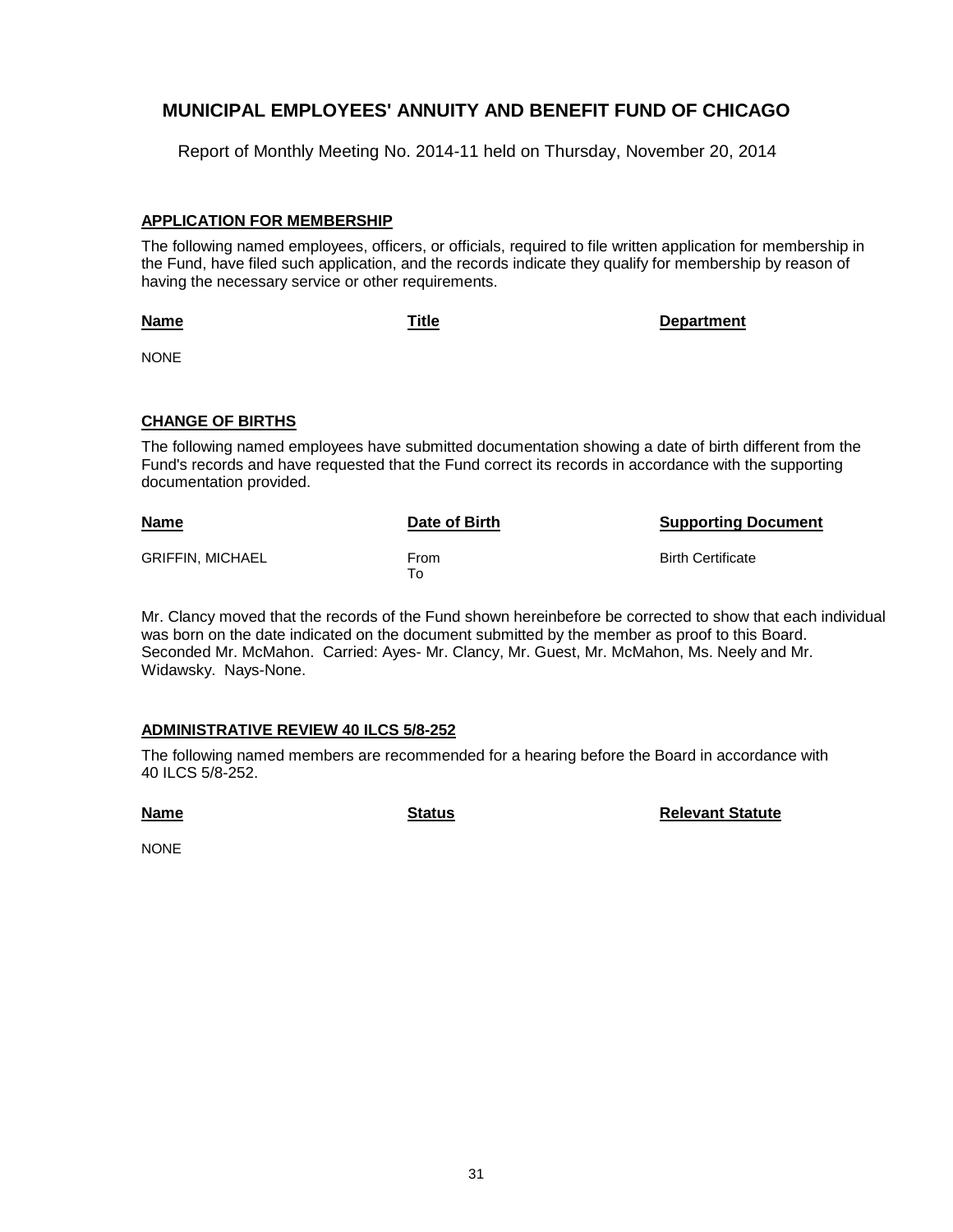Report of Monthly Meeting No. 2014-11 held on Thursday, November 20, 2014

#### **APPLICATION FOR MEMBERSHIP**

The following named employees, officers, or officials, required to file written application for membership in the Fund, have filed such application, and the records indicate they qualify for membership by reason of having the necessary service or other requirements.

**Title Department**

**Name** NONE

#### **CHANGE OF BIRTHS**

The following named employees have submitted documentation showing a date of birth different from the Fund's records and have requested that the Fund correct its records in accordance with the supporting documentation provided.

| <b>Name</b>             | Date of Birth | <b>Supporting Document</b> |
|-------------------------|---------------|----------------------------|
| <b>GRIFFIN. MICHAEL</b> | From<br>To    | <b>Birth Certificate</b>   |

Mr. Clancy moved that the records of the Fund shown hereinbefore be corrected to show that each individual was born on the date indicated on the document submitted by the member as proof to this Board. Seconded Mr. McMahon. Carried: Ayes- Mr. Clancy, Mr. Guest, Mr. McMahon, Ms. Neely and Mr. Widawsky. Nays-None.

#### **ADMINISTRATIVE REVIEW 40 ILCS 5/8-252**

The following named members are recommended for a hearing before the Board in accordance with 40 ILCS 5/8-252.

**Name**

**Status Relevant Statute**

NONE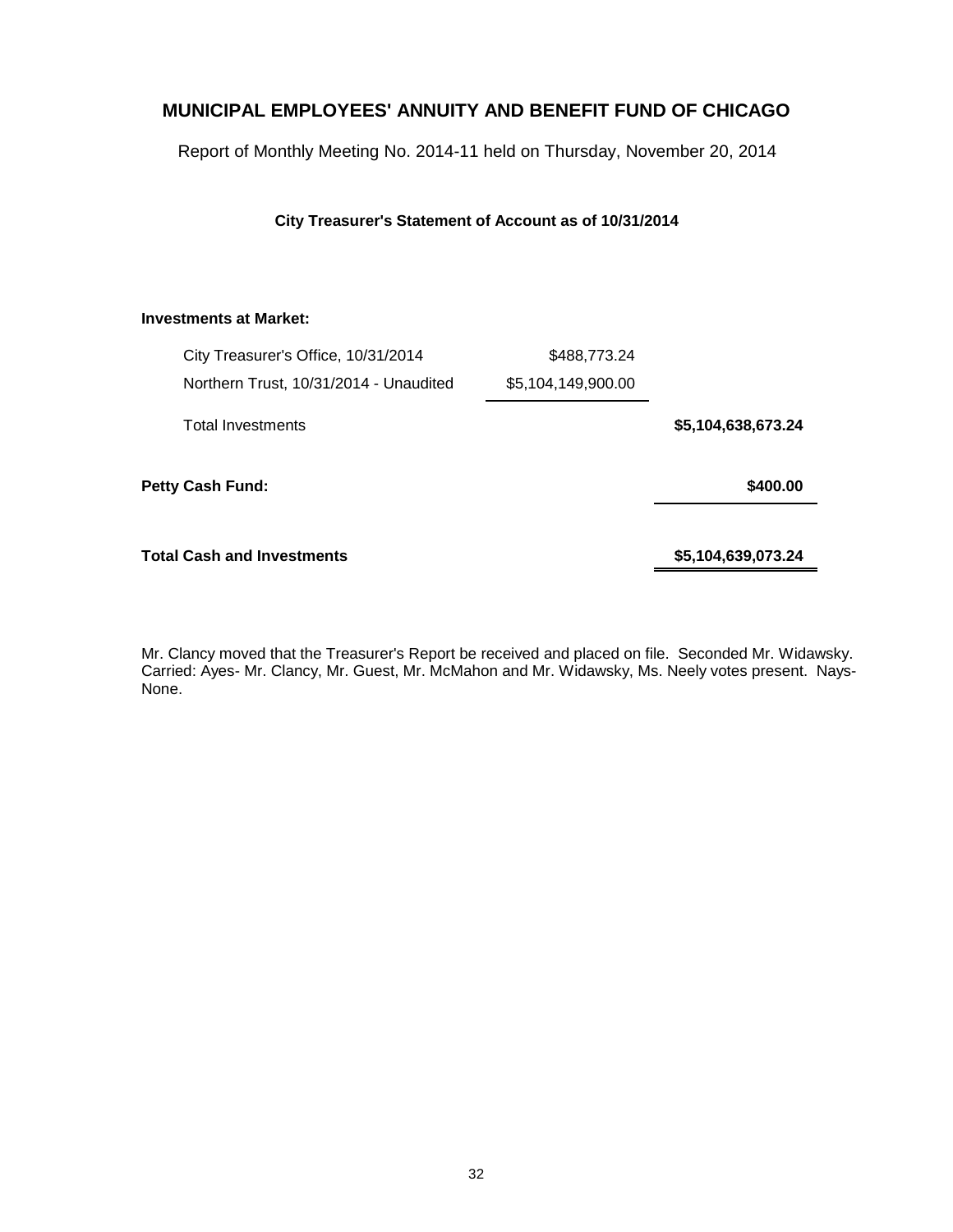Report of Monthly Meeting No. 2014-11 held on Thursday, November 20, 2014

**City Treasurer's Statement of Account as of 10/31/2014**

#### **Investments at Market:**

| City Treasurer's Office, 10/31/2014    | \$488,773.24       |                    |
|----------------------------------------|--------------------|--------------------|
| Northern Trust, 10/31/2014 - Unaudited | \$5,104,149,900.00 |                    |
| <b>Total Investments</b>               |                    | \$5,104,638,673.24 |
| <b>Petty Cash Fund:</b>                |                    | \$400.00           |
| Total Cash and Investments             |                    | \$5,104,639,073.24 |

Mr. Clancy moved that the Treasurer's Report be received and placed on file. Seconded Mr. Widawsky. Carried: Ayes- Mr. Clancy, Mr. Guest, Mr. McMahon and Mr. Widawsky, Ms. Neely votes present. Nays-None.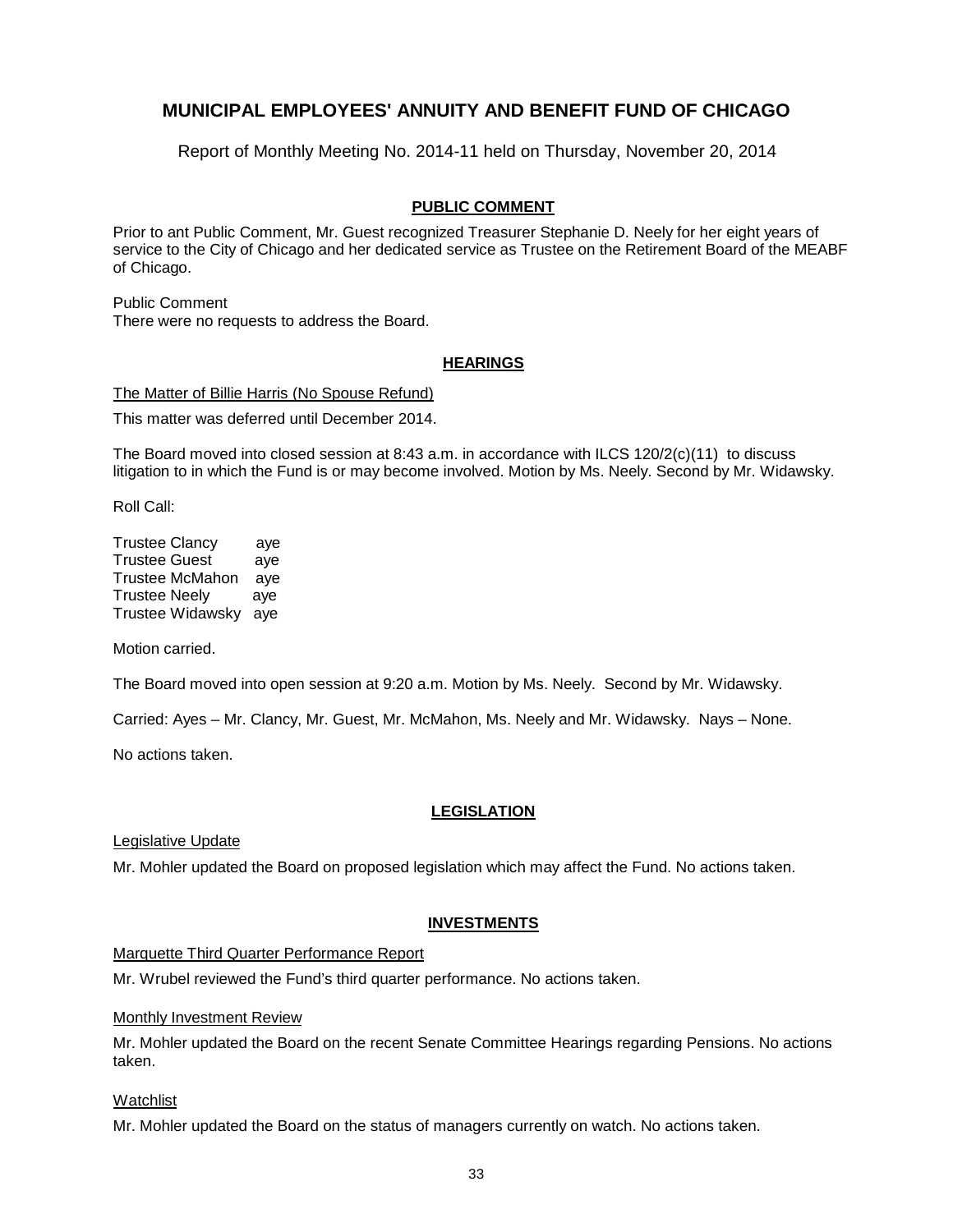Report of Monthly Meeting No. 2014-11 held on Thursday, November 20, 2014

#### **PUBLIC COMMENT**

Prior to ant Public Comment, Mr. Guest recognized Treasurer Stephanie D. Neely for her eight years of service to the City of Chicago and her dedicated service as Trustee on the Retirement Board of the MEABF of Chicago.

Public Comment There were no requests to address the Board.

#### **HEARINGS**

The Matter of Billie Harris (No Spouse Refund) This matter was deferred until December 2014.

The Board moved into closed session at 8:43 a.m. in accordance with ILCS 120/2(c)(11) to discuss litigation to in which the Fund is or may become involved. Motion by Ms. Neely. Second by Mr. Widawsky.

Roll Call:

| <b>Trustee Clancy</b>  | aye |
|------------------------|-----|
| <b>Trustee Guest</b>   | aye |
| <b>Trustee McMahon</b> | aye |
| <b>Trustee Neely</b>   | aye |
| Trustee Widawsky       | ave |

Motion carried.

The Board moved into open session at 9:20 a.m. Motion by Ms. Neely. Second by Mr. Widawsky.

Carried: Ayes – Mr. Clancy, Mr. Guest, Mr. McMahon, Ms. Neely and Mr. Widawsky. Nays – None.

No actions taken.

#### **LEGISLATION**

Legislative Update

Mr. Mohler updated the Board on proposed legislation which may affect the Fund. No actions taken.

#### **INVESTMENTS**

Marquette Third Quarter Performance Report

Mr. Wrubel reviewed the Fund's third quarter performance. No actions taken.

#### Monthly Investment Review

Mr. Mohler updated the Board on the recent Senate Committee Hearings regarding Pensions. No actions taken.

#### Watchlist

Mr. Mohler updated the Board on the status of managers currently on watch. No actions taken.